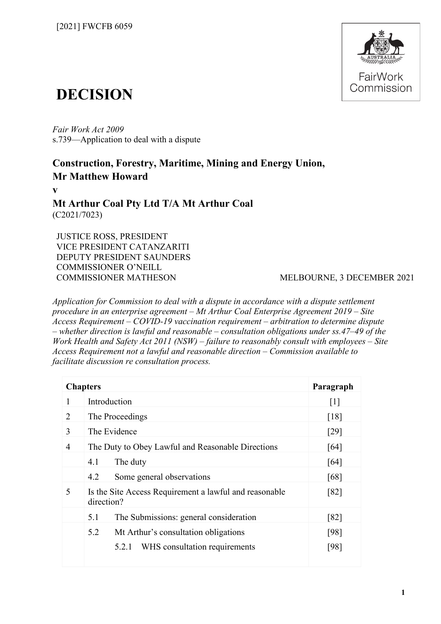

# **DECISION**

*Fair Work Act 2009*  s.739—Application to deal with a dispute

# **Construction, Forestry, Maritime, Mining and Energy Union, Mr Matthew Howard**

**v**

**Mt Arthur Coal Pty Ltd T/A Mt Arthur Coal** (C2021/7023)

JUSTICE ROSS, PRESIDENT VICE PRESIDENT CATANZARITI DEPUTY PRESIDENT SAUNDERS COMMISSIONER O'NEILL COMMISSIONER MATHESON MELBOURNE, 3 DECEMBER 2021

*Application for Commission to deal with a dispute in accordance with a dispute settlement procedure in an enterprise agreement – Mt Arthur Coal Enterprise Agreement 2019 – Site Access Requirement – COVID-19 vaccination requirement – arbitration to determine dispute – whether direction is lawful and reasonable – consultation obligations under ss.47–49 of the Work Health and Safety Act 2011 (NSW) – failure to reasonably consult with employees – Site Access Requirement not a lawful and reasonable direction – Commission available to facilitate discussion re consultation process.*

| <b>Chapters</b> |                                                                      | Paragraph         |
|-----------------|----------------------------------------------------------------------|-------------------|
|                 | Introduction                                                         | $\lceil 1 \rceil$ |
| 2               | The Proceedings                                                      | [18]              |
| 3               | The Evidence                                                         | [29]              |
| 4               | The Duty to Obey Lawful and Reasonable Directions                    | [64]              |
|                 | 4.1<br>The duty                                                      | [64]              |
|                 | Some general observations<br>4.2                                     | [68]              |
| 5               | Is the Site Access Requirement a lawful and reasonable<br>direction? | [82]              |
|                 | The Submissions: general consideration<br>5.1                        | [82]              |
|                 | 5.2<br>Mt Arthur's consultation obligations                          | [98]              |
|                 | WHS consultation requirements<br>5.2.1                               | [98]              |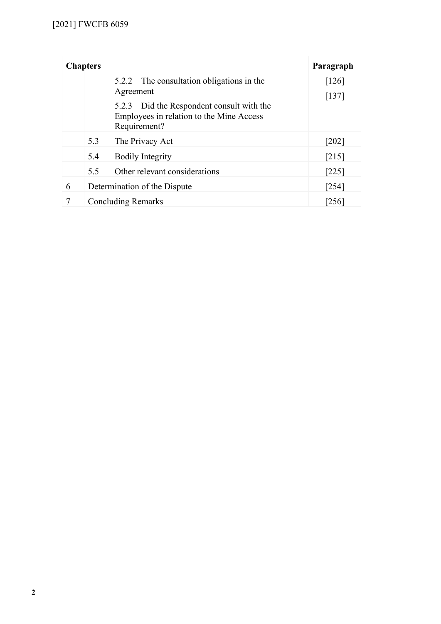|   | <b>Chapters</b> |                                                                                                       | Paragraph        |
|---|-----------------|-------------------------------------------------------------------------------------------------------|------------------|
|   |                 | 5.2.2 The consultation obligations in the<br>Agreement                                                | [126]<br>$[137]$ |
|   |                 | 5.2.3 Did the Respondent consult with the<br>Employees in relation to the Mine Access<br>Requirement? |                  |
|   | 5.3             | The Privacy Act                                                                                       | [202]            |
|   | 5.4             | <b>Bodily Integrity</b>                                                                               | $[215]$          |
|   | 5.5             | Other relevant considerations                                                                         | $[225]$          |
| 6 |                 | Determination of the Dispute<br>$[254]$                                                               |                  |
|   |                 | <b>Concluding Remarks</b><br>[256]                                                                    |                  |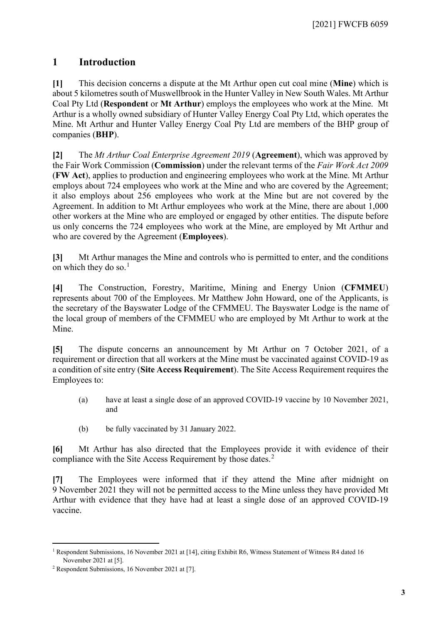# **1 Introduction**

<span id="page-2-0"></span>**[1]** This decision concerns a dispute at the Mt Arthur open cut coal mine (**Mine**) which is about 5 kilometres south of Muswellbrook in the Hunter Valley in New South Wales. Mt Arthur Coal Pty Ltd (**Respondent** or **Mt Arthur**) employs the employees who work at the Mine. Mt Arthur is a wholly owned subsidiary of Hunter Valley Energy Coal Pty Ltd, which operates the Mine. Mt Arthur and Hunter Valley Energy Coal Pty Ltd are members of the BHP group of companies (**BHP**).

**[2]** The *Mt Arthur Coal Enterprise Agreement 2019* (**Agreement**), which was approved by the Fair Work Commission (**Commission**) under the relevant terms of the *Fair Work Act 2009* (**FW Act**), applies to production and engineering employees who work at the Mine. Mt Arthur employs about 724 employees who work at the Mine and who are covered by the Agreement; it also employs about 256 employees who work at the Mine but are not covered by the Agreement. In addition to Mt Arthur employees who work at the Mine, there are about 1,000 other workers at the Mine who are employed or engaged by other entities. The dispute before us only concerns the 724 employees who work at the Mine, are employed by Mt Arthur and who are covered by the Agreement (**Employees**).

**[3]** Mt Arthur manages the Mine and controls who is permitted to enter, and the conditions on which they do so. $<sup>1</sup>$  $<sup>1</sup>$  $<sup>1</sup>$ </sup>

**[4]** The Construction, Forestry, Maritime, Mining and Energy Union (**CFMMEU**) represents about 700 of the Employees. Mr Matthew John Howard, one of the Applicants, is the secretary of the Bayswater Lodge of the CFMMEU. The Bayswater Lodge is the name of the local group of members of the CFMMEU who are employed by Mt Arthur to work at the Mine.

**[5]** The dispute concerns an announcement by Mt Arthur on 7 October 2021, of a requirement or direction that all workers at the Mine must be vaccinated against COVID-19 as a condition of site entry (**Site Access Requirement**). The Site Access Requirement requires the Employees to:

- (a) have at least a single dose of an approved COVID-19 vaccine by 10 November 2021, and
- (b) be fully vaccinated by 31 January 2022.

**[6]** Mt Arthur has also directed that the Employees provide it with evidence of their compliance with the Site Access Requirement by those dates.<sup>[2](#page-2-2)</sup>

**[7]** The Employees were informed that if they attend the Mine after midnight on 9 November 2021 they will not be permitted access to the Mine unless they have provided Mt Arthur with evidence that they have had at least a single dose of an approved COVID-19 vaccine.

<span id="page-2-1"></span><sup>1</sup> Respondent Submissions, 16 November 2021 at [14], citing Exhibit R6, Witness Statement of Witness R4 dated 16 November 2021 at [5]. 2 Respondent Submissions, 16 November 2021 at [7].

<span id="page-2-2"></span>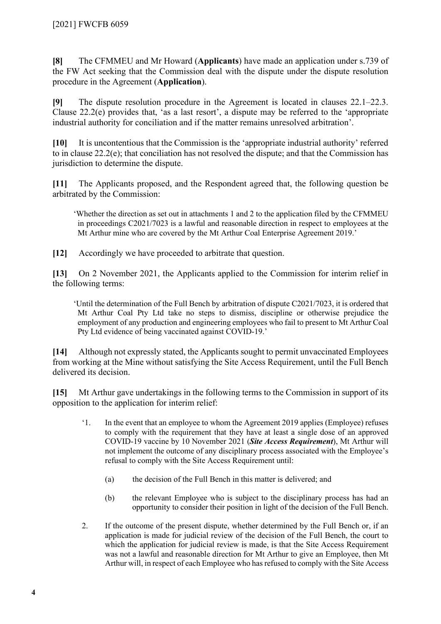**[8]** The CFMMEU and Mr Howard (**Applicants**) have made an application under s.739 of the FW Act seeking that the Commission deal with the dispute under the dispute resolution procedure in the Agreement (**Application**).

**[9]** The dispute resolution procedure in the Agreement is located in clauses 22.1–22.3. Clause 22.2(e) provides that, 'as a last resort', a dispute may be referred to the 'appropriate industrial authority for conciliation and if the matter remains unresolved arbitration'.

**[10]** It is uncontentious that the Commission is the 'appropriate industrial authority' referred to in clause 22.2(e); that conciliation has not resolved the dispute; and that the Commission has jurisdiction to determine the dispute.

**[11]** The Applicants proposed, and the Respondent agreed that, the following question be arbitrated by the Commission:

'Whether the direction as set out in attachments 1 and 2 to the application filed by the CFMMEU in proceedings C2021/7023 is a lawful and reasonable direction in respect to employees at the Mt Arthur mine who are covered by the Mt Arthur Coal Enterprise Agreement 2019.'

**[12]** Accordingly we have proceeded to arbitrate that question.

**[13]** On 2 November 2021, the Applicants applied to the Commission for interim relief in the following terms:

'Until the determination of the Full Bench by arbitration of dispute C2021/7023, it is ordered that Mt Arthur Coal Pty Ltd take no steps to dismiss, discipline or otherwise prejudice the employment of any production and engineering employees who fail to present to Mt Arthur Coal Pty Ltd evidence of being vaccinated against COVID-19.'

**[14]** Although not expressly stated, the Applicants sought to permit unvaccinated Employees from working at the Mine without satisfying the Site Access Requirement, until the Full Bench delivered its decision.

**[15]** Mt Arthur gave undertakings in the following terms to the Commission in support of its opposition to the application for interim relief:

- '1. In the event that an employee to whom the Agreement 2019 applies (Employee) refuses to comply with the requirement that they have at least a single dose of an approved COVID-19 vaccine by 10 November 2021 (*Site Access Requirement*), Mt Arthur will not implement the outcome of any disciplinary process associated with the Employee's refusal to comply with the Site Access Requirement until:
	- (a) the decision of the Full Bench in this matter is delivered; and
	- (b) the relevant Employee who is subject to the disciplinary process has had an opportunity to consider their position in light of the decision of the Full Bench.
- 2. If the outcome of the present dispute, whether determined by the Full Bench or, if an application is made for judicial review of the decision of the Full Bench, the court to which the application for judicial review is made, is that the Site Access Requirement was not a lawful and reasonable direction for Mt Arthur to give an Employee, then Mt Arthur will, in respect of each Employee who has refused to comply with the Site Access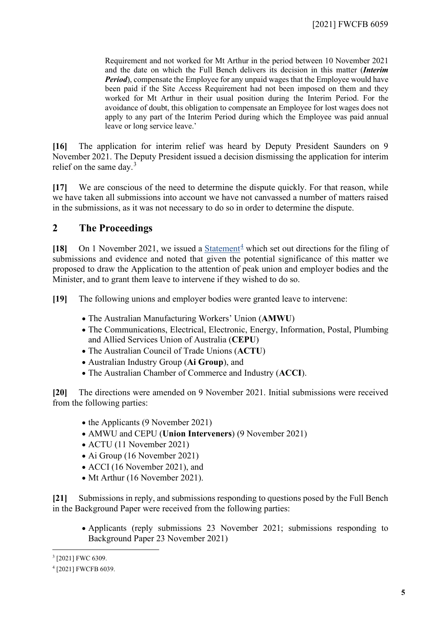Requirement and not worked for Mt Arthur in the period between 10 November 2021 and the date on which the Full Bench delivers its decision in this matter (*Interim Period*), compensate the Employee for any unpaid wages that the Employee would have been paid if the Site Access Requirement had not been imposed on them and they worked for Mt Arthur in their usual position during the Interim Period. For the avoidance of doubt, this obligation to compensate an Employee for lost wages does not apply to any part of the Interim Period during which the Employee was paid annual leave or long service leave.'

**[16]** The application for interim relief was heard by Deputy President Saunders on 9 November 2021. The Deputy President issued a decision dismissing the application for interim relief on the same day.<sup>[3](#page-4-1)</sup>

**[17]** We are conscious of the need to determine the dispute quickly. For that reason, while we have taken all submissions into account we have not canvassed a number of matters raised in the submissions, as it was not necessary to do so in order to determine the dispute.

# **2 The Proceedings**

<span id="page-4-0"></span>**[18]** On 1 November 2021, we issued a [Statement](https://www.fwc.gov.au/documents/decisionssigned/html/2021fwcfb6039.htm)<sup>[4](#page-4-2)</sup> which set out directions for the filing of submissions and evidence and noted that given the potential significance of this matter we proposed to draw the Application to the attention of peak union and employer bodies and the Minister, and to grant them leave to intervene if they wished to do so.

**[19]** The following unions and employer bodies were granted leave to intervene:

- The Australian Manufacturing Workers' Union (**AMWU**)
- The Communications, Electrical, Electronic, Energy, Information, Postal, Plumbing and Allied Services Union of Australia (**CEPU**)
- The Australian Council of Trade Unions (**ACTU**)
- Australian Industry Group (**Ai Group**), and
- The Australian Chamber of Commerce and Industry (**ACCI**).

**[20]** The directions were amended on 9 November 2021. Initial submissions were received from the following parties:

- the Applicants (9 November 2021)
- AMWU and CEPU (**Union Interveners**) (9 November 2021)
- ACTU (11 November 2021)
- Ai Group (16 November 2021)
- ACCI (16 November 2021), and
- Mt Arthur (16 November 2021).

**[21]** Submissions in reply, and submissions responding to questions posed by the Full Bench in the Background Paper were received from the following parties:

• Applicants (reply submissions 23 November 2021; submissions responding to Background Paper 23 November 2021)

<span id="page-4-1"></span><sup>3</sup> [2021] FWC 6309.

<span id="page-4-2"></span><sup>4</sup> [2021] FWCFB 6039.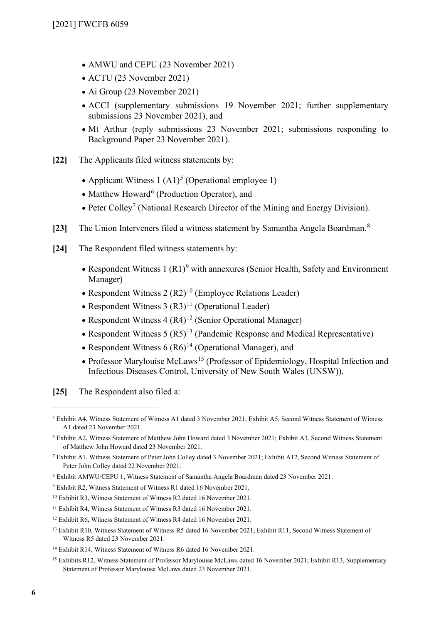- AMWU and CEPU (23 November 2021)
- ACTU (23 November 2021)
- Ai Group (23 November 2021)
- ACCI (supplementary submissions 19 November 2021; further supplementary submissions 23 November 2021), and
- Mt Arthur (reply submissions 23 November 2021; submissions responding to Background Paper 23 November 2021).
- **[22]** The Applicants filed witness statements by:
	- Applicant Witness 1  $(A1)<sup>5</sup>$  $(A1)<sup>5</sup>$  $(A1)<sup>5</sup>$  (Operational employee 1)
	- Matthew Howard<sup>[6](#page-5-1)</sup> (Production Operator), and
	- Peter Colley<sup>[7](#page-5-2)</sup> (National Research Director of the Mining and Energy Division).
- **[23]** The Union Interveners filed a witness statement by Samantha Angela Boardman.[8](#page-5-3)
- **[24]** The Respondent filed witness statements by:
	- Respondent Witness 1  $(R1)^9$  $(R1)^9$  with annexures (Senior Health, Safety and Environment Manager)
	- Respondent Witness 2  $(R2)^{10}$  $(R2)^{10}$  $(R2)^{10}$  (Employee Relations Leader)
	- Respondent Witness 3  $(R3)^{11}$  $(R3)^{11}$  $(R3)^{11}$  (Operational Leader)
	- Respondent Witness  $4 (R4)^{12}$  $4 (R4)^{12}$  $4 (R4)^{12}$  (Senior Operational Manager)
	- Respondent Witness  $5 (R5)^{13}$  $5 (R5)^{13}$  $5 (R5)^{13}$  (Pandemic Response and Medical Representative)
	- Respondent Witness  $6 (R6)^{14}$  $6 (R6)^{14}$  $6 (R6)^{14}$  (Operational Manager), and
	- Professor Marylouise McLaws<sup>[15](#page-5-10)</sup> (Professor of Epidemiology, Hospital Infection and Infectious Diseases Control, University of New South Wales (UNSW)).

**[25]** The Respondent also filed a:

<span id="page-5-0"></span><sup>5</sup> Exhibit A4, Witness Statement of Witness A1 dated 3 November 2021; Exhibit A5, Second Witness Statement of Witness A1 dated 23 November 2021.

<span id="page-5-1"></span><sup>6</sup> Exhibit A2, Witness Statement of Matthew John Howard dated 3 November 2021; Exhibit A3, Second Witness Statement of Matthew John Howard dated 23 November 2021.

<span id="page-5-2"></span><sup>7</sup> Exhibit A1, Witness Statement of Peter John Colley dated 3 November 2021; Exhibit A12, Second Witness Statement of Peter John Colley dated 22 November 2021.

<span id="page-5-3"></span><sup>8</sup> Exhibit AMWU/CEPU 1, Witness Statement of Samantha Angela Boardman dated 23 November 2021.

<span id="page-5-4"></span><sup>9</sup> Exhibit R2, Witness Statement of Witness R1 dated 16 November 2021.

<span id="page-5-5"></span><sup>10</sup> Exhibit R3, Witness Statement of Witness R2 dated 16 November 2021.

<span id="page-5-6"></span><sup>&</sup>lt;sup>11</sup> Exhibit R4, Witness Statement of Witness R3 dated 16 November 2021.

<span id="page-5-7"></span><sup>&</sup>lt;sup>12</sup> Exhibit R6, Witness Statement of Witness R4 dated 16 November 2021.

<span id="page-5-8"></span><sup>&</sup>lt;sup>13</sup> Exhibit R10, Witness Statement of Witness R5 dated 16 November 2021; Exhibit R11, Second Witness Statement of Witness R5 dated 23 November 2021.

<span id="page-5-9"></span><sup>14</sup> Exhibit R14, Witness Statement of Witness R6 dated 16 November 2021.

<span id="page-5-10"></span><sup>&</sup>lt;sup>15</sup> Exhibits R12, Witness Statement of Professor Marylouise McLaws dated 16 November 2021; Exhibit R13, Supplementary Statement of Professor Marylouise McLaws dated 23 November 2021.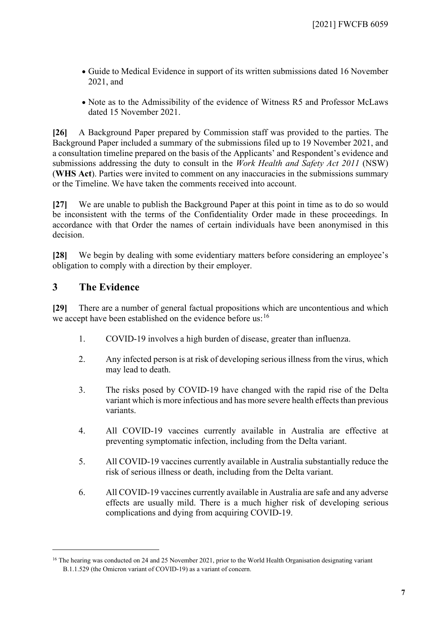- Guide to Medical Evidence in support of its written submissions dated 16 November 2021, and
- Note as to the Admissibility of the evidence of Witness R5 and Professor McLaws dated 15 November 2021.

**[26]** A Background Paper prepared by Commission staff was provided to the parties. The Background Paper included a summary of the submissions filed up to 19 November 2021, and a consultation timeline prepared on the basis of the Applicants' and Respondent's evidence and submissions addressing the duty to consult in the *Work Health and Safety Act 2011* (NSW) (**WHS Act**). Parties were invited to comment on any inaccuracies in the submissions summary or the Timeline. We have taken the comments received into account.

<span id="page-6-2"></span>**[27]** We are unable to publish the Background Paper at this point in time as to do so would be inconsistent with the terms of the Confidentiality Order made in these proceedings. In accordance with that Order the names of certain individuals have been anonymised in this decision.

**[28]** We begin by dealing with some evidentiary matters before considering an employee's obligation to comply with a direction by their employer.

# **3 The Evidence**

<span id="page-6-0"></span>**[29]** There are a number of general factual propositions which are uncontentious and which we accept have been established on the evidence before us: <sup>[16](#page-6-1)</sup>

- 1. COVID-19 involves a high burden of disease, greater than influenza.
- 2. Any infected person is at risk of developing serious illness from the virus, which may lead to death.
- 3. The risks posed by COVID-19 have changed with the rapid rise of the Delta variant which is more infectious and has more severe health effects than previous variants.
- 4. All COVID-19 vaccines currently available in Australia are effective at preventing symptomatic infection, including from the Delta variant.
- 5. All COVID-19 vaccines currently available in Australia substantially reduce the risk of serious illness or death, including from the Delta variant.
- 6. All COVID-19 vaccines currently available in Australia are safe and any adverse effects are usually mild. There is a much higher risk of developing serious complications and dying from acquiring COVID-19.

<span id="page-6-1"></span><sup>&</sup>lt;sup>16</sup> The hearing was conducted on 24 and 25 November 2021, prior to the World Health Organisation designating variant B.1.1.529 (the Omicron variant of COVID-19) as a variant of concern.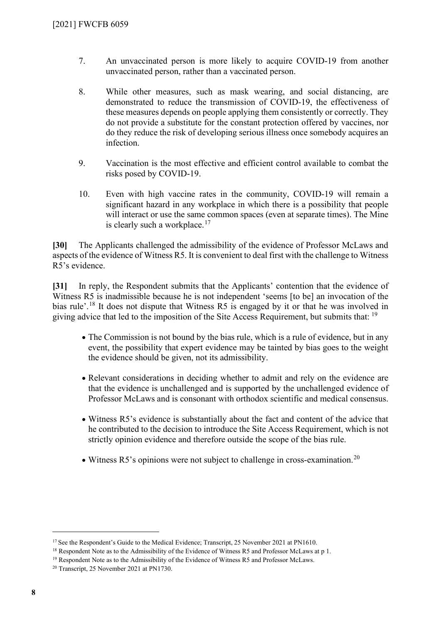- 7. An unvaccinated person is more likely to acquire COVID-19 from another unvaccinated person, rather than a vaccinated person.
- 8. While other measures, such as mask wearing, and social distancing, are demonstrated to reduce the transmission of COVID-19, the effectiveness of these measures depends on people applying them consistently or correctly. They do not provide a substitute for the constant protection offered by vaccines, nor do they reduce the risk of developing serious illness once somebody acquires an infection.
- 9. Vaccination is the most effective and efficient control available to combat the risks posed by COVID-19.
- 10. Even with high vaccine rates in the community, COVID-19 will remain a significant hazard in any workplace in which there is a possibility that people will interact or use the same common spaces (even at separate times). The Mine is clearly such a workplace.<sup>[17](#page-7-0)</sup>

**[30]** The Applicants challenged the admissibility of the evidence of Professor McLaws and aspects of the evidence of Witness R5. It is convenient to deal first with the challenge to Witness R5's evidence.

**[31]** In reply, the Respondent submits that the Applicants' contention that the evidence of Witness R5 is inadmissible because he is not independent 'seems [to be] an invocation of the bias rule'.<sup>[18](#page-7-1)</sup> It does not dispute that Witness R5 is engaged by it or that he was involved in giving advice that led to the imposition of the Site Access Requirement, but submits that: <sup>[19](#page-7-2)</sup>

- The Commission is not bound by the bias rule, which is a rule of evidence, but in any event, the possibility that expert evidence may be tainted by bias goes to the weight the evidence should be given, not its admissibility.
- Relevant considerations in deciding whether to admit and rely on the evidence are that the evidence is unchallenged and is supported by the unchallenged evidence of Professor McLaws and is consonant with orthodox scientific and medical consensus.
- Witness R5's evidence is substantially about the fact and content of the advice that he contributed to the decision to introduce the Site Access Requirement, which is not strictly opinion evidence and therefore outside the scope of the bias rule.
- Witness R5's opinions were not subject to challenge in cross-examination.<sup>[20](#page-7-3)</sup>

<span id="page-7-0"></span><sup>&</sup>lt;sup>17</sup> See the Respondent's Guide to the Medical Evidence; Transcript, 25 November 2021 at PN1610.

<span id="page-7-1"></span><sup>&</sup>lt;sup>18</sup> Respondent Note as to the Admissibility of the Evidence of Witness R5 and Professor McLaws at p 1.

<span id="page-7-2"></span><sup>&</sup>lt;sup>19</sup> Respondent Note as to the Admissibility of the Evidence of Witness R5 and Professor McLaws.

<span id="page-7-3"></span><sup>20</sup> Transcript, 25 November 2021 at PN1730.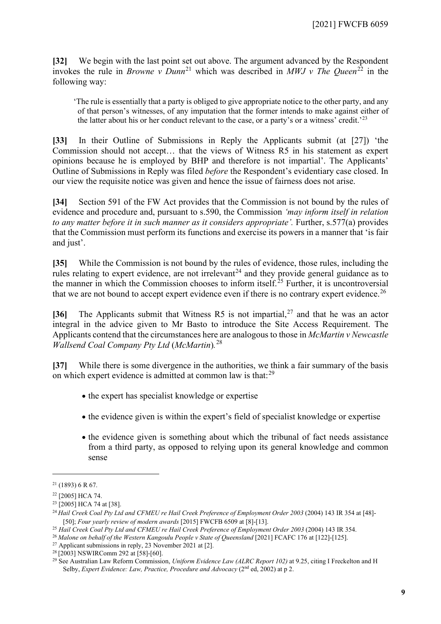**[32]** We begin with the last point set out above. The argument advanced by the Respondent invokes the rule in *Browne v Dunn*<sup>[21](#page-8-0)</sup> which was described in *MWJ v The Queen*<sup>[22](#page-8-1)</sup> in the following way:

'The rule is essentially that a party is obliged to give appropriate notice to the other party, and any of that person's witnesses, of any imputation that the former intends to make against either of the latter about his or her conduct relevant to the case, or a party's or a witness' credit.<sup>'[23](#page-8-2)</sup>

**[33]** In their Outline of Submissions in Reply the Applicants submit (at [27]) 'the Commission should not accept… that the views of Witness R5 in his statement as expert opinions because he is employed by BHP and therefore is not impartial'. The Applicants' Outline of Submissions in Reply was filed *before* the Respondent's evidentiary case closed. In our view the requisite notice was given and hence the issue of fairness does not arise.

**[34]** Section 591 of the FW Act provides that the Commission is not bound by the rules of evidence and procedure and, pursuant to s.590, the Commission *'may inform itself in relation to any matter before it in such manner as it considers appropriate'.* Further, s.577(a) provides that the Commission must perform its functions and exercise its powers in a manner that 'is fair and just'.

**[35]** While the Commission is not bound by the rules of evidence, those rules, including the rules relating to expert evidence, are not irrelevant<sup>[24](#page-8-3)</sup> and they provide general guidance as to the manner in which the Commission chooses to inform itself.<sup>[25](#page-8-4)</sup> Further, it is uncontroversial that we are not bound to accept expert evidence even if there is no contrary expert evidence.<sup>[26](#page-8-5)</sup>

**[36]** The Applicants submit that Witness R5 is not impartial, [27](#page-8-6) and that he was an actor integral in the advice given to Mr Basto to introduce the Site Access Requirement. The Applicants contend that the circumstances here are analogous to those in *McMartin v Newcastle Wallsend Coal Company Pty Ltd* (*McMartin*)*.* [28](#page-8-7)

**[37]** While there is some divergence in the authorities, we think a fair summary of the basis on which expert evidence is admitted at common law is that:<sup>29</sup>

- the expert has specialist knowledge or expertise
- the evidence given is within the expert's field of specialist knowledge or expertise
- the evidence given is something about which the tribunal of fact needs assistance from a third party, as opposed to relying upon its general knowledge and common sense

<span id="page-8-0"></span> $21$  (1893) 6 R 67.

<span id="page-8-1"></span><sup>22</sup> [2005] HCA 74.

<span id="page-8-2"></span><sup>&</sup>lt;sup>23</sup> [2005] HCA 74 at [38].

<span id="page-8-3"></span><sup>&</sup>lt;sup>24</sup> Hail Creek Coal Pty Ltd and CFMEU re Hail Creek Preference of Employment Order 2003 [\(2004\) 143 IR 354](http://classic.austlii.edu.au/cgi-bin/LawCite?cit=%282004%29%20143%20IR%20354?stem=0&synonyms=0&query=%22Hail%20Creek%20Coal%20Pty%20Ltd%20%22) at [48]-[50]; *Four yearly review of modern awards* [2015] FWCFB 6509 at [8]-[13].

<span id="page-8-4"></span><sup>&</sup>lt;sup>25</sup> Hail Creek Coal Pty Ltd and CFMEU re Hail Creek Preference of Employment Order 2003 (2004) 143 IR 354.

<span id="page-8-5"></span><sup>26</sup> *Malone on behalf of the Western Kangoulu People v State of Queensland* [2021] FCAFC 176 at [122]-[125].

<span id="page-8-6"></span><sup>27</sup> Applicant submissions in reply, 23 November 2021 at [2].

<span id="page-8-7"></span><sup>28</sup> [2003] NSWIRComm 292 at [58]-[60].

<span id="page-8-8"></span><sup>29</sup> See Australian Law Reform Commission, *Uniform Evidence Law (ALRC Report 102)* at 9.25, citing I Freckelton and H Selby, *Expert Evidence: Law, Practice, Procedure and Advocacy* (2<sup>nd</sup> ed, 2002) at p 2.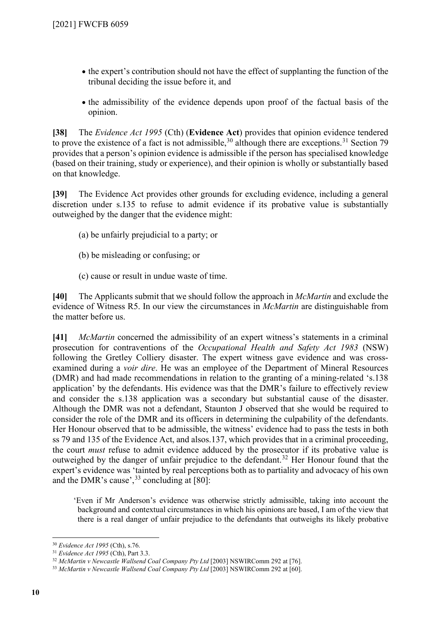- the expert's contribution should not have the effect of supplanting the function of the tribunal deciding the issue before it, and
- the admissibility of the evidence depends upon proof of the factual basis of the opinion.

**[38]** The *Evidence Act 1995* (Cth) (**Evidence Act**) provides that opinion evidence tendered to prove the existence of a fact is not admissible,  $30$  although there are exceptions.  $31$  Section 79 provides that a person's opinion evidence is admissible if the person has specialised knowledge (based on their training, study or experience), and their opinion is wholly or substantially based on that knowledge.

**[39]** The Evidence Act provides other grounds for excluding evidence, including a general discretion under s.135 to refuse to admit evidence if its probative value is substantially outweighed by the danger that the evidence might:

- (a) be unfairly prejudicial to a party; or
- (b) be misleading or confusing; or
- (c) cause or result in undue waste of time.

**[40]** The Applicants submit that we should follow the approach in *McMartin* and exclude the evidence of Witness R5. In our view the circumstances in *McMartin* are distinguishable from the matter before us.

**[41]** *McMartin* concerned the admissibility of an expert witness's statements in a criminal prosecution for contraventions of the *Occupational Health and Safety Act 1983* (NSW) following the Gretley Colliery disaster. The expert witness gave evidence and was crossexamined during a *voir dire*. He was an employee of the Department of Mineral Resources (DMR) and had made recommendations in relation to the granting of a mining-related 's.138 application' by the defendants. His evidence was that the DMR's failure to effectively review and consider the s.138 application was a secondary but substantial cause of the disaster. Although the DMR was not a defendant, Staunton J observed that she would be required to consider the role of the DMR and its officers in determining the culpability of the defendants. Her Honour observed that to be admissible, the witness' evidence had to pass the tests in both ss 79 and 135 of the Evidence Act, and alsos.137, which provides that in a criminal proceeding, the court *must* refuse to admit evidence adduced by the prosecutor if its probative value is outweighed by the danger of unfair prejudice to the defendant.<sup>[32](#page-9-2)</sup> Her Honour found that the expert's evidence was 'tainted by real perceptions both as to partiality and advocacy of his own and the DMR's cause',  $33$  concluding at [80]:

'Even if Mr Anderson's evidence was otherwise strictly admissible, taking into account the background and contextual circumstances in which his opinions are based, I am of the view that there is a real danger of unfair prejudice to the defendants that outweighs its likely probative

<span id="page-9-0"></span><sup>30</sup> *Evidence Act 1995* (Cth), s.76.

<span id="page-9-1"></span><sup>31</sup> *Evidence Act 1995* (Cth), Part 3.3.

<span id="page-9-2"></span><sup>32</sup> *McMartin v Newcastle Wallsend Coal Company Pty Ltd* [2003] NSWIRComm 292 at [76].

<span id="page-9-3"></span><sup>33</sup> *McMartin v Newcastle Wallsend Coal Company Pty Ltd* [2003] NSWIRComm 292 at [60].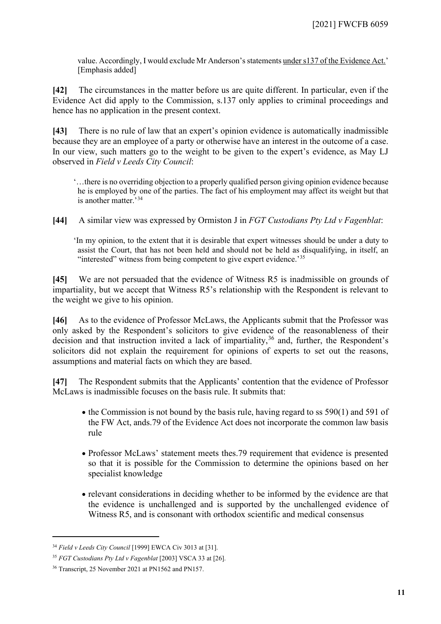value. Accordingly, I would exclude Mr Anderson's statements under s137 of the Evidence Act.' [Emphasis added]

**[42]** The circumstances in the matter before us are quite different. In particular, even if the Evidence Act did apply to the Commission, s.137 only applies to criminal proceedings and hence has no application in the present context.

**[43]** There is no rule of law that an expert's opinion evidence is automatically inadmissible because they are an employee of a party or otherwise have an interest in the outcome of a case. In our view, such matters go to the weight to be given to the expert's evidence, as May LJ observed in *Field v Leeds City Council*:

'…there is no overriding objection to a properly qualified person giving opinion evidence because he is employed by one of the parties. The fact of his employment may affect its weight but that is another matter.'[34](#page-10-0)

**[44]** A similar view was expressed by Ormiston J in *FGT Custodians Pty Ltd v Fagenblat*:

'In my opinion, to the extent that it is desirable that expert witnesses should be under a duty to assist the Court, that has not been held and should not be held as disqualifying, in itself, an "interested" witness from being competent to give expert evidence.<sup>[35](#page-10-1)</sup>

**[45]** We are not persuaded that the evidence of Witness R5 is inadmissible on grounds of impartiality, but we accept that Witness R5's relationship with the Respondent is relevant to the weight we give to his opinion.

**[46]** As to the evidence of Professor McLaws, the Applicants submit that the Professor was only asked by the Respondent's solicitors to give evidence of the reasonableness of their decision and that instruction invited a lack of impartiality,  $36$  and, further, the Respondent's solicitors did not explain the requirement for opinions of experts to set out the reasons, assumptions and material facts on which they are based.

**[47]** The Respondent submits that the Applicants' contention that the evidence of Professor McLaws is inadmissible focuses on the basis rule. It submits that:

- the Commission is not bound by the basis rule, having regard to ss 590(1) and 591 of the FW Act, ands.79 of the Evidence Act does not incorporate the common law basis rule
- Professor McLaws' statement meets thes.79 requirement that evidence is presented so that it is possible for the Commission to determine the opinions based on her specialist knowledge
- relevant considerations in deciding whether to be informed by the evidence are that the evidence is unchallenged and is supported by the unchallenged evidence of Witness R5, and is consonant with orthodox scientific and medical consensus

<span id="page-10-0"></span><sup>34</sup> *Field v Leeds City Council* [1999] EWCA Civ 3013 at [31].

<span id="page-10-1"></span><sup>&</sup>lt;sup>35</sup> *FGT Custodians Pty Ltd v Fagenblat* [2003] VSCA 33 at [26].

<span id="page-10-2"></span><sup>36</sup> Transcript, 25 November 2021 at PN1562 and PN157.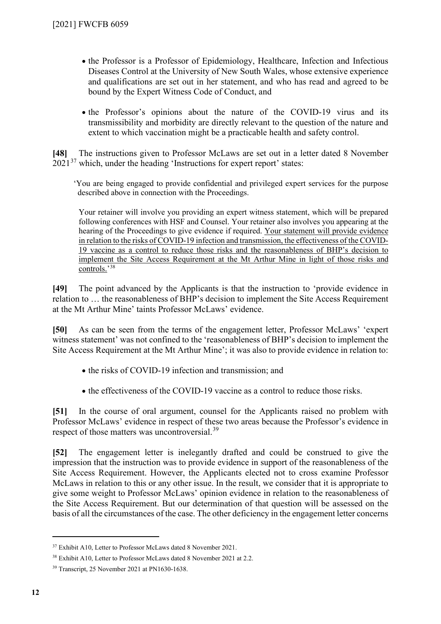- the Professor is a Professor of Epidemiology, Healthcare, Infection and Infectious Diseases Control at the University of New South Wales, whose extensive experience and qualifications are set out in her statement, and who has read and agreed to be bound by the Expert Witness Code of Conduct, and
- the Professor's opinions about the nature of the COVID-19 virus and its transmissibility and morbidity are directly relevant to the question of the nature and extent to which vaccination might be a practicable health and safety control.

**[48]** The instructions given to Professor McLaws are set out in a letter dated 8 November  $2021^{37}$  $2021^{37}$  $2021^{37}$  which, under the heading 'Instructions for expert report' states:

'You are being engaged to provide confidential and privileged expert services for the purpose described above in connection with the Proceedings.

Your retainer will involve you providing an expert witness statement, which will be prepared following conferences with HSF and Counsel. Your retainer also involves you appearing at the hearing of the Proceedings to give evidence if required. Your statement will provide evidence in relation to the risks of COVID-19 infection and transmission, the effectiveness of the COVID-19 vaccine as a control to reduce those risks and the reasonableness of BHP's decision to implement the Site Access Requirement at the Mt Arthur Mine in light of those risks and controls.'[38](#page-11-1)

**[49]** The point advanced by the Applicants is that the instruction to 'provide evidence in relation to … the reasonableness of BHP's decision to implement the Site Access Requirement at the Mt Arthur Mine' taints Professor McLaws' evidence.

**[50]** As can be seen from the terms of the engagement letter, Professor McLaws' 'expert witness statement' was not confined to the 'reasonableness of BHP's decision to implement the Site Access Requirement at the Mt Arthur Mine'; it was also to provide evidence in relation to:

- the risks of COVID-19 infection and transmission; and
- the effectiveness of the COVID-19 vaccine as a control to reduce those risks.

**[51]** In the course of oral argument, counsel for the Applicants raised no problem with Professor McLaws' evidence in respect of these two areas because the Professor's evidence in respect of those matters was uncontroversial.<sup>[39](#page-11-2)</sup>

**[52]** The engagement letter is inelegantly drafted and could be construed to give the impression that the instruction was to provide evidence in support of the reasonableness of the Site Access Requirement. However, the Applicants elected not to cross examine Professor McLaws in relation to this or any other issue. In the result, we consider that it is appropriate to give some weight to Professor McLaws' opinion evidence in relation to the reasonableness of the Site Access Requirement. But our determination of that question will be assessed on the basis of all the circumstances of the case. The other deficiency in the engagement letter concerns

<span id="page-11-0"></span><sup>37</sup> Exhibit A10, Letter to Professor McLaws dated 8 November 2021.

<span id="page-11-1"></span><sup>&</sup>lt;sup>38</sup> Exhibit A10, Letter to Professor McLaws dated 8 November 2021 at 2.2.

<span id="page-11-2"></span><sup>39</sup> Transcript, 25 November 2021 at PN1630-1638.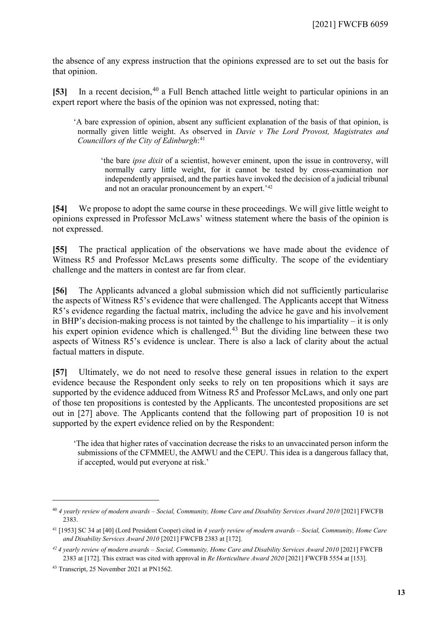the absence of any express instruction that the opinions expressed are to set out the basis for that opinion.

**[53]** In a recent decision, [40](#page-12-0) a Full Bench attached little weight to particular opinions in an expert report where the basis of the opinion was not expressed, noting that:

'A bare expression of opinion, absent any sufficient explanation of the basis of that opinion, is normally given little weight. As observed in *Davie v The Lord Provost, Magistrates and Councillors of the City of Edinburgh*: [41](#page-12-1)

'the bare *ipse dixit* of a scientist, however eminent, upon the issue in controversy, will normally carry little weight, for it cannot be tested by cross-examination nor independently appraised, and the parties have invoked the decision of a judicial tribunal and not an oracular pronouncement by an expert.'[42](#page-12-2)

**[54]** We propose to adopt the same course in these proceedings. We will give little weight to opinions expressed in Professor McLaws' witness statement where the basis of the opinion is not expressed.

**[55]** The practical application of the observations we have made about the evidence of Witness R5 and Professor McLaws presents some difficulty. The scope of the evidentiary challenge and the matters in contest are far from clear.

**[56]** The Applicants advanced a global submission which did not sufficiently particularise the aspects of Witness R5's evidence that were challenged. The Applicants accept that Witness R5's evidence regarding the factual matrix, including the advice he gave and his involvement in BHP's decision-making process is not tainted by the challenge to his impartiality – it is only his expert opinion evidence which is challenged.<sup>[43](#page-12-3)</sup> But the dividing line between these two aspects of Witness R5's evidence is unclear. There is also a lack of clarity about the actual factual matters in dispute.

**[57]** Ultimately, we do not need to resolve these general issues in relation to the expert evidence because the Respondent only seeks to rely on ten propositions which it says are supported by the evidence adduced from Witness R5 and Professor McLaws, and only one part of those ten propositions is contested by the Applicants. The uncontested propositions are set out in [\[27\]](#page-6-2) above. The Applicants contend that the following part of proposition 10 is not supported by the expert evidence relied on by the Respondent:

'The idea that higher rates of vaccination decrease the risks to an unvaccinated person inform the submissions of the CFMMEU, the AMWU and the CEPU. This idea is a dangerous fallacy that, if accepted, would put everyone at risk.'

<span id="page-12-0"></span><sup>40</sup> *4 yearly review of modern awards – Social, Community, Home Care and Disability Services Award 2010* [2021] FWCFB 2383.

<span id="page-12-1"></span><sup>41</sup> [1953] SC 34 at [40] (Lord President Cooper) cited in *4 yearly review of modern awards – Social, Community, Home Care and Disability Services Award 2010* [2021] FWCFB 2383 at [172].

<span id="page-12-2"></span>*<sup>42</sup> 4 yearly review of modern awards – Social, Community, Home Care and Disability Services Award 2010* [2021] FWCFB 2383 at [172]. This extract was cited with approval in *Re Horticulture Award 2020* [2021] FWCFB 5554 at [153].

<span id="page-12-3"></span><sup>43</sup> Transcript, 25 November 2021 at PN1562.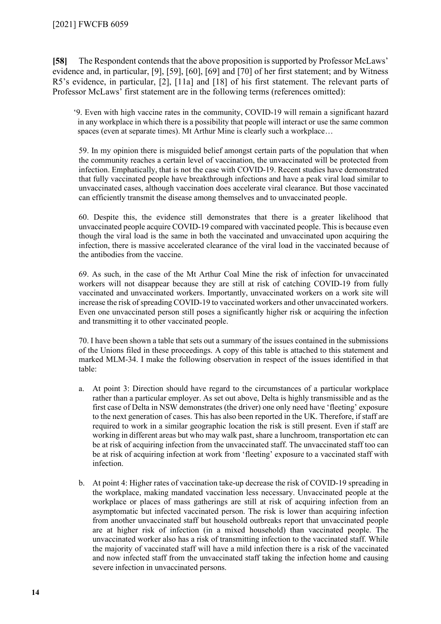**[58]** The Respondent contends that the above proposition is supported by Professor McLaws' evidence and, in particular, [9], [59], [60], [69] and [70] of her first statement; and by Witness R5's evidence, in particular, [2], [11a] and [18] of his first statement. The relevant parts of Professor McLaws' first statement are in the following terms (references omitted):

'9. Even with high vaccine rates in the community, COVID-19 will remain a significant hazard in any workplace in which there is a possibility that people will interact or use the same common spaces (even at separate times). Mt Arthur Mine is clearly such a workplace...

59. In my opinion there is misguided belief amongst certain parts of the population that when the community reaches a certain level of vaccination, the unvaccinated will be protected from infection. Emphatically, that is not the case with COVID-19. Recent studies have demonstrated that fully vaccinated people have breakthrough infections and have a peak viral load similar to unvaccinated cases, although vaccination does accelerate viral clearance. But those vaccinated can efficiently transmit the disease among themselves and to unvaccinated people.

60. Despite this, the evidence still demonstrates that there is a greater likelihood that unvaccinated people acquire COVID-19 compared with vaccinated people. This is because even though the viral load is the same in both the vaccinated and unvaccinated upon acquiring the infection, there is massive accelerated clearance of the viral load in the vaccinated because of the antibodies from the vaccine.

69. As such, in the case of the Mt Arthur Coal Mine the risk of infection for unvaccinated workers will not disappear because they are still at risk of catching COVID-19 from fully vaccinated and unvaccinated workers. Importantly, unvaccinated workers on a work site will increase the risk of spreading COVID-19 to vaccinated workers and other unvaccinated workers. Even one unvaccinated person still poses a significantly higher risk or acquiring the infection and transmitting it to other vaccinated people.

70. I have been shown a table that sets out a summary of the issues contained in the submissions of the Unions filed in these proceedings. A copy of this table is attached to this statement and marked MLM-34. I make the following observation in respect of the issues identified in that table:

- a. At point 3: Direction should have regard to the circumstances of a particular workplace rather than a particular employer. As set out above, Delta is highly transmissible and as the first case of Delta in NSW demonstrates (the driver) one only need have 'fleeting' exposure to the next generation of cases. This has also been reported in the UK. Therefore, if staff are required to work in a similar geographic location the risk is still present. Even if staff are working in different areas but who may walk past, share a lunchroom, transportation etc can be at risk of acquiring infection from the unvaccinated staff. The unvaccinated staff too can be at risk of acquiring infection at work from 'fleeting' exposure to a vaccinated staff with infection.
- b. At point 4: Higher rates of vaccination take-up decrease the risk of COVID-19 spreading in the workplace, making mandated vaccination less necessary. Unvaccinated people at the workplace or places of mass gatherings are still at risk of acquiring infection from an asymptomatic but infected vaccinated person. The risk is lower than acquiring infection from another unvaccinated staff but household outbreaks report that unvaccinated people are at higher risk of infection (in a mixed household) than vaccinated people. The unvaccinated worker also has a risk of transmitting infection to the vaccinated staff. While the majority of vaccinated staff will have a mild infection there is a risk of the vaccinated and now infected staff from the unvaccinated staff taking the infection home and causing severe infection in unvaccinated persons.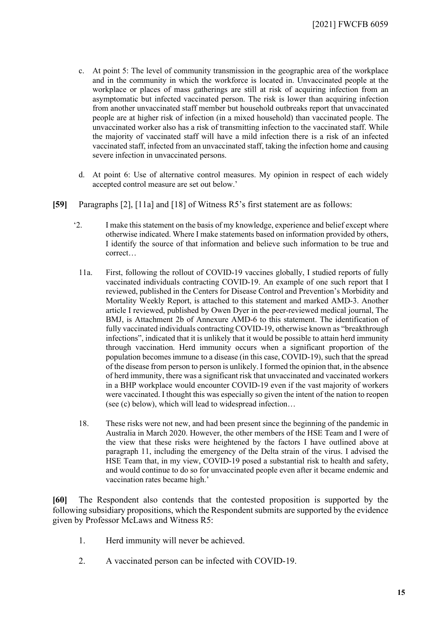- c. At point 5: The level of community transmission in the geographic area of the workplace and in the community in which the workforce is located in. Unvaccinated people at the workplace or places of mass gatherings are still at risk of acquiring infection from an asymptomatic but infected vaccinated person. The risk is lower than acquiring infection from another unvaccinated staff member but household outbreaks report that unvaccinated people are at higher risk of infection (in a mixed household) than vaccinated people. The unvaccinated worker also has a risk of transmitting infection to the vaccinated staff. While the majority of vaccinated staff will have a mild infection there is a risk of an infected vaccinated staff, infected from an unvaccinated staff, taking the infection home and causing severe infection in unvaccinated persons.
- d. At point 6: Use of alternative control measures. My opinion in respect of each widely accepted control measure are set out below.'
- **[59]** Paragraphs [2], [11a] and [18] of Witness R5's first statement are as follows:
	- '2. I make this statement on the basis of my knowledge, experience and belief except where otherwise indicated. Where I make statements based on information provided by others, I identify the source of that information and believe such information to be true and correct…
		- 11a. First, following the rollout of COVID-19 vaccines globally, I studied reports of fully vaccinated individuals contracting COVID-19. An example of one such report that I reviewed, published in the Centers for Disease Control and Prevention's Morbidity and Mortality Weekly Report, is attached to this statement and marked AMD-3. Another article I reviewed, published by Owen Dyer in the peer-reviewed medical journal, The BMJ, is Attachment 2b of Annexure AMD-6 to this statement. The identification of fully vaccinated individuals contracting COVID-19, otherwise known as "breakthrough infections", indicated that it is unlikely that it would be possible to attain herd immunity through vaccination. Herd immunity occurs when a significant proportion of the population becomes immune to a disease (in this case, COVID-19), such that the spread of the disease from person to person is unlikely. I formed the opinion that, in the absence of herd immunity, there was a significant risk that unvaccinated and vaccinated workers in a BHP workplace would encounter COVID-19 even if the vast majority of workers were vaccinated. I thought this was especially so given the intent of the nation to reopen (see (c) below), which will lead to widespread infection…
		- 18. These risks were not new, and had been present since the beginning of the pandemic in Australia in March 2020. However, the other members of the HSE Team and I were of the view that these risks were heightened by the factors I have outlined above at paragraph 11, including the emergency of the Delta strain of the virus. I advised the HSE Team that, in my view, COVID-19 posed a substantial risk to health and safety, and would continue to do so for unvaccinated people even after it became endemic and vaccination rates became high.'

**[60]** The Respondent also contends that the contested proposition is supported by the following subsidiary propositions, which the Respondent submits are supported by the evidence given by Professor McLaws and Witness R5:

- 1. Herd immunity will never be achieved.
- 2. A vaccinated person can be infected with COVID-19.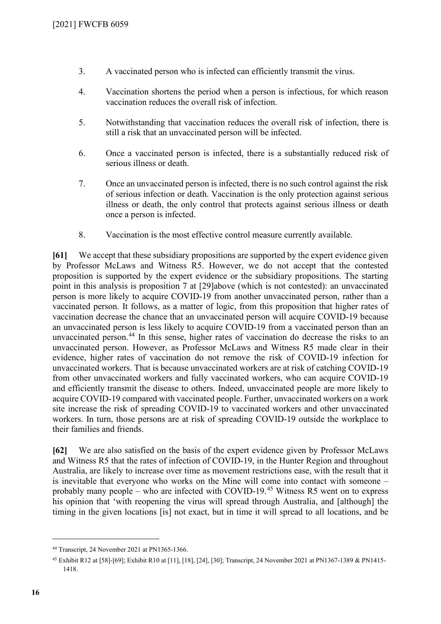- 3. A vaccinated person who is infected can efficiently transmit the virus.
- 4. Vaccination shortens the period when a person is infectious, for which reason vaccination reduces the overall risk of infection.
- 5. Notwithstanding that vaccination reduces the overall risk of infection, there is still a risk that an unvaccinated person will be infected.
- 6. Once a vaccinated person is infected, there is a substantially reduced risk of serious illness or death.
- 7. Once an unvaccinated person is infected, there is no such control against the risk of serious infection or death. Vaccination is the only protection against serious illness or death, the only control that protects against serious illness or death once a person is infected.
- 8. Vaccination is the most effective control measure currently available.

**[61]** We accept that these subsidiary propositions are supported by the expert evidence given by Professor McLaws and Witness R5. However, we do not accept that the contested proposition is supported by the expert evidence or the subsidiary propositions. The starting point in this analysis is proposition 7 at [\[29\]a](#page-6-0)bove (which is not contested): an unvaccinated person is more likely to acquire COVID-19 from another unvaccinated person, rather than a vaccinated person. It follows, as a matter of logic, from this proposition that higher rates of vaccination decrease the chance that an unvaccinated person will acquire COVID-19 because an unvaccinated person is less likely to acquire COVID-19 from a vaccinated person than an unvaccinated person.<sup>[44](#page-15-0)</sup> In this sense, higher rates of vaccination do decrease the risks to an unvaccinated person. However, as Professor McLaws and Witness R5 made clear in their evidence, higher rates of vaccination do not remove the risk of COVID-19 infection for unvaccinated workers. That is because unvaccinated workers are at risk of catching COVID-19 from other unvaccinated workers and fully vaccinated workers, who can acquire COVID-19 and efficiently transmit the disease to others. Indeed, unvaccinated people are more likely to acquire COVID-19 compared with vaccinated people. Further, unvaccinated workers on a work site increase the risk of spreading COVID-19 to vaccinated workers and other unvaccinated workers. In turn, those persons are at risk of spreading COVID-19 outside the workplace to their families and friends.

<span id="page-15-2"></span>**[62]** We are also satisfied on the basis of the expert evidence given by Professor McLaws and Witness R5 that the rates of infection of COVID-19, in the Hunter Region and throughout Australia, are likely to increase over time as movement restrictions ease, with the result that it is inevitable that everyone who works on the Mine will come into contact with someone – probably many people – who are infected with COVID-19.<sup>[45](#page-15-1)</sup> Witness R5 went on to express his opinion that 'with reopening the virus will spread through Australia, and [although] the timing in the given locations [is] not exact, but in time it will spread to all locations, and be

<span id="page-15-0"></span><sup>44</sup> Transcript, 24 November 2021 at PN1365-1366.

<span id="page-15-1"></span><sup>45</sup> Exhibit R12 at [58]-[69]; Exhibit R10 at [11], [18], [24], [30]; Transcript, 24 November 2021 at PN1367-1389 & PN1415- 1418.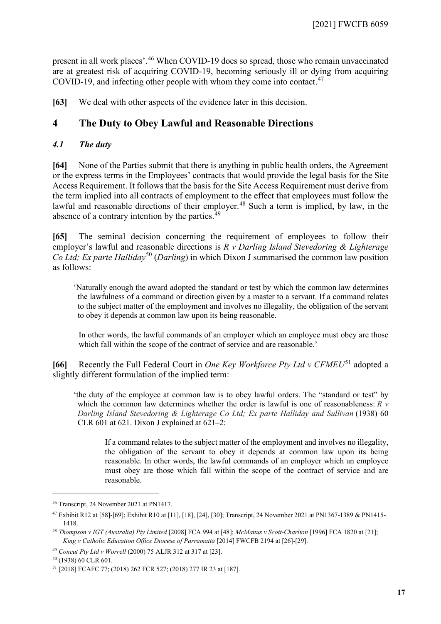present in all work places'. [46](#page-16-1) When COVID-19 does so spread, those who remain unvaccinated are at greatest risk of acquiring COVID-19, becoming seriously ill or dying from acquiring COVID-19, and infecting other people with whom they come into contact. $47$ 

**[63]** We deal with other aspects of the evidence later in this decision.

# **4 The Duty to Obey Lawful and Reasonable Directions**

# *4.1 The duty*

<span id="page-16-0"></span>**[64]** None of the Parties submit that there is anything in public health orders, the Agreement or the express terms in the Employees' contracts that would provide the legal basis for the Site Access Requirement. It follows that the basis for the Site Access Requirement must derive from the term implied into all contracts of employment to the effect that employees must follow the lawful and reasonable directions of their employer.<sup>[48](#page-16-3)</sup> Such a term is implied, by law, in the absence of a contrary intention by the parties. $49$ 

**[65]** The seminal decision concerning the requirement of employees to follow their employer's lawful and reasonable directions is *R v Darling Island Stevedoring & Lighterage Co Ltd; Ex parte Halliday*<sup>[50](#page-16-5)</sup> (*Darling*) in which Dixon J summarised the common law position as follows:

'Naturally enough the award adopted the standard or test by which the common law determines the lawfulness of a command or direction given by a master to a servant. If a command relates to the subject matter of the employment and involves no illegality, the obligation of the servant to obey it depends at common law upon its being reasonable.

In other words, the lawful commands of an employer which an employee must obey are those which fall within the scope of the contract of service and are reasonable.'

**[66]** Recently the Full Federal Court in *One Key Workforce Pty Ltd v CFMEU*[51](#page-16-6) adopted a slightly different formulation of the implied term:

'the duty of the employee at common law is to obey lawful orders. The "standard or test" by which the common law determines whether the order is lawful is one of reasonableness: *R v Darling Island Stevedoring & Lighterage Co Ltd; Ex parte Halliday and Sullivan* (1938) 60 CLR 601 at 621. Dixon J explained at 621–2:

If a command relates to the subject matter of the employment and involves no illegality, the obligation of the servant to obey it depends at common law upon its being reasonable. In other words, the lawful commands of an employer which an employee must obey are those which fall within the scope of the contract of service and are reasonable.

<span id="page-16-1"></span><sup>46</sup> Transcript, 24 November 2021 at PN1417.

<span id="page-16-2"></span><sup>47</sup> Exhibit R12 at [58]-[69]; Exhibit R10 at [11], [18], [24], [30]; Transcript, 24 November 2021 at PN1367-1389 & PN1415- 1418.

<span id="page-16-3"></span><sup>48</sup> *Thompson v IGT (Australia) Pty Limited* [2008] FCA 994 at [48]; *McManus v Scott-Charlton* [1996] FCA 1820 at [21]; *King v Catholic Education Office Diocese of Parramatta* [2014] FWCFB 2194 at [26]-[29].

<span id="page-16-4"></span><sup>49</sup> *Concut Pty Ltd v Worrell* (2000) 75 ALJR 312 at 317 at [23].

<span id="page-16-5"></span><sup>50</sup> (1938) 60 CLR 601.

<span id="page-16-6"></span><sup>51</sup> [2018] FCAFC 77; (2018) 262 FCR 527; (2018) 277 IR 23 at [187].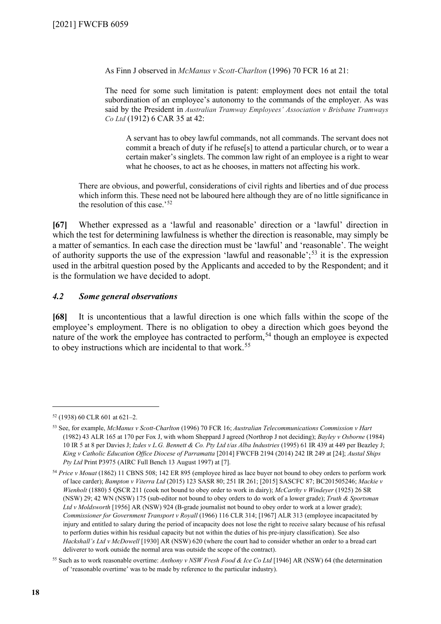As Finn J observed in *McManus v Scott-Charlton* (1996) 70 FCR 16 at 21:

The need for some such limitation is patent: employment does not entail the total subordination of an employee's autonomy to the commands of the employer. As was said by the President in *Australian Tramway Employees' Association v Brisbane Tramways Co Ltd* (1912) 6 CAR 35 at 42:

A servant has to obey lawful commands, not all commands. The servant does not commit a breach of duty if he refuse[s] to attend a particular church, or to wear a certain maker's singlets. The common law right of an employee is a right to wear what he chooses, to act as he chooses, in matters not affecting his work.

There are obvious, and powerful, considerations of civil rights and liberties and of due process which inform this. These need not be laboured here although they are of no little significance in the resolution of this case.'<sup>[52](#page-17-1)</sup>

**[67]** Whether expressed as a 'lawful and reasonable' direction or a 'lawful' direction in which the test for determining lawfulness is whether the direction is reasonable, may simply be a matter of semantics. In each case the direction must be 'lawful' and 'reasonable'. The weight of authority supports the use of the expression 'lawful and reasonable';  $53$  it is the expression used in the arbitral question posed by the Applicants and acceded to by the Respondent; and it is the formulation we have decided to adopt.

# *4.2 Some general observations*

<span id="page-17-0"></span>**[68]** It is uncontentious that a lawful direction is one which falls within the scope of the employee's employment. There is no obligation to obey a direction which goes beyond the nature of the work the employee has contracted to perform,<sup>[54](#page-17-3)</sup> though an employee is expected to obey instructions which are incidental to that work.<sup>[55](#page-17-4)</sup>

<span id="page-17-1"></span><sup>52</sup> (1938) 60 CLR 601 at 621–2.

<span id="page-17-2"></span><sup>53</sup> See, for example, *McManus v Scott-Charlton* (1996) 70 FCR 16; *Australian Telecommunications Commission v Hart*  (1982) 43 ALR 165 at 170 per Fox J, with whom Sheppard J agreed (Northrop J not deciding); *Bayley v Osborne* (1984) 10 IR 5 at 8 per Davies J; *Izdes v L.G. Bennett & Co. Pty Ltd t/as Alba Industries* (1995) 61 IR 439 at 449 per Beazley J; *King v Catholic Education Office Diocese of Parramatta* [2014] FWCFB 2194 (2014) 242 IR 249 at [24]; *Austal Ships Pty Ltd* Print P3975 (AIRC Full Bench 13 August 1997) at [7].

<span id="page-17-3"></span><sup>54</sup> *Price v Mouat* (1862) 11 CBNS 508; 142 ER 895 (employee hired as lace buyer not bound to obey orders to perform work of lace carder); *Bampton v Viterra Ltd* (2015) 123 SASR 80; 251 IR 261; [2015] SASCFC 87; BC201505246; *Mackie v Wienholt* (1880) 5 QSCR 211 (cook not bound to obey order to work in dairy); *McCarthy v Windeyer* (1925) 26 SR (NSW) 29; 42 WN (NSW) 175 (sub-editor not bound to obey orders to do work of a lower grade); *Truth & Sportsman Ltd v Moldsworth* [1956] AR (NSW) 924 (B-grade journalist not bound to obey order to work at a lower grade); *Commissioner for Government Transport v Royall* (1966) 116 CLR 314; [1967] ALR 313 (employee incapacitated by injury and entitled to salary during the period of incapacity does not lose the right to receive salary because of his refusal to perform duties within his residual capacity but not within the duties of his pre-injury classification). See also *Hackshall's Ltd v McDowell* [1930] AR (NSW) 620 (where the court had to consider whether an order to a bread cart deliverer to work outside the normal area was outside the scope of the contract).

<span id="page-17-4"></span><sup>55</sup> Such as to work reasonable overtime: *Anthony v NSW Fresh Food & Ice Co Ltd* [1946] AR (NSW) 64 (the determination of 'reasonable overtime' was to be made by reference to the particular industry).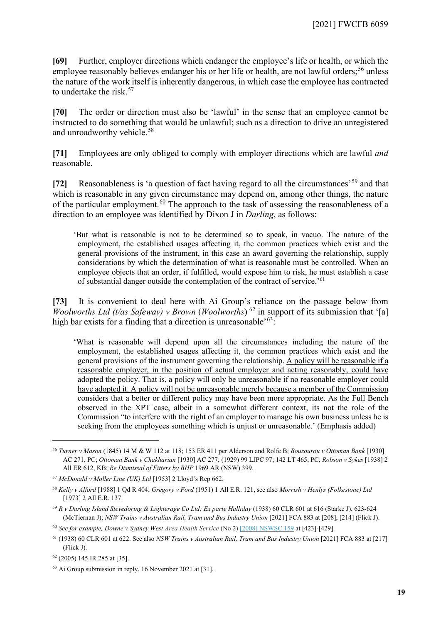**[69]** Further, employer directions which endanger the employee's life or health, or which the employee reasonably believes endanger his or her life or health, are not lawful orders;<sup>[56](#page-18-0)</sup> unless the nature of the work itself is inherently dangerous, in which case the employee has contracted to undertake the risk.[57](#page-18-1)

**[70]** The order or direction must also be 'lawful' in the sense that an employee cannot be instructed to do something that would be unlawful; such as a direction to drive an unregistered and unroadworthy vehicle.<sup>58</sup>

**[71]** Employees are only obliged to comply with employer directions which are lawful *and*  reasonable.

**[72]** Reasonableness is 'a question of fact having regard to all the circumstances'[59](#page-18-3) and that which is reasonable in any given circumstance may depend on, among other things, the nature of the particular employment.<sup>[60](#page-18-4)</sup> The approach to the task of assessing the reasonableness of a direction to an employee was identified by Dixon J in *Darling*, as follows:

'But what is reasonable is not to be determined so to speak, in vacuo. The nature of the employment, the established usages affecting it, the common practices which exist and the general provisions of the instrument, in this case an award governing the relationship, supply considerations by which the determination of what is reasonable must be controlled. When an employee objects that an order, if fulfilled, would expose him to risk, he must establish a case of substantial danger outside the contemplation of the contract of service.'[61](#page-18-5)

**[73]** It is convenient to deal here with Ai Group's reliance on the passage below from *Woolworths Ltd (t/as Safeway) v Brown (Woolworths)* <sup>[62](#page-18-6)</sup> in support of its submission that '[a] high bar exists for a finding that a direction is unreasonable<sup> $63$ </sup>:

'What is reasonable will depend upon all the circumstances including the nature of the employment, the established usages affecting it, the common practices which exist and the general provisions of the instrument governing the relationship. A policy will be reasonable if a reasonable employer, in the position of actual employer and acting reasonably, could have adopted the policy. That is, a policy will only be unreasonable if no reasonable employer could have adopted it. A policy will not be unreasonable merely because a member of the Commission considers that a better or different policy may have been more appropriate. As the Full Bench observed in the XPT case, albeit in a somewhat different context, its not the role of the Commission "to interfere with the right of an employer to manage his own business unless he is seeking from the employees something which is unjust or unreasonable.' (Emphasis added)

<span id="page-18-0"></span><sup>56</sup> *Turner v Mason* (1845) 14 M & W 112 at 118; 153 ER 411 per Alderson and Rolfe B; *Bouzourou v Ottoman Bank* [1930] AC 271, PC; *Ottoman Bank v Chakharian* [1930] AC 277; (1929) 99 LJPC 97; 142 LT 465, PC; *Robson v Sykes* [1938] 2 All ER 612, KB; *Re Dismissal of Fitters by BHP* 1969 AR (NSW) 399.

<span id="page-18-1"></span><sup>57</sup> *McDonald v Moller Line (UK) Ltd* [1953] 2 Lloyd's Rep 662.

<span id="page-18-2"></span><sup>58</sup> *Kelly v Alford* [1988] 1 Qd R 404; *Gregory v Ford* (1951) 1 All E.R. 121, see also *Morrish v Henlys (Folkestone) Ltd*  [1973] 2 All E.R. 137.

<span id="page-18-3"></span><sup>59</sup> *R v Darling Island Stevedoring & Lighterage Co Ltd; Ex parte Halliday* (1938) 60 CLR 601 at 616 (Starke J), 623-624 (McTiernan J); *NSW Trains v Australian Rail, Tram and Bus Industry Union* [2021] FCA 883 at [208], [214] (Flick J).

<span id="page-18-4"></span><sup>60</sup> *See for example, Downe v Sydney West Area Health Service* (No 2) [\[2008\] NSWSC 159](http://www.austlii.edu.au/cgi-bin/viewdoc/au/cases/nsw/NSWSC/2008/159.html) at [423]-[429].

<span id="page-18-5"></span><sup>61</sup> (1938) 60 CLR 601 at 622. See also *NSW Trains v Australian Rail, Tram and Bus Industry Union* [2021] FCA 883 at [217] (Flick J).

<span id="page-18-6"></span><sup>62</sup> (2005) 145 IR 285 at [35].

<span id="page-18-7"></span><sup>63</sup> Ai Group submission in reply, 16 November 2021 at [31].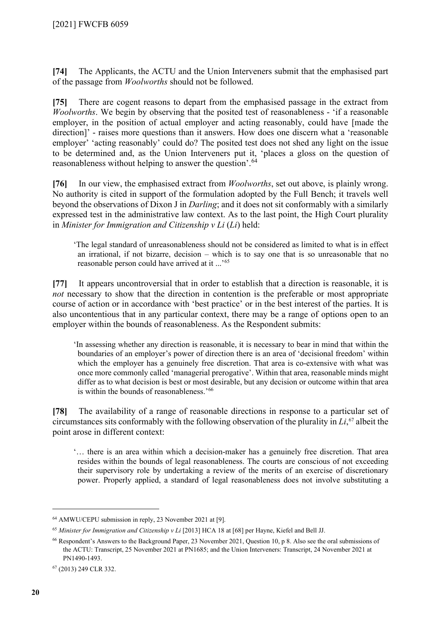**[74]** The Applicants, the ACTU and the Union Interveners submit that the emphasised part of the passage from *Woolworths* should not be followed.

**[75]** There are cogent reasons to depart from the emphasised passage in the extract from *Woolworths*. We begin by observing that the posited test of reasonableness - 'if a reasonable employer, in the position of actual employer and acting reasonably, could have [made the direction]' - raises more questions than it answers. How does one discern what a 'reasonable employer' 'acting reasonably' could do? The posited test does not shed any light on the issue to be determined and, as the Union Interveners put it, 'places a gloss on the question of reasonableness without helping to answer the question'.<sup>[64](#page-19-0)</sup>

**[76]** In our view, the emphasised extract from *Woolworths*, set out above, is plainly wrong. No authority is cited in support of the formulation adopted by the Full Bench; it travels well beyond the observations of Dixon J in *Darling*; and it does not sit conformably with a similarly expressed test in the administrative law context. As to the last point, the High Court plurality in *Minister for Immigration and Citizenship v Li* (*Li*) held:

'The legal standard of unreasonableness should not be considered as limited to what is in effect an irrational, if not bizarre, decision – which is to say one that is so unreasonable that no reasonable person could have arrived at it ...'[65](#page-19-1)

<span id="page-19-4"></span>**[77]** It appears uncontroversial that in order to establish that a direction is reasonable, it is *not* necessary to show that the direction in contention is the preferable or most appropriate course of action or in accordance with 'best practice' or in the best interest of the parties. It is also uncontentious that in any particular context, there may be a range of options open to an employer within the bounds of reasonableness. As the Respondent submits:

'In assessing whether any direction is reasonable, it is necessary to bear in mind that within the boundaries of an employer's power of direction there is an area of 'decisional freedom' within which the employer has a genuinely free discretion. That area is co-extensive with what was once more commonly called 'managerial prerogative'. Within that area, reasonable minds might differ as to what decision is best or most desirable, but any decision or outcome within that area is within the bounds of reasonableness.'[66](#page-19-2)

**[78]** The availability of a range of reasonable directions in response to a particular set of circumstances sits conformably with the following observation of the plurality in *Li*, [67](#page-19-3) albeit the point arose in different context:

'… there is an area within which a decision-maker has a genuinely free discretion. That area resides within the bounds of legal reasonableness. The courts are conscious of not exceeding their supervisory role by undertaking a review of the merits of an exercise of discretionary power. Properly applied, a standard of legal reasonableness does not involve substituting a

<span id="page-19-0"></span><sup>64</sup> AMWU/CEPU submission in reply, 23 November 2021 at [9].

<span id="page-19-1"></span><sup>&</sup>lt;sup>65</sup> Minister for Immigration and Citizenship v Li [2013] HCA 18 at [68] per Hayne, Kiefel and Bell JJ.

<span id="page-19-2"></span><sup>66</sup> Respondent's Answers to the Background Paper, 23 November 2021, Question 10, p 8. Also see the oral submissions of the ACTU: Transcript, 25 November 2021 at PN1685; and the Union Interveners: Transcript, 24 November 2021 at PN1490-1493.

<span id="page-19-3"></span><sup>67</sup> (2013) 249 CLR 332.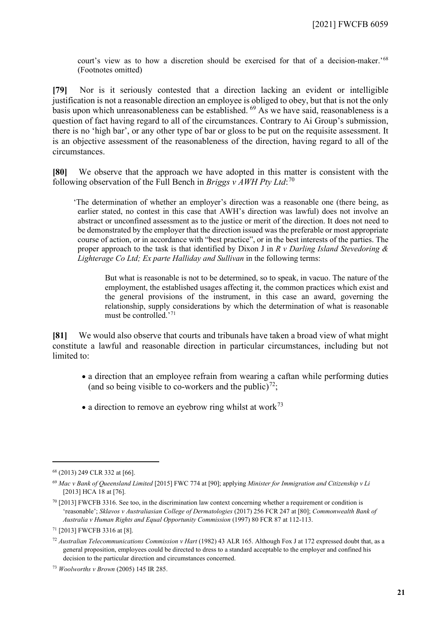court's view as to how a discretion should be exercised for that of a decision-maker.'[68](#page-20-0) (Footnotes omitted)

**[79]** Nor is it seriously contested that a direction lacking an evident or intelligible justification is not a reasonable direction an employee is obliged to obey, but that is not the only basis upon which unreasonableness can be established. <sup>[69](#page-20-1)</sup> As we have said, reasonableness is a question of fact having regard to all of the circumstances. Contrary to Ai Group's submission, there is no 'high bar', or any other type of bar or gloss to be put on the requisite assessment. It is an objective assessment of the reasonableness of the direction, having regard to all of the circumstances.

**[80]** We observe that the approach we have adopted in this matter is consistent with the following observation of the Full Bench in *Briggs v AWH Pty Ltd*: [70](#page-20-2)

'The determination of whether an employer's direction was a reasonable one (there being, as earlier stated, no contest in this case that AWH's direction was lawful) does not involve an abstract or unconfined assessment as to the justice or merit of the direction. It does not need to be demonstrated by the employer that the direction issued was the preferable or most appropriate course of action, or in accordance with "best practice", or in the best interests of the parties. The proper approach to the task is that identified by Dixon J in *R v Darling Island Stevedoring & Lighterage Co Ltd; Ex parte Halliday and Sullivan* in the following terms:

But what is reasonable is not to be determined, so to speak, in vacuo. The nature of the employment, the established usages affecting it, the common practices which exist and the general provisions of the instrument, in this case an award, governing the relationship, supply considerations by which the determination of what is reasonable must be controlled.'[71](#page-20-3)

**[81]** We would also observe that courts and tribunals have taken a broad view of what might constitute a lawful and reasonable direction in particular circumstances, including but not limited to:

- a direction that an employee refrain from wearing a caftan while performing duties (and so being visible to co-workers and the public)<sup>72</sup>;
- a direction to remove an eyebrow ring whilst at work<sup>[73](#page-20-5)</sup>

<span id="page-20-0"></span><sup>68</sup> (2013) 249 CLR 332 at [66].

<span id="page-20-1"></span><sup>69</sup> *Mac v Bank of Queensland Limited* [2015] FWC 774 at [90]; applying *Minister for Immigration and Citizenship v Li*  [2013] HCA 18 at [76].

<span id="page-20-2"></span><sup>70</sup> [2013] FWCFB 3316. See too, in the discrimination law context concerning whether a requirement or condition is 'reasonable'; *Sklavos v Australiasian College of Dermatologies* (2017) 256 FCR 247 at [80]; *Commonwealth Bank of Australia v Human Rights and Equal Opportunity Commission* (1997) 80 FCR 87 at 112-113.

<span id="page-20-3"></span><sup>71</sup> [2013] FWCFB 3316 at [8].

<span id="page-20-4"></span><sup>72</sup> *Australian Telecommunications Commission v Hart* (1982) 43 ALR 165. Although Fox J at 172 expressed doubt that, as a general proposition, employees could be directed to dress to a standard acceptable to the employer and confined his decision to the particular direction and circumstances concerned.

<span id="page-20-5"></span><sup>73</sup> *Woolworths v Brown* (2005) 145 IR 285.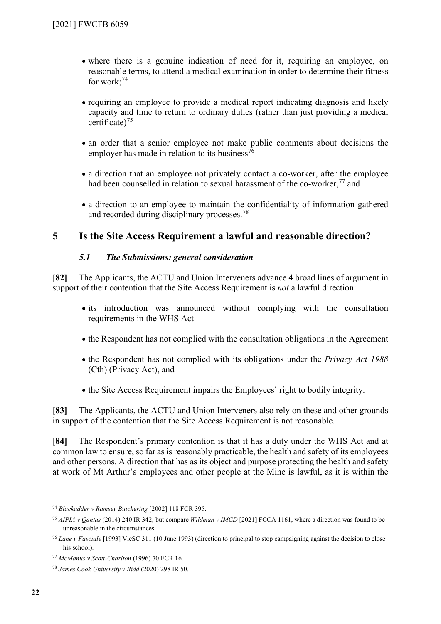- where there is a genuine indication of need for it, requiring an employee, on reasonable terms, to attend a medical examination in order to determine their fitness for work; [74](#page-21-1)
- requiring an employee to provide a medical report indicating diagnosis and likely capacity and time to return to ordinary duties (rather than just providing a medical certificate) $^{75}$  $^{75}$  $^{75}$
- an order that a senior employee not make public comments about decisions the employer has made in relation to its business<sup>[76](#page-21-3)</sup>
- a direction that an employee not privately contact a co-worker, after the employee had been counselled in relation to sexual harassment of the co-worker,  $77$  and
- a direction to an employee to maintain the confidentiality of information gathered and recorded during disciplinary processes.<sup>[78](#page-21-5)</sup>

# **5 Is the Site Access Requirement a lawful and reasonable direction?**

# *5.1 The Submissions: general consideration*

<span id="page-21-0"></span>**[82]** The Applicants, the ACTU and Union Interveners advance 4 broad lines of argument in support of their contention that the Site Access Requirement is *not* a lawful direction:

- its introduction was announced without complying with the consultation requirements in the WHS Act
- the Respondent has not complied with the consultation obligations in the Agreement
- the Respondent has not complied with its obligations under the *Privacy Act 1988* (Cth) (Privacy Act), and
- the Site Access Requirement impairs the Employees' right to bodily integrity.

**[83]** The Applicants, the ACTU and Union Interveners also rely on these and other grounds in support of the contention that the Site Access Requirement is not reasonable.

**[84]** The Respondent's primary contention is that it has a duty under the WHS Act and at common law to ensure, so far as is reasonably practicable, the health and safety of its employees and other persons. A direction that has as its object and purpose protecting the health and safety at work of Mt Arthur's employees and other people at the Mine is lawful, as it is within the

<span id="page-21-1"></span><sup>74</sup> *Blackadder v Ramsey Butchering* [2002] 118 FCR 395.

<span id="page-21-2"></span><sup>75</sup> *AIPIA v Qantas* (2014) 240 IR 342; but compare *Wildman v IMCD* [2021] FCCA 1161, where a direction was found to be unreasonable in the circumstances.

<span id="page-21-3"></span><sup>76</sup> *Lane v Fasciale* [1993] VicSC 311 (10 June 1993) (direction to principal to stop campaigning against the decision to close his school).

<span id="page-21-4"></span><sup>77</sup> *McManus v Scott-Charlton* (1996) 70 FCR 16.

<span id="page-21-5"></span><sup>78</sup> *James Cook University v Ridd* (2020) 298 IR 50.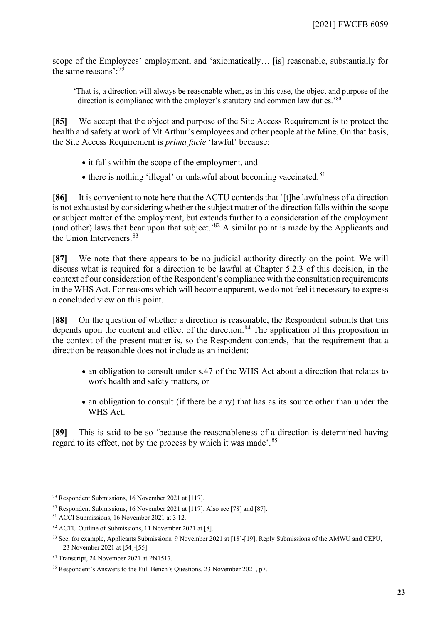scope of the Employees' employment, and 'axiomatically… [is] reasonable, substantially for the same reasons':[79](#page-22-0)

'That is, a direction will always be reasonable when, as in this case, the object and purpose of the direction is compliance with the employer's statutory and common law duties.'<sup>[80](#page-22-1)</sup>

<span id="page-22-7"></span>**[85]** We accept that the object and purpose of the Site Access Requirement is to protect the health and safety at work of Mt Arthur's employees and other people at the Mine. On that basis, the Site Access Requirement is *prima facie* 'lawful' because:

- it falls within the scope of the employment, and
- $\bullet$  there is nothing 'illegal' or unlawful about becoming vaccinated.<sup>[81](#page-22-2)</sup>

**[86]** It is convenient to note here that the ACTU contends that '[t]he lawfulness of a direction is not exhausted by considering whether the subject matter of the direction falls within the scope or subject matter of the employment, but extends further to a consideration of the employment (and other) laws that bear upon that subject.'[82](#page-22-3) A similar point is made by the Applicants and the Union Interveners.[83](#page-22-4)

**[87]** We note that there appears to be no judicial authority directly on the point. We will discuss what is required for a direction to be lawful at Chapter 5.2.3 of this decision, in the context of our consideration of the Respondent's compliance with the consultation requirements in the WHS Act. For reasons which will become apparent, we do not feel it necessary to express a concluded view on this point.

**[88]** On the question of whether a direction is reasonable, the Respondent submits that this depends upon the content and effect of the direction.<sup>[84](#page-22-5)</sup> The application of this proposition in the context of the present matter is, so the Respondent contends, that the requirement that a direction be reasonable does not include as an incident:

- an obligation to consult under s.47 of the WHS Act about a direction that relates to work health and safety matters, or
- an obligation to consult (if there be any) that has as its source other than under the WHS Act.

**[89]** This is said to be so 'because the reasonableness of a direction is determined having regard to its effect, not by the process by which it was made'.<sup>[85](#page-22-6)</sup>

<span id="page-22-0"></span><sup>79</sup> Respondent Submissions, 16 November 2021 at [117].

<span id="page-22-1"></span><sup>80</sup> Respondent Submissions, 16 November 2021 at [117]. Also see [78] and [87].

<span id="page-22-2"></span><sup>81</sup> ACCI Submissions, 16 November 2021 at 3.12.

<span id="page-22-3"></span><sup>82</sup> ACTU Outline of Submissions, 11 November 2021 at [8].

<span id="page-22-4"></span><sup>83</sup> See, for example, Applicants Submissions, 9 November 2021 at [18]-[19]; Reply Submissions of the AMWU and CEPU, 23 November 2021 at [54]-[55].

<span id="page-22-5"></span><sup>84</sup> Transcript, 24 November 2021 at PN1517.

<span id="page-22-6"></span><sup>85</sup> Respondent's Answers to the Full Bench's Questions, 23 November 2021, p7.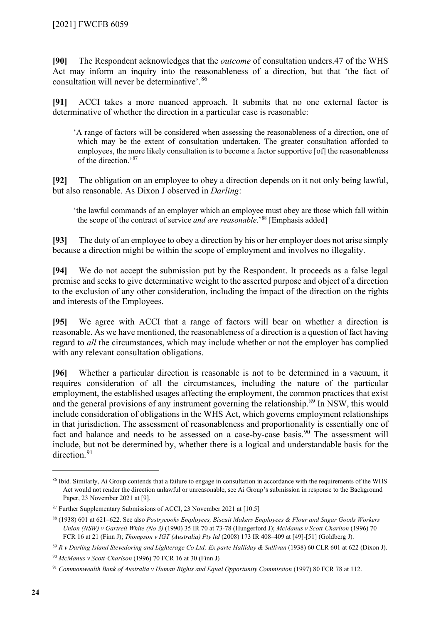**[90]** The Respondent acknowledges that the *outcome* of consultation unders.47 of the WHS Act may inform an inquiry into the reasonableness of a direction, but that 'the fact of consultation will never be determinative'.<sup>[86](#page-23-0)</sup>

**[91]** ACCI takes a more nuanced approach. It submits that no one external factor is determinative of whether the direction in a particular case is reasonable:

'A range of factors will be considered when assessing the reasonableness of a direction, one of which may be the extent of consultation undertaken. The greater consultation afforded to employees, the more likely consultation is to become a factor supportive [of] the reasonableness of the direction.'[87](#page-23-1)

**[92]** The obligation on an employee to obey a direction depends on it not only being lawful, but also reasonable. As Dixon J observed in *Darling*:

'the lawful commands of an employer which an employee must obey are those which fall within the scope of the contract of service *and are reasonable*.'[88](#page-23-2) [Emphasis added]

**[93]** The duty of an employee to obey a direction by his or her employer does not arise simply because a direction might be within the scope of employment and involves no illegality.

**[94]** We do not accept the submission put by the Respondent. It proceeds as a false legal premise and seeks to give determinative weight to the asserted purpose and object of a direction to the exclusion of any other consideration, including the impact of the direction on the rights and interests of the Employees.

**[95]** We agree with ACCI that a range of factors will bear on whether a direction is reasonable. As we have mentioned, the reasonableness of a direction is a question of fact having regard to *all* the circumstances, which may include whether or not the employer has complied with any relevant consultation obligations.

**[96]** Whether a particular direction is reasonable is not to be determined in a vacuum, it requires consideration of all the circumstances, including the nature of the particular employment, the established usages affecting the employment, the common practices that exist and the general provisions of any instrument governing the relationship.<sup>[89](#page-23-3)</sup> In NSW, this would include consideration of obligations in the WHS Act, which governs employment relationships in that jurisdiction. The assessment of reasonableness and proportionality is essentially one of fact and balance and needs to be assessed on a case-by-case basis.<sup>[90](#page-23-4)</sup> The assessment will include, but not be determined by, whether there is a logical and understandable basis for the direction.<sup>[91](#page-23-5)</sup>

<span id="page-23-0"></span><sup>86</sup> Ibid. Similarly, Ai Group contends that a failure to engage in consultation in accordance with the requirements of the WHS Act would not render the direction unlawful or unreasonable, see Ai Group's submission in response to the Background Paper, 23 November 2021 at [9].

<span id="page-23-1"></span><sup>87</sup> Further Supplementary Submissions of ACCI, 23 November 2021 at [10.5]

<span id="page-23-2"></span><sup>88</sup> (1938) 601 at 621–622. See also *Pastrycooks Employees, Biscuit Makers Employees & Flour and Sugar Goods Workers Union (NSW) v Gartrell White (No 3)* (1990) 35 IR 70 at 73-78 (Hungerford J); *McManus v Scott-Charlton* (1996) 70 FCR 16 at 21 (Finn J); *Thompson v IGT (Australia) Pty ltd* (2008) 173 IR 408–409 at [49]-[51] (Goldberg J).

<span id="page-23-3"></span><sup>89</sup> *R v Darling Island Stevedoring and Lighterage Co Ltd; Ex parte Halliday & Sullivan* (1938) 60 CLR 601 at 622 (Dixon J).

<span id="page-23-4"></span><sup>90</sup> *McManus v Scott-Charlson* (1996) 70 FCR 16 at 30 (Finn J)

<span id="page-23-5"></span><sup>&</sup>lt;sup>91</sup> Commonwealth Bank of Australia v Human Rights and Equal Opportunity Commission (1997) 80 FCR 78 at 112.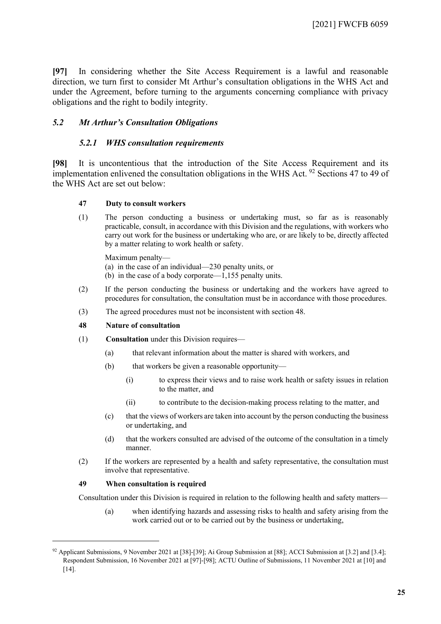**[97]** In considering whether the Site Access Requirement is a lawful and reasonable direction, we turn first to consider Mt Arthur's consultation obligations in the WHS Act and under the Agreement, before turning to the arguments concerning compliance with privacy obligations and the right to bodily integrity.

### *5.2 Mt Arthur's Consultation Obligations*

#### *5.2.1 WHS consultation requirements*

<span id="page-24-0"></span>**[98]** It is uncontentious that the introduction of the Site Access Requirement and its implementation enlivened the consultation obligations in the WHS Act.  $92$  Sections 47 to 49 of the WHS Act are set out below:

#### **47 Duty to consult workers**

(1) The person conducting a business or undertaking must, so far as is reasonably practicable, consult, in accordance with this Division and the regulations, with workers who carry out work for the business or undertaking who are, or are likely to be, directly affected by a matter relating to work health or safety.

Maximum penalty—

(a) in the case of an individual—230 penalty units, or

- (b) in the case of a body corporate—1,155 penalty units.
- (2) If the person conducting the business or undertaking and the workers have agreed to procedures for consultation, the consultation must be in accordance with those procedures.
- (3) The agreed procedures must not be inconsistent with section 48.

#### **48 Nature of consultation**

- (1) **Consultation** under this Division requires—
	- (a) that relevant information about the matter is shared with workers, and
	- (b) that workers be given a reasonable opportunity—
		- (i) to express their views and to raise work health or safety issues in relation to the matter, and
		- (ii) to contribute to the decision-making process relating to the matter, and
	- (c) that the views of workers are taken into account by the person conducting the business or undertaking, and
	- (d) that the workers consulted are advised of the outcome of the consultation in a timely manner.
- (2) If the workers are represented by a health and safety representative, the consultation must involve that representative.

#### **49 When consultation is required**

Consultation under this Division is required in relation to the following health and safety matters—

(a) when identifying hazards and assessing risks to health and safety arising from the work carried out or to be carried out by the business or undertaking,

<span id="page-24-1"></span><sup>92</sup> Applicant Submissions, 9 November 2021 at [38]-[39]; Ai Group Submission at [88]; ACCI Submission at [3.2] and [3.4]; Respondent Submission, 16 November 2021 at [97]-[98]; ACTU Outline of Submissions, 11 November 2021 at [10] and [14].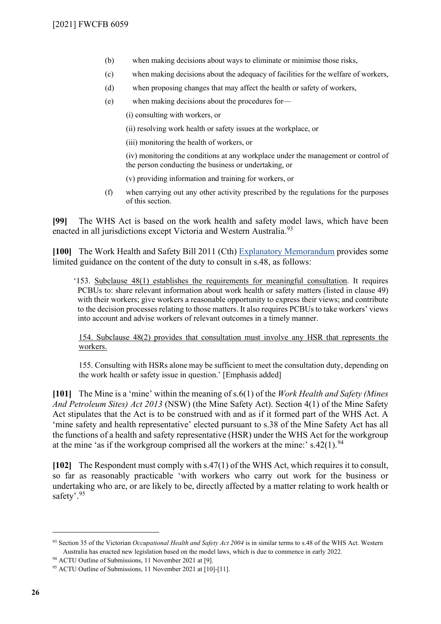- (b) when making decisions about ways to eliminate or minimise those risks,
- (c) when making decisions about the adequacy of facilities for the welfare of workers,
- (d) when proposing changes that may affect the health or safety of workers,
- (e) when making decisions about the procedures for—

(i) consulting with workers, or

- (ii) resolving work health or safety issues at the workplace, or
- (iii) monitoring the health of workers, or

(iv) monitoring the conditions at any workplace under the management or control of the person conducting the business or undertaking, or

- (v) providing information and training for workers, or
- (f) when carrying out any other activity prescribed by the regulations for the purposes of this section.

**[99]** The WHS Act is based on the work health and safety model laws, which have been enacted in all jurisdictions except Victoria and Western Australia.<sup>[93](#page-25-0)</sup>

**[100]** The Work Health and Safety Bill 2011 (Cth) [Explanatory Memorandum](https://parlinfo.aph.gov.au/parlInfo/download/legislation/ems/r4626_ems_9a20f7d5-be26-4907-9887-b0a344b494ea/upload_pdf/357636.pdf;fileType=application%2Fpdf) provides some limited guidance on the content of the duty to consult in s.48, as follows:

'153. Subclause 48(1) establishes the requirements for meaningful consultation. It requires PCBUs to: share relevant information about work health or safety matters (listed in clause 49) with their workers; give workers a reasonable opportunity to express their views; and contribute to the decision processes relating to those matters. It also requires PCBUs to take workers' views into account and advise workers of relevant outcomes in a timely manner.

154. Subclause 48(2) provides that consultation must involve any HSR that represents the workers.

155. Consulting with HSRs alone may be sufficient to meet the consultation duty, depending on the work health or safety issue in question.' [Emphasis added]

**[101]** The Mine is a 'mine' within the meaning of s.6(1) of the *Work Health and Safety (Mines And Petroleum Sites) Act 2013* (NSW) (the Mine Safety Act). Section 4(1) of the Mine Safety Act stipulates that the Act is to be construed with and as if it formed part of the WHS Act. A 'mine safety and health representative' elected pursuant to s.38 of the Mine Safety Act has all the functions of a health and safety representative (HSR) under the WHS Act for the workgroup at the mine 'as if the workgroup comprised all the workers at the mine:'  $s.42(1)$ .<sup>[94](#page-25-1)</sup>

**[102]** The Respondent must comply with s.47(1) of the WHS Act, which requires it to consult, so far as reasonably practicable 'with workers who carry out work for the business or undertaking who are, or are likely to be, directly affected by a matter relating to work health or safety'.<sup>[95](#page-25-2)</sup>

<span id="page-25-0"></span><sup>93</sup> Section 35 of the Victorian *[Occupational Health and Safety Act 2004](https://content.legislation.vic.gov.au/sites/default/files/2021-09/04-107aa037%20authorised.pdf)* is in similar terms to s.48 of the WHS Act. Western Australia has enacted new legislation based on the model laws, which is due to commence in early 2022.

<span id="page-25-1"></span><sup>94</sup> ACTU Outline of Submissions, 11 November 2021 at [9].

<span id="page-25-2"></span><sup>95</sup> ACTU Outline of Submissions, 11 November 2021 at [10]-[11].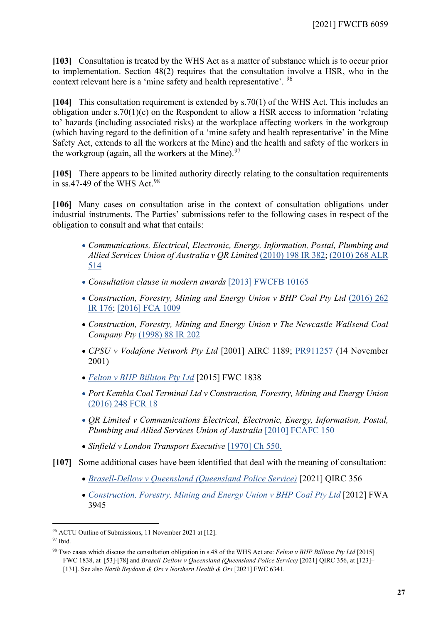**[103]** Consultation is treated by the WHS Act as a matter of substance which is to occur prior to implementation. Section 48(2) requires that the consultation involve a HSR, who in the context relevant here is a 'mine safety and health representative'. [96](#page-26-0)

**[104]** This consultation requirement is extended by s.70(1) of the WHS Act. This includes an obligation under s.70(1)(c) on the Respondent to allow a HSR access to information 'relating to' hazards (including associated risks) at the workplace affecting workers in the workgroup (which having regard to the definition of a 'mine safety and health representative' in the Mine Safety Act, extends to all the workers at the Mine) and the health and safety of the workers in the workgroup (again, all the workers at the Mine).  $97$ 

**[105]** There appears to be limited authority directly relating to the consultation requirements in ss.47-49 of the WHS Act.<sup>[98](#page-26-2)</sup>

**[106]** Many cases on consultation arise in the context of consultation obligations under industrial instruments. The Parties' submissions refer to the following cases in respect of the obligation to consult and what that entails:

- *Communications, Electrical, Electronic, Energy, Information, Postal, Plumbing and Allied Services Union of Australia v QR Limited* [\(2010\) 198 IR 382;](https://www.westlaw.com.au/maf/wlau/app/document?&src=search&docguid=I3218c82b9d3411e0a619d462427863b2&epos=3&snippets=true&fcwh=true&startChunk=1&endChunk=1&nstid=std-anz-highlight&nsds=AUNZ_CASES&isTocNav=true&tocDs=AUNZ_CASES_TOC&context=155&extLink=false&searchFromLinkHome=true&details=most&originates-from-link-before=false) [\(2010\) 268 ALR](https://anzlaw.thomsonreuters.com/Document/I62059c91812811e8b22785ae5ff38a3b/View/FullText.html?transitionType=Default&contextData=(sc.Default)&VR=3.0&RS=cblt1.0)  [514](https://anzlaw.thomsonreuters.com/Document/I62059c91812811e8b22785ae5ff38a3b/View/FullText.html?transitionType=Default&contextData=(sc.Default)&VR=3.0&RS=cblt1.0)
- *Consultation clause in modern awards* [\[2013\] FWCFB 10165](https://www.fwc.gov.au/documents/decisionssigned/html/2013fwcfb10165.htm)
- *Construction, Forestry, Mining and Energy Union v BHP Coal Pty Ltd* [\(2016\) 262](https://www.westlaw.com.au/maf/wlau/app/document?&src=search&docguid=Iac8e6c501e8811e79f5e87e05f05ece4&epos=1&snippets=true&fcwh=true&startChunk=1&endChunk=1&nstid=std-anz-highlight&nsds=AUNZ_CASES&isTocNav=true&tocDs=AUNZ_CASES_TOC&context=113&extLink=false&searchFromLinkHome=true)  [IR 176;](https://www.westlaw.com.au/maf/wlau/app/document?&src=search&docguid=Iac8e6c501e8811e79f5e87e05f05ece4&epos=1&snippets=true&fcwh=true&startChunk=1&endChunk=1&nstid=std-anz-highlight&nsds=AUNZ_CASES&isTocNav=true&tocDs=AUNZ_CASES_TOC&context=113&extLink=false&searchFromLinkHome=true) [\[2016\] FCA 1009](http://www.austlii.edu.au/cgi-bin/viewdoc/au/cases/cth/FCA/2016/1009.html?context=1;query=%5b2016%5d%20FCA%201009;mask_path=)
- *Construction, Forestry, Mining and Energy Union v The Newcastle Wallsend Coal Company Pty* [\(1998\) 88 IR 202](https://www.westlaw.com.au/maf/wlau/app/document?&src=search&docguid=Ia89eb7205f5c11e28e86d4295b0ab413&epos=2&snippets=true&fcwh=true&startChunk=1&endChunk=1&nstid=std-anz-highlight&nsds=AUNZ_CASES&isTocNav=true&tocDs=AUNZ_CASES_TOC&context=177&extLink=false&searchFromLinkHome=true)
- *CPSU v Vodafone Network Pty Ltd* [2001] AIRC 1189; [PR911257](https://www.fwc.gov.au/documents/decisionssigned/html/pr911257.htm) (14 November 2001)
- *[Felton v BHP Billiton Pty Ltd](http://www.austlii.edu.au/cgi-bin/viewdoc/au/cases/cth/FWC/2015/1838.html?context=1;query=%22Work%20health%20and%20safety%20act%22%20and%20%22nature%20of%20consultation%22;mask_path=)* [2015] FWC 1838
- *Port Kembla Coal Terminal Ltd v Construction, Forestry, Mining and Energy Union*  [\(2016\) 248 FCR 18](https://www.westlaw.com.au/maf/wlau/app/document?&src=search&docguid=Ie2c53101a34e11e79c6392f7a6424d52&epos=2&snippets=true&fcwh=true&startChunk=1&endChunk=1&nstid=std-anz-highlight&nsds=AUNZ_CASES&isTocNav=true&tocDs=AUNZ_CASES_TOC&context=260&extLink=false&searchFromLinkHome=true)
- *QR Limited v Communications Electrical, Electronic, Energy, Information, Postal, Plumbing and Allied Services Union of Australia* [\[2010\] FCAFC 150](http://www.austlii.edu.au/cgi-bin/sign.cgi/au/cases/cth/FCAFC/2010/150)
- *Sinfield v London Transport Executive* [\[1970\] Ch 550.](https://www.fwc.gov.au/documents/documents/benchbookresources/unfairdismissals/sinfield_v_london_transport_executive.pdf)
- **[107]** Some additional cases have been identified that deal with the meaning of consultation:
	- *[Brasell-Dellow v Queensland \(Queensland Police Service\)](http://www8.austlii.edu.au/cgi-bin/viewdoc/au/cases/qld/QIRC/2021/356.html?query=)* [2021] QIRC 356
	- *[Construction, Forestry, Mining and Energy Union v BHP Coal Pty Ltd](https://www.fwc.gov.au/documents/decisionssigned/html/2015fwc1838.htm)* [2012] FWA 3945

<span id="page-26-0"></span><sup>96</sup> ACTU Outline of Submissions, 11 November 2021 at [12].

<span id="page-26-1"></span> $97$  Ibid.

<span id="page-26-2"></span><sup>98</sup> Two cases which discuss the consultation obligation in s.48 of the WHS Act are: *Felton v BHP Billiton Pty Ltd* [2015] FWC 1838, at [53]-[78] and *Brasell-Dellow v Queensland (Queensland Police Service)* [2021] QIRC 356, at [123]– [131]. See also *Nazih Beydoun & Ors v Northern Health & Ors* [2021] FWC 6341.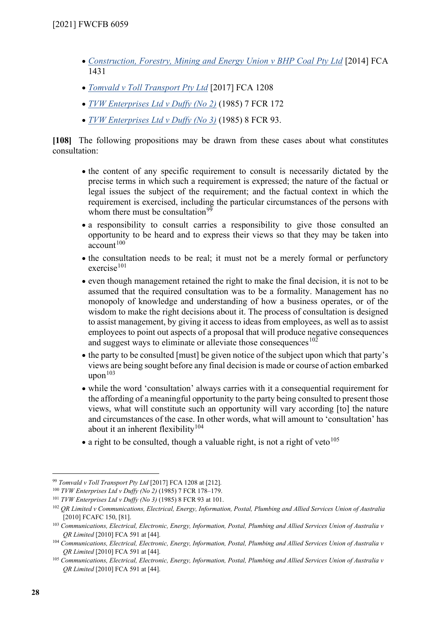- *[Construction, Forestry, Mining and Energy Union v BHP Coal Pty Ltd](http://www.austlii.edu.au/cgi-bin/viewdoc/au/cases/cth/FCA/2014/1431.html?context=1;query=%5b2014%5d%20FCA%201431;mask_path=)* [2014] FCA 1431
- *[Tomvald v Toll Transport Pty Ltd](http://www.austlii.edu.au/cgi-bin/sign.cgi/au/cases/cth/FCA/2017/1208)* [2017] FCA 1208
- *[TVW Enterprises Ltd v Duffy \(No 2\)](https://www.westlaw.com.au/maf/wlau/app/document?&src=search&docguid=I927df2139ceb11e0a619d462427863b2&epos=1&snippets=true&fcwh=true&startChunk=1&endChunk=1&nstid=std-anz-highlight&nsds=AUNZ_CASES&isTocNav=true&tocDs=AUNZ_CASES_TOC&context=53&extLink=false&searchFromLinkHome=true)* (1985) 7 FCR 172
- *[TVW Enterprises Ltd v Duffy \(No 3\)](https://www.westlaw.com.au/maf/wlau/app/document?&src=search&docguid=I79859b2130d311e5960feb5a5b726e12&epos=1&snippets=true&fcwh=true&startChunk=1&endChunk=1&nstid=std-anz-highlight&nsds=AUNZ_CASES&isTocNav=true&tocDs=AUNZ_CASES_TOC&context=78&extLink=false&searchFromLinkHome=true)* (1985) 8 FCR 93.

<span id="page-27-7"></span>**[108]** The following propositions may be drawn from these cases about what constitutes consultation:

- the content of any specific requirement to consult is necessarily dictated by the precise terms in which such a requirement is expressed; the nature of the factual or legal issues the subject of the requirement; and the factual context in which the requirement is exercised, including the particular circumstances of the persons with whom there must be consultation $99$
- a responsibility to consult carries a responsibility to give those consulted an opportunity to be heard and to express their views so that they may be taken into  $account<sup>100</sup>$  $account<sup>100</sup>$  $account<sup>100</sup>$
- the consultation needs to be real; it must not be a merely formal or perfunctory  $exercise<sup>101</sup>$  $exercise<sup>101</sup>$  $exercise<sup>101</sup>$
- even though management retained the right to make the final decision, it is not to be assumed that the required consultation was to be a formality. Management has no monopoly of knowledge and understanding of how a business operates, or of the wisdom to make the right decisions about it. The process of consultation is designed to assist management, by giving it access to ideas from employees, as well as to assist employees to point out aspects of a proposal that will produce negative consequences and suggest ways to eliminate or alleviate those consequences  $102$
- the party to be consulted [must] be given notice of the subject upon which that party's views are being sought before any final decision is made or course of action embarked  $upon<sup>103</sup>$  $upon<sup>103</sup>$  $upon<sup>103</sup>$
- while the word 'consultation' always carries with it a consequential requirement for the affording of a meaningful opportunity to the party being consulted to present those views, what will constitute such an opportunity will vary according [to] the nature and circumstances of the case. In other words, what will amount to 'consultation' has about it an inherent flexibility<sup>[104](#page-27-5)</sup>
- a right to be consulted, though a valuable right, is not a right of veto<sup>[105](#page-27-6)</sup>

<span id="page-27-0"></span><sup>99</sup> *Tomvald v Toll Transport Pty Ltd* [2017] FCA 1208 at [212].

<span id="page-27-1"></span><sup>100</sup> *TVW Enterprises Ltd v Duffy (No 2)* (1985) 7 FCR 178–179.

<span id="page-27-2"></span><sup>101</sup> *TVW Enterprises Ltd v Duffy (No 3)* (1985) 8 FCR 93 at 101.

<span id="page-27-3"></span><sup>102</sup> *QR Limited v Communications, Electrical, Energy, Information, Postal, Plumbing and Allied Services Union of Australia*  [2010] FCAFC 150, [81].

<span id="page-27-4"></span><sup>103</sup> *Communications, Electrical, Electronic, Energy, Information, Postal, Plumbing and Allied Services Union of Australia v QR Limited* [2010] FCA 591 at [44].

<span id="page-27-5"></span><sup>104</sup> *Communications, Electrical, Electronic, Energy, Information, Postal, Plumbing and Allied Services Union of Australia v QR Limited* [2010] FCA 591 at [44].

<span id="page-27-6"></span><sup>105</sup> *Communications, Electrical, Electronic, Energy, Information, Postal, Plumbing and Allied Services Union of Australia v QR Limited* [2010] FCA 591 at [44].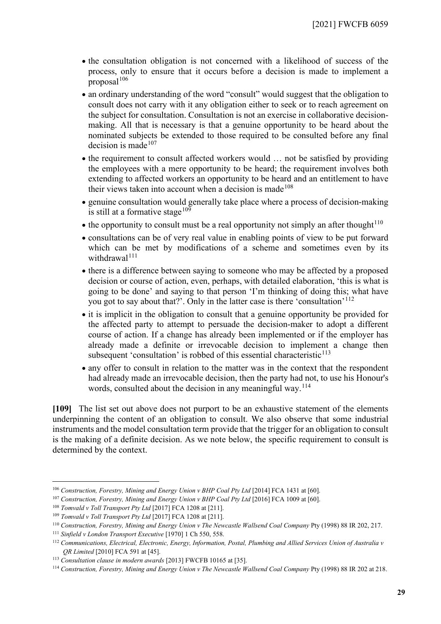- the consultation obligation is not concerned with a likelihood of success of the process, only to ensure that it occurs before a decision is made to implement a proposal $106$
- an ordinary understanding of the word "consult" would suggest that the obligation to consult does not carry with it any obligation either to seek or to reach agreement on the subject for consultation. Consultation is not an exercise in collaborative decisionmaking. All that is necessary is that a genuine opportunity to be heard about the nominated subjects be extended to those required to be consulted before any final decision is made $107$
- the requirement to consult affected workers would ... not be satisfied by providing the employees with a mere opportunity to be heard; the requirement involves both extending to affected workers an opportunity to be heard and an entitlement to have their views taken into account when a decision is made<sup>[108](#page-28-2)</sup>
- genuine consultation would generally take place where a process of decision-making is still at a formative stage  $109$
- $\bullet$  the opportunity to consult must be a real opportunity not simply an after thought<sup>[110](#page-28-4)</sup>
- consultations can be of very real value in enabling points of view to be put forward which can be met by modifications of a scheme and sometimes even by its withdrawal $111$
- there is a difference between saying to someone who may be affected by a proposed decision or course of action, even, perhaps, with detailed elaboration, 'this is what is going to be done' and saying to that person 'I'm thinking of doing this; what have you got to say about that?'. Only in the latter case is there 'consultation'<sup>[112](#page-28-6)</sup>
- it is implicit in the obligation to consult that a genuine opportunity be provided for the affected party to attempt to persuade the decision-maker to adopt a different course of action. If a change has already been implemented or if the employer has already made a definite or irrevocable decision to implement a change then subsequent 'consultation' is robbed of this essential characteristic<sup>113</sup>
- any offer to consult in relation to the matter was in the context that the respondent had already made an irrevocable decision, then the party had not, to use his Honour's words, consulted about the decision in any meaningful way.<sup>[114](#page-28-8)</sup>

**[109]** The list set out above does not purport to be an exhaustive statement of the elements underpinning the content of an obligation to consult. We also observe that some industrial instruments and the model consultation term provide that the trigger for an obligation to consult is the making of a definite decision. As we note below, the specific requirement to consult is determined by the context.

<span id="page-28-0"></span><sup>106</sup> *Construction, Forestry, Mining and Energy Union v BHP Coal Pty Ltd* [2014] FCA 1431 at [60].

<span id="page-28-1"></span><sup>107</sup> *Construction, Forestry, Mining and Energy Union v BHP Coal Pty Ltd* [2016] FCA 1009 at [60].

<span id="page-28-2"></span><sup>108</sup> *Tomvald v Toll Transport Pty Ltd* [2017] FCA 1208 at [211].

<span id="page-28-3"></span><sup>109</sup> *Tomvald v Toll Transport Pty Ltd* [2017] FCA 1208 at [211].

<span id="page-28-4"></span><sup>110</sup> *Construction, Forestry, Mining and Energy Union v The Newcastle Wallsend Coal Company* Pty (1998) 88 IR 202, 217.

<span id="page-28-5"></span><sup>111</sup> *Sinfield v London Transport Executive* [1970] 1 Ch 550, 558.

<span id="page-28-6"></span><sup>112</sup> *Communications, Electrical, Electronic, Energy, Information, Postal, Plumbing and Allied Services Union of Australia v QR Limited* [2010] FCA 591 at [45].

<span id="page-28-7"></span><sup>113</sup> *Consultation clause in modern awards* [2013] FWCFB 10165 at [35].

<span id="page-28-8"></span><sup>114</sup> *Construction, Forestry, Mining and Energy Union v The Newcastle Wallsend Coal Company* Pty (1998) 88 IR 202 at 218.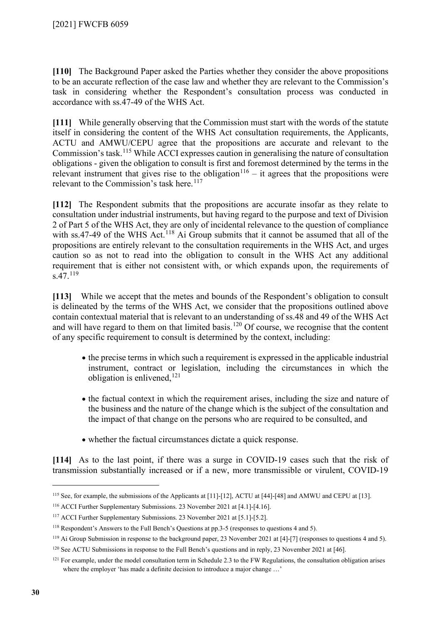**[110]** The Background Paper asked the Parties whether they consider the above propositions to be an accurate reflection of the case law and whether they are relevant to the Commission's task in considering whether the Respondent's consultation process was conducted in accordance with ss.47-49 of the WHS Act.

**[111]** While generally observing that the Commission must start with the words of the statute itself in considering the content of the WHS Act consultation requirements, the Applicants, ACTU and AMWU/CEPU agree that the propositions are accurate and relevant to the Commission's task. [115](#page-29-0) While ACCI expresses caution in generalising the nature of consultation obligations - given the obligation to consult is first and foremost determined by the terms in the relevant instrument that gives rise to the obligation<sup>[116](#page-29-1)</sup> – it agrees that the propositions were relevant to the Commission's task here.<sup>[117](#page-29-2)</sup>

**[112]** The Respondent submits that the propositions are accurate insofar as they relate to consultation under industrial instruments, but having regard to the purpose and text of Division 2 of Part 5 of the WHS Act, they are only of incidental relevance to the question of compliance with ss.47-49 of the WHS Act.<sup>[118](#page-29-3)</sup> Ai Group submits that it cannot be assumed that all of the propositions are entirely relevant to the consultation requirements in the WHS Act, and urges caution so as not to read into the obligation to consult in the WHS Act any additional requirement that is either not consistent with, or which expands upon, the requirements of s.47.[119](#page-29-4)

**[113]** While we accept that the metes and bounds of the Respondent's obligation to consult is delineated by the terms of the WHS Act, we consider that the propositions outlined above contain contextual material that is relevant to an understanding of ss.48 and 49 of the WHS Act and will have regard to them on that limited basis.<sup>[120](#page-29-5)</sup> Of course, we recognise that the content of any specific requirement to consult is determined by the context, including:

- the precise terms in which such a requirement is expressed in the applicable industrial instrument, contract or legislation, including the circumstances in which the obligation is enlivened, <sup>[121](#page-29-6)</sup>
- the factual context in which the requirement arises, including the size and nature of the business and the nature of the change which is the subject of the consultation and the impact of that change on the persons who are required to be consulted, and
- whether the factual circumstances dictate a quick response.

**[114]** As to the last point, if there was a surge in COVID-19 cases such that the risk of transmission substantially increased or if a new, more transmissible or virulent, COVID-19

<span id="page-29-0"></span><sup>115</sup> See, for example, the submissions of the Applicants at [11]-[12], ACTU at [44]-[48] and AMWU and CEPU at [13].

<span id="page-29-1"></span><sup>116</sup> ACCI Further Supplementary Submissions. 23 November 2021 at [4.1]-[4.16].

<span id="page-29-2"></span><sup>117</sup> ACCI Further Supplementary Submissions. 23 November 2021 at [5.1]-[5.2].

<span id="page-29-3"></span><sup>&</sup>lt;sup>118</sup> Respondent's Answers to the Full Bench's Questions at pp.3-5 (responses to questions 4 and 5).

<span id="page-29-4"></span><sup>119</sup> Ai Group Submission in response to the background paper, 23 November 2021 at [4]-[7] (responses to questions 4 and 5).

<span id="page-29-5"></span><sup>120</sup> See ACTU Submissions in response to the Full Bench's questions and in reply, 23 November 2021 at [46].

<span id="page-29-6"></span> $121$  For example, under the model consultation term in Schedule 2.3 to the FW Regulations, the consultation obligation arises where the employer 'has made a definite decision to introduce a major change ...'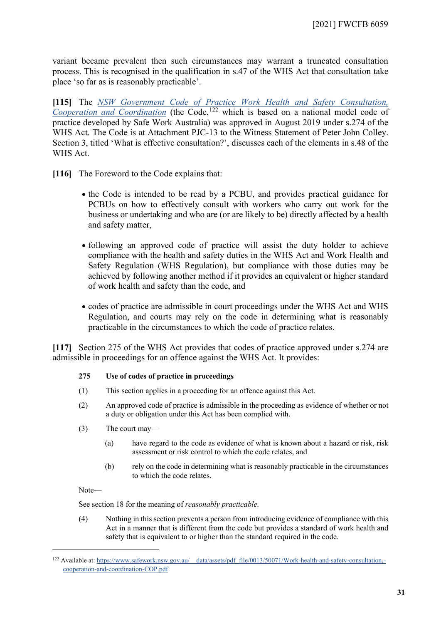variant became prevalent then such circumstances may warrant a truncated consultation process. This is recognised in the qualification in s.47 of the WHS Act that consultation take place 'so far as is reasonably practicable'.

**[115]** The *NSW Government Code of Practice [Work Health and Safety Consultation,](https://www.safework.nsw.gov.au/__data/assets/pdf_file/0013/50071/Work-health-and-safety-consultation,-cooperation-and-coordination-COP.pdf)  [Cooperation and Coordination](https://www.safework.nsw.gov.au/__data/assets/pdf_file/0013/50071/Work-health-and-safety-consultation,-cooperation-and-coordination-COP.pdf)* (the Code, [122](#page-30-0) which is based on a national model code of practice developed by Safe Work Australia) was approved in August 2019 under s.274 of the WHS Act. The Code is at Attachment PJC-13 to the Witness Statement of Peter John Colley. Section 3, titled 'What is effective consultation?', discusses each of the elements in s.48 of the WHS Act.

**[116]** The Foreword to the Code explains that:

- the Code is intended to be read by a PCBU, and provides practical guidance for PCBUs on how to effectively consult with workers who carry out work for the business or undertaking and who are (or are likely to be) directly affected by a health and safety matter,
- following an approved code of practice will assist the duty holder to achieve compliance with the health and safety duties in the WHS Act and Work Health and Safety Regulation (WHS Regulation), but compliance with those duties may be achieved by following another method if it provides an equivalent or higher standard of work health and safety than the code, and
- codes of practice are admissible in court proceedings under the WHS Act and WHS Regulation, and courts may rely on the code in determining what is reasonably practicable in the circumstances to which the code of practice relates.

**[117]** Section 275 of the WHS Act provides that codes of practice approved under s.274 are admissible in proceedings for an offence against the WHS Act. It provides:

#### **275 Use of codes of practice in proceedings**

- (1) This section applies in a proceeding for an offence against this Act.
- (2) An approved code of practice is admissible in the proceeding as evidence of whether or not a duty or obligation under this Act has been complied with.
- (3) The court may—
	- (a) have regard to the code as evidence of what is known about a hazard or risk, risk assessment or risk control to which the code relates, and
	- (b) rely on the code in determining what is reasonably practicable in the circumstances to which the code relates.

Note—

See section 18 for the meaning of *reasonably practicable*.

(4) Nothing in this section prevents a person from introducing evidence of compliance with this Act in a manner that is different from the code but provides a standard of work health and safety that is equivalent to or higher than the standard required in the code.

<span id="page-30-0"></span><sup>&</sup>lt;sup>122</sup> Available at: https://www.safework.nsw.gov.au/ data/assets/pdf file/0013/50071/Work-health-and-safety-consultation,[cooperation-and-coordination-COP.pdf](https://www.safework.nsw.gov.au/__data/assets/pdf_file/0013/50071/Work-health-and-safety-consultation,-cooperation-and-coordination-COP.pdf)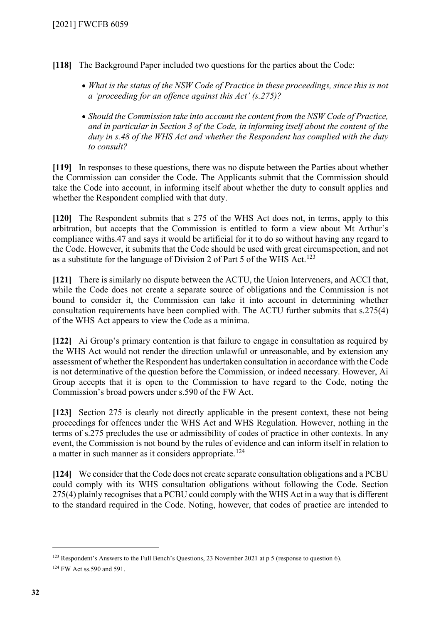- **[118]** The Background Paper included two questions for the parties about the Code:
	- *What is the status of the NSW Code of Practice in these proceedings, since this is not a 'proceeding for an offence against this Act' (s.275)?*
	- *Should the Commission take into account the content from the NSW Code of Practice, and in particular in Section 3 of the Code, in informing itself about the content of the duty in s.48 of the WHS Act and whether the Respondent has complied with the duty to consult?*

**[119]** In responses to these questions, there was no dispute between the Parties about whether the Commission can consider the Code. The Applicants submit that the Commission should take the Code into account, in informing itself about whether the duty to consult applies and whether the Respondent complied with that duty.

**[120]** The Respondent submits that s 275 of the WHS Act does not, in terms, apply to this arbitration, but accepts that the Commission is entitled to form a view about Mt Arthur's compliance withs.47 and says it would be artificial for it to do so without having any regard to the Code. However, it submits that the Code should be used with great circumspection, and not as a substitute for the language of Division 2 of Part 5 of the WHS Act.<sup>[123](#page-31-0)</sup>

**[121]** There is similarly no dispute between the ACTU, the Union Interveners, and ACCI that, while the Code does not create a separate source of obligations and the Commission is not bound to consider it, the Commission can take it into account in determining whether consultation requirements have been complied with. The ACTU further submits that s.275(4) of the WHS Act appears to view the Code as a minima.

**[122]** Ai Group's primary contention is that failure to engage in consultation as required by the WHS Act would not render the direction unlawful or unreasonable, and by extension any assessment of whether the Respondent has undertaken consultation in accordance with the Code is not determinative of the question before the Commission, or indeed necessary. However, Ai Group accepts that it is open to the Commission to have regard to the Code, noting the Commission's broad powers under s.590 of the FW Act.

**[123]** Section 275 is clearly not directly applicable in the present context, these not being proceedings for offences under the WHS Act and WHS Regulation. However, nothing in the terms of s.275 precludes the use or admissibility of codes of practice in other contexts. In any event, the Commission is not bound by the rules of evidence and can inform itself in relation to a matter in such manner as it considers appropriate.<sup>[124](#page-31-1)</sup>

**[124]** We consider that the Code does not create separate consultation obligations and a PCBU could comply with its WHS consultation obligations without following the Code. Section 275(4) plainly recognises that a PCBU could comply with the WHS Act in a way that is different to the standard required in the Code. Noting, however, that codes of practice are intended to

<span id="page-31-0"></span><sup>&</sup>lt;sup>123</sup> Respondent's Answers to the Full Bench's Questions, 23 November 2021 at p 5 (response to question 6).

<span id="page-31-1"></span><sup>124</sup> FW Act ss.590 and 591.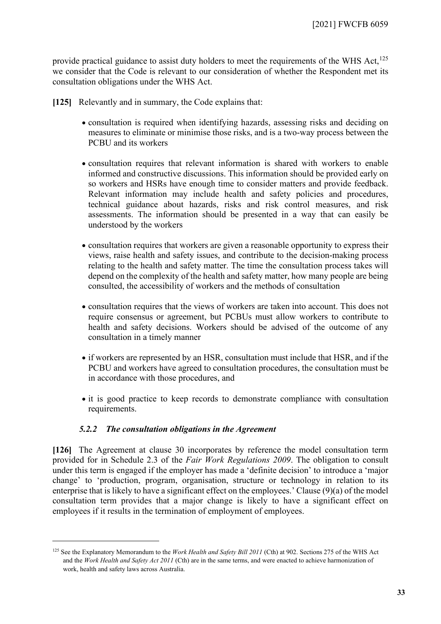provide practical guidance to assist duty holders to meet the requirements of the WHS Act,<sup>[125](#page-32-1)</sup> we consider that the Code is relevant to our consideration of whether the Respondent met its consultation obligations under the WHS Act.

**[125]** Relevantly and in summary, the Code explains that:

- consultation is required when identifying hazards, assessing risks and deciding on measures to eliminate or minimise those risks, and is a two-way process between the PCBU and its workers
- consultation requires that relevant information is shared with workers to enable informed and constructive discussions. This information should be provided early on so workers and HSRs have enough time to consider matters and provide feedback. Relevant information may include health and safety policies and procedures, technical guidance about hazards, risks and risk control measures, and risk assessments. The information should be presented in a way that can easily be understood by the workers
- consultation requires that workers are given a reasonable opportunity to express their views, raise health and safety issues, and contribute to the decision-making process relating to the health and safety matter. The time the consultation process takes will depend on the complexity of the health and safety matter, how many people are being consulted, the accessibility of workers and the methods of consultation
- consultation requires that the views of workers are taken into account. This does not require consensus or agreement, but PCBUs must allow workers to contribute to health and safety decisions. Workers should be advised of the outcome of any consultation in a timely manner
- if workers are represented by an HSR, consultation must include that HSR, and if the PCBU and workers have agreed to consultation procedures, the consultation must be in accordance with those procedures, and
- it is good practice to keep records to demonstrate compliance with consultation requirements.

### *5.2.2 The consultation obligations in the Agreement*

<span id="page-32-0"></span>**[126]** The Agreement at clause 30 incorporates by reference the model consultation term provided for in Schedule 2.3 of the *Fair Work Regulations 2009*. The obligation to consult under this term is engaged if the employer has made a 'definite decision' to introduce a 'major change' to 'production, program, organisation, structure or technology in relation to its enterprise that is likely to have a significant effect on the employees.' Clause (9)(a) of the model consultation term provides that a major change is likely to have a significant effect on employees if it results in the termination of employment of employees.

<span id="page-32-1"></span><sup>125</sup> See the Explanatory Memorandum to the *Work Health and Safety Bill 2011* (Cth) at 902. Sections 275 of the WHS Act and the *Work Health and Safety Act 2011* (Cth) are in the same terms, and were enacted to achieve harmonization of work, health and safety laws across Australia.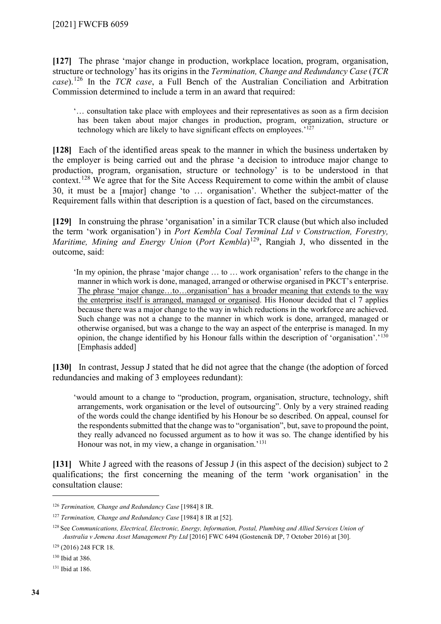**[127]** The phrase 'major change in production, workplace location, program, organisation, structure or technology' has its origins in the *Termination, Change and Redundancy Case* (*TCR case*).[126](#page-33-0) In the *TCR case*, a Full Bench of the Australian Conciliation and Arbitration Commission determined to include a term in an award that required:

'… consultation take place with employees and their representatives as soon as a firm decision has been taken about major changes in production, program, organization, structure or technology which are likely to have significant effects on employees.'[127](#page-33-1)

**[128]** Each of the identified areas speak to the manner in which the business undertaken by the employer is being carried out and the phrase 'a decision to introduce major change to production, program, organisation, structure or technology' is to be understood in that context.<sup>[128](#page-33-2)</sup> We agree that for the Site Access Requirement to come within the ambit of clause 30, it must be a [major] change 'to … organisation'. Whether the subject-matter of the Requirement falls within that description is a question of fact, based on the circumstances.

**[129]** In construing the phrase 'organisation' in a similar TCR clause (but which also included the term 'work organisation') in *Port Kembla Coal Terminal Ltd v Construction, Forestry, Maritime, Mining and Energy Union (Port Kembla*)<sup>[129](#page-33-3)</sup>, Rangiah J, who dissented in the outcome, said:

'In my opinion, the phrase 'major change … to … work organisation' refers to the change in the manner in which work is done, managed, arranged or otherwise organised in PKCT's enterprise. The phrase 'major change…to…organisation' has a broader meaning that extends to the way the enterprise itself is arranged, managed or organised. His Honour decided that cl 7 applies because there was a major change to the way in which reductions in the workforce are achieved. Such change was not a change to the manner in which work is done, arranged, managed or otherwise organised, but was a change to the way an aspect of the enterprise is managed. In my opinion, the change identified by his Honour falls within the description of 'organisation'.'[130](#page-33-4) [Emphasis added]

**[130]** In contrast, Jessup J stated that he did not agree that the change (the adoption of forced redundancies and making of 3 employees redundant):

'would amount to a change to "production, program, organisation, structure, technology, shift arrangements, work organisation or the level of outsourcing". Only by a very strained reading of the words could the change identified by his Honour be so described. On appeal, counsel for the respondents submitted that the change was to "organisation", but, save to propound the point, they really advanced no focussed argument as to how it was so. The change identified by his Honour was not, in my view, a change in organisation.<sup>'[131](#page-33-5)</sup>

**[131]** White J agreed with the reasons of Jessup J (in this aspect of the decision) subject to 2 qualifications; the first concerning the meaning of the term 'work organisation' in the consultation clause:

<span id="page-33-0"></span><sup>126</sup> *Termination, Change and Redundancy Case* [1984] 8 IR.

<span id="page-33-1"></span><sup>127</sup> *Termination, Change and Redundancy Case* [1984] 8 IR at [52].

<span id="page-33-2"></span><sup>128</sup> See *Communications, Electrical, Electronic, Energy, Information, Postal, Plumbing and Allied Services Union of Australia v Jemena Asset Management Pty Ltd* [2016] FWC 6494 (Gostencnik DP, 7 October 2016) at [30].

<span id="page-33-3"></span><sup>129</sup> (2016) 248 FCR 18.

<span id="page-33-4"></span><sup>130</sup> Ibid at 386.

<span id="page-33-5"></span><sup>131</sup> Ibid at 186.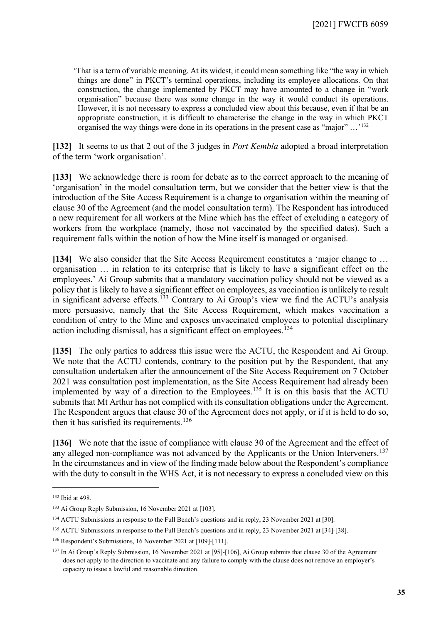'That is a term of variable meaning. At its widest, it could mean something like "the way in which things are done" in PKCT's terminal operations, including its employee allocations. On that construction, the change implemented by PKCT may have amounted to a change in "work organisation" because there was some change in the way it would conduct its operations. However, it is not necessary to express a concluded view about this because, even if that be an appropriate construction, it is difficult to characterise the change in the way in which PKCT organised the way things were done in its operations in the present case as "major" …'[132](#page-34-0)

**[132]** It seems to us that 2 out of the 3 judges in *Port Kembla* adopted a broad interpretation of the term 'work organisation'.

**[133]** We acknowledge there is room for debate as to the correct approach to the meaning of 'organisation' in the model consultation term, but we consider that the better view is that the introduction of the Site Access Requirement is a change to organisation within the meaning of clause 30 of the Agreement (and the model consultation term). The Respondent has introduced a new requirement for all workers at the Mine which has the effect of excluding a category of workers from the workplace (namely, those not vaccinated by the specified dates). Such a requirement falls within the notion of how the Mine itself is managed or organised.

**[134]** We also consider that the Site Access Requirement constitutes a 'major change to … organisation … in relation to its enterprise that is likely to have a significant effect on the employees.' Ai Group submits that a mandatory vaccination policy should not be viewed as a policy that is likely to have a significant effect on employees, as vaccination is unlikely to result in significant adverse effects.<sup>[133](#page-34-1)</sup> Contrary to Ai Group's view we find the ACTU's analysis more persuasive, namely that the Site Access Requirement, which makes vaccination a condition of entry to the Mine and exposes unvaccinated employees to potential disciplinary action including dismissal, has a significant effect on employees.<sup>[134](#page-34-2)</sup>

**[135]** The only parties to address this issue were the ACTU, the Respondent and Ai Group. We note that the ACTU contends, contrary to the position put by the Respondent, that any consultation undertaken after the announcement of the Site Access Requirement on 7 October 2021 was consultation post implementation, as the Site Access Requirement had already been implemented by way of a direction to the Employees.<sup>[135](#page-34-3)</sup> It is on this basis that the ACTU submits that Mt Arthur has not complied with its consultation obligations under the Agreement. The Respondent argues that clause 30 of the Agreement does not apply, or if it is held to do so, then it has satisfied its requirements.<sup>[136](#page-34-4)</sup>

**[136]** We note that the issue of compliance with clause 30 of the Agreement and the effect of any alleged non-compliance was not advanced by the Applicants or the Union Interveners.<sup>[137](#page-34-5)</sup> In the circumstances and in view of the finding made below about the Respondent's compliance with the duty to consult in the WHS Act, it is not necessary to express a concluded view on this

<span id="page-34-0"></span><sup>132</sup> Ibid at 498.

<span id="page-34-1"></span><sup>133</sup> Ai Group Reply Submission, 16 November 2021 at [103].

<span id="page-34-2"></span><sup>134</sup> ACTU Submissions in response to the Full Bench's questions and in reply, 23 November 2021 at [30].

<span id="page-34-3"></span><sup>&</sup>lt;sup>135</sup> ACTU Submissions in response to the Full Bench's questions and in reply, 23 November 2021 at [34]-[38].

<span id="page-34-4"></span><sup>136</sup> Respondent's Submissions, 16 November 2021 at [109]-[111].

<span id="page-34-5"></span><sup>&</sup>lt;sup>137</sup> In Ai Group's Reply Submission, 16 November 2021 at [95]-[106], Ai Group submits that clause 30 of the Agreement does not apply to the direction to vaccinate and any failure to comply with the clause does not remove an employer's capacity to issue a lawful and reasonable direction.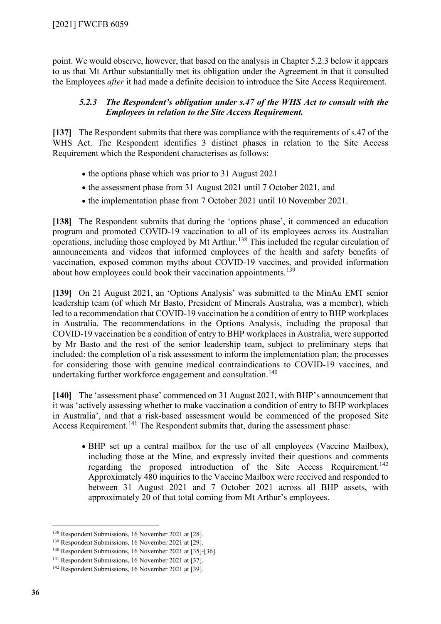point. We would observe, however, that based on the analysis in Chapter 5.2.3 below it appears to us that Mt Arthur substantially met its obligation under the Agreement in that it consulted the Employees *after* it had made a definite decision to introduce the Site Access Requirement.

### *5.2.3 The Respondent's obligation under s.47 of the WHS Act to consult with the Employees in relation to the Site Access Requirement.*

<span id="page-35-0"></span>**[137]** The Respondent submits that there was compliance with the requirements of s.47 of the WHS Act. The Respondent identifies 3 distinct phases in relation to the Site Access Requirement which the Respondent characterises as follows:

- the options phase which was prior to 31 August 2021
- the assessment phase from 31 August 2021 until 7 October 2021, and
- the implementation phase from 7 October 2021 until 10 November 2021.

**[138]** The Respondent submits that during the 'options phase', it commenced an education program and promoted COVID-19 vaccination to all of its employees across its Australian operations, including those employed by Mt Arthur.<sup>[138](#page-35-1)</sup> This included the regular circulation of announcements and videos that informed employees of the health and safety benefits of vaccination, exposed common myths about COVID-19 vaccines, and provided information about how employees could book their vaccination appointments.<sup>[139](#page-35-2)</sup>

**[139]** On 21 August 2021, an 'Options Analysis' was submitted to the MinAu EMT senior leadership team (of which Mr Basto, President of Minerals Australia, was a member), which led to a recommendation that COVID-19 vaccination be a condition of entry to BHP workplaces in Australia. The recommendations in the Options Analysis, including the proposal that COVID-19 vaccination be a condition of entry to BHP workplaces in Australia, were supported by Mr Basto and the rest of the senior leadership team, subject to preliminary steps that included: the completion of a risk assessment to inform the implementation plan; the processes for considering those with genuine medical contraindications to COVID-19 vaccines, and undertaking further workforce engagement and consultation.<sup>[140](#page-35-3)</sup>

**[140]** The 'assessment phase' commenced on 31 August 2021, with BHP's announcement that it was 'actively assessing whether to make vaccination a condition of entry to BHP workplaces in Australia', and that a risk-based assessment would be commenced of the proposed Site Access Requirement.<sup>[141](#page-35-4)</sup> The Respondent submits that, during the assessment phase:

• BHP set up a central mailbox for the use of all employees (Vaccine Mailbox), including those at the Mine, and expressly invited their questions and comments regarding the proposed introduction of the Site Access Requirement.<sup>[142](#page-35-5)</sup> Approximately 480 inquiries to the Vaccine Mailbox were received and responded to between 31 August 2021 and 7 October 2021 across all BHP assets, with approximately 20 of that total coming from Mt Arthur's employees.

<span id="page-35-1"></span><sup>138</sup> Respondent Submissions, 16 November 2021 at [28].

<span id="page-35-2"></span><sup>139</sup> Respondent Submissions, 16 November 2021 at [29].

<span id="page-35-3"></span><sup>140</sup> Respondent Submissions, 16 November 2021 at [35]-[36].

<span id="page-35-4"></span><sup>141</sup> Respondent Submissions, 16 November 2021 at [37].

<span id="page-35-5"></span><sup>142</sup> Respondent Submissions, 16 November 2021 at [39].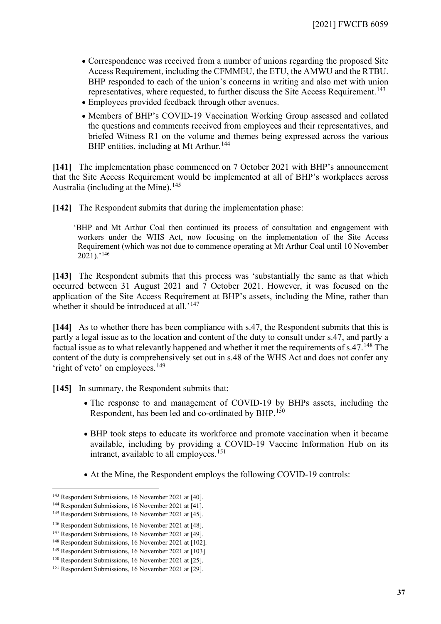- Correspondence was received from a number of unions regarding the proposed Site Access Requirement, including the CFMMEU, the ETU, the AMWU and the RTBU. BHP responded to each of the union's concerns in writing and also met with union representatives, where requested, to further discuss the Site Access Requirement.<sup>[143](#page-36-0)</sup>
- Employees provided feedback through other avenues.
- Members of BHP's COVID-19 Vaccination Working Group assessed and collated the questions and comments received from employees and their representatives, and briefed Witness R1 on the volume and themes being expressed across the various BHP entities, including at Mt Arthur.<sup>[144](#page-36-1)</sup>

**[141]** The implementation phase commenced on 7 October 2021 with BHP's announcement that the Site Access Requirement would be implemented at all of BHP's workplaces across Australia (including at the Mine).<sup>[145](#page-36-2)</sup>

**[142]** The Respondent submits that during the implementation phase:

'BHP and Mt Arthur Coal then continued its process of consultation and engagement with workers under the WHS Act, now focusing on the implementation of the Site Access Requirement (which was not due to commence operating at Mt Arthur Coal until 10 November  $2021$ ).'<sup>[146](#page-36-3)</sup>

**[143]** The Respondent submits that this process was 'substantially the same as that which occurred between 31 August 2021 and 7 October 2021. However, it was focused on the application of the Site Access Requirement at BHP's assets, including the Mine, rather than whether it should be introduced at all.<sup>'[147](#page-36-4)</sup>

**[144]** As to whether there has been compliance with s.47, the Respondent submits that this is partly a legal issue as to the location and content of the duty to consult under s.47, and partly a factual issue as to what relevantly happened and whether it met the requirements of  $s.47$ .<sup>[148](#page-36-5)</sup> The content of the duty is comprehensively set out in s.48 of the WHS Act and does not confer any 'right of veto' on employees.<sup>[149](#page-36-6)</sup>

**[145]** In summary, the Respondent submits that:

- The response to and management of COVID-19 by BHPs assets, including the Respondent, has been led and co-ordinated by BHP.<sup>[150](#page-36-7)</sup>
- BHP took steps to educate its workforce and promote vaccination when it became available, including by providing a COVID-19 Vaccine Information Hub on its intranet, available to all employees.<sup>[151](#page-36-8)</sup>
- At the Mine, the Respondent employs the following COVID-19 controls:

<span id="page-36-0"></span><sup>143</sup> Respondent Submissions, 16 November 2021 at [40].

<span id="page-36-1"></span><sup>144</sup> Respondent Submissions, 16 November 2021 at [41].

<span id="page-36-2"></span><sup>145</sup> Respondent Submissions, 16 November 2021 at [45].

<span id="page-36-3"></span><sup>146</sup> Respondent Submissions, 16 November 2021 at [48].

<span id="page-36-4"></span><sup>147</sup> Respondent Submissions, 16 November 2021 at [49].

<span id="page-36-5"></span><sup>148</sup> Respondent Submissions, 16 November 2021 at [102].

<span id="page-36-6"></span><sup>149</sup> Respondent Submissions, 16 November 2021 at [103].

<span id="page-36-7"></span><sup>150</sup> Respondent Submissions, 16 November 2021 at [25].

<span id="page-36-8"></span><sup>151</sup> Respondent Submissions, 16 November 2021 at [29].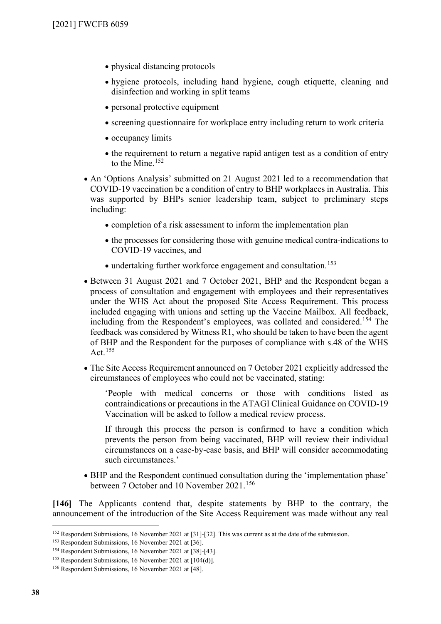- physical distancing protocols
- hygiene protocols, including hand hygiene, cough etiquette, cleaning and disinfection and working in split teams
- personal protective equipment
- screening questionnaire for workplace entry including return to work criteria
- occupancy limits
- the requirement to return a negative rapid antigen test as a condition of entry to the Mine.<sup>[152](#page-37-0)</sup>
- An 'Options Analysis' submitted on 21 August 2021 led to a recommendation that COVID-19 vaccination be a condition of entry to BHP workplaces in Australia. This was supported by BHPs senior leadership team, subject to preliminary steps including:
	- completion of a risk assessment to inform the implementation plan
	- the processes for considering those with genuine medical contra-indications to COVID-19 vaccines, and
	- undertaking further workforce engagement and consultation.<sup>[153](#page-37-1)</sup>
- Between 31 August 2021 and 7 October 2021, BHP and the Respondent began a process of consultation and engagement with employees and their representatives under the WHS Act about the proposed Site Access Requirement. This process included engaging with unions and setting up the Vaccine Mailbox. All feedback, including from the Respondent's employees, was collated and considered. [154](#page-37-2) The feedback was considered by Witness R1, who should be taken to have been the agent of BHP and the Respondent for the purposes of compliance with s.48 of the WHS Act.  $155$
- The Site Access Requirement announced on 7 October 2021 explicitly addressed the circumstances of employees who could not be vaccinated, stating:

'People with medical concerns or those with conditions listed as contraindications or precautions in the ATAGI Clinical Guidance on COVID-19 Vaccination will be asked to follow a medical review process.

If through this process the person is confirmed to have a condition which prevents the person from being vaccinated, BHP will review their individual circumstances on a case-by-case basis, and BHP will consider accommodating such circumstances.'

• BHP and the Respondent continued consultation during the 'implementation phase' between 7 October and 10 November 2021.<sup>[156](#page-37-4)</sup>

**[146]** The Applicants contend that, despite statements by BHP to the contrary, the announcement of the introduction of the Site Access Requirement was made without any real

<span id="page-37-0"></span><sup>152</sup> Respondent Submissions, 16 November 2021 at [31]-[32]. This was current as at the date of the submission.

<span id="page-37-1"></span><sup>153</sup> Respondent Submissions, 16 November 2021 at [36].

<span id="page-37-2"></span><sup>154</sup> Respondent Submissions, 16 November 2021 at [38]-[43].

<span id="page-37-3"></span><sup>155</sup> Respondent Submissions, 16 November 2021 at [104(d)].

<span id="page-37-4"></span><sup>156</sup> Respondent Submissions, 16 November 2021 at [48].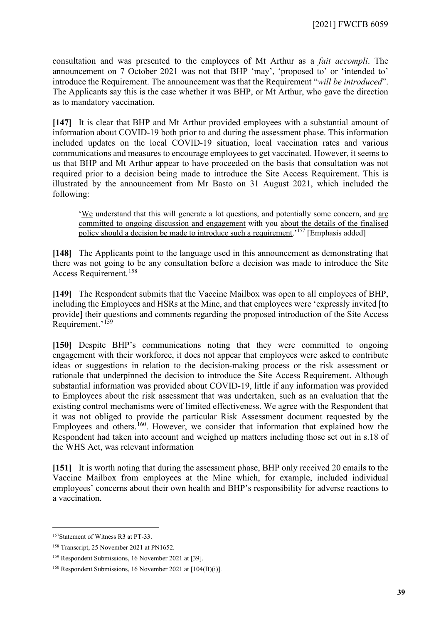consultation and was presented to the employees of Mt Arthur as a *fait accompli*. The announcement on 7 October 2021 was not that BHP 'may', 'proposed to' or 'intended to' introduce the Requirement. The announcement was that the Requirement "*will be introduced*". The Applicants say this is the case whether it was BHP, or Mt Arthur, who gave the direction as to mandatory vaccination.

**[147]** It is clear that BHP and Mt Arthur provided employees with a substantial amount of information about COVID-19 both prior to and during the assessment phase. This information included updates on the local COVID-19 situation, local vaccination rates and various communications and measures to encourage employees to get vaccinated. However, it seems to us that BHP and Mt Arthur appear to have proceeded on the basis that consultation was not required prior to a decision being made to introduce the Site Access Requirement. This is illustrated by the announcement from Mr Basto on 31 August 2021, which included the following:

'We understand that this will generate a lot questions, and potentially some concern, and are committed to ongoing discussion and engagement with you about the details of the finalised policy should a decision be made to introduce such a requirement.<sup>'[157](#page-38-0)</sup> [Emphasis added]

**[148]** The Applicants point to the language used in this announcement as demonstrating that there was not going to be any consultation before a decision was made to introduce the Site Access Requirement.[158](#page-38-1)

**[149]** The Respondent submits that the Vaccine Mailbox was open to all employees of BHP, including the Employees and HSRs at the Mine, and that employees were 'expressly invited [to provide] their questions and comments regarding the proposed introduction of the Site Access Requirement.'[159](#page-38-2)

**[150]** Despite BHP's communications noting that they were committed to ongoing engagement with their workforce, it does not appear that employees were asked to contribute ideas or suggestions in relation to the decision-making process or the risk assessment or rationale that underpinned the decision to introduce the Site Access Requirement. Although substantial information was provided about COVID-19, little if any information was provided to Employees about the risk assessment that was undertaken, such as an evaluation that the existing control mechanisms were of limited effectiveness. We agree with the Respondent that it was not obliged to provide the particular Risk Assessment document requested by the Employees and others.<sup>[160](#page-38-3)</sup>. However, we consider that information that explained how the Respondent had taken into account and weighed up matters including those set out in s.18 of the WHS Act, was relevant information

**[151]** It is worth noting that during the assessment phase, BHP only received 20 emails to the Vaccine Mailbox from employees at the Mine which, for example, included individual employees' concerns about their own health and BHP's responsibility for adverse reactions to a vaccination.

<span id="page-38-0"></span><sup>157</sup>Statement of Witness R3 at PT-33.

<span id="page-38-1"></span><sup>158</sup> Transcript, 25 November 2021 at PN1652.

<span id="page-38-2"></span><sup>159</sup> Respondent Submissions, 16 November 2021 at [39].

<span id="page-38-3"></span><sup>160</sup> Respondent Submissions, 16 November 2021 at [104(B)(i)].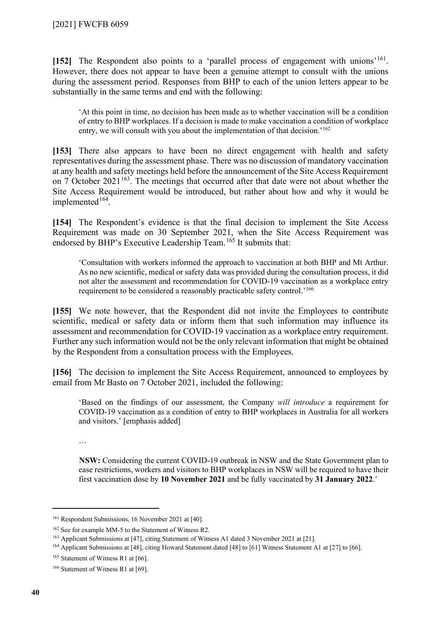**[152]** The Respondent also points to a 'parallel process of engagement with unions'[161.](#page-39-0) However, there does not appear to have been a genuine attempt to consult with the unions during the assessment period. Responses from BHP to each of the union letters appear to be substantially in the same terms and end with the following:

'At this point in time, no decision has been made as to whether vaccination will be a condition of entry to BHP workplaces. If a decision is made to make vaccination a condition of workplace entry, we will consult with you about the implementation of that decision.'<sup>[162](#page-39-1)</sup>

**[153]** There also appears to have been no direct engagement with health and safety representatives during the assessment phase. There was no discussion of mandatory vaccination at any health and safety meetings held before the announcement of the Site Access Requirement on 7 October  $2021^{163}$ . The meetings that occurred after that date were not about whether the Site Access Requirement would be introduced, but rather about how and why it would be implemented<sup>[164](#page-39-3)</sup>.

**[154]** The Respondent's evidence is that the final decision to implement the Site Access Requirement was made on 30 September 2021, when the Site Access Requirement was endorsed by BHP's Executive Leadership Team.[165](#page-39-4) It submits that:

'Consultation with workers informed the approach to vaccination at both BHP and Mt Arthur. As no new scientific, medical or safety data was provided during the consultation process, it did not alter the assessment and recommendation for COVID-19 vaccination as a workplace entry requirement to be considered a reasonably practicable safety control.'[166](#page-39-5)

**[155]** We note however, that the Respondent did not invite the Employees to contribute scientific, medical or safety data or inform them that such information may influence its assessment and recommendation for COVID-19 vaccination as a workplace entry requirement. Further any such information would not be the only relevant information that might be obtained by the Respondent from a consultation process with the Employees.

**[156]** The decision to implement the Site Access Requirement, announced to employees by email from Mr Basto on 7 October 2021, included the following:

'Based on the findings of our assessment, the Company *will introduce* a requirement for COVID-19 vaccination as a condition of entry to BHP workplaces in Australia for all workers and visitors.' [emphasis added]

…

**NSW:** Considering the current COVID-19 outbreak in NSW and the State Government plan to ease restrictions, workers and visitors to BHP workplaces in NSW will be required to have their first vaccination dose by **10 November 2021** and be fully vaccinated by **31 January 2022**.'

<span id="page-39-0"></span><sup>161</sup> Respondent Submissions, 16 November 2021 at [40].

<span id="page-39-1"></span><sup>162</sup> See for example MM-5 to the Statement of Witness R2.

<span id="page-39-3"></span><span id="page-39-2"></span><sup>163</sup> Applicant Submissions at [47], citing Statement of Witness A1 dated 3 November 2021 at [21].

<sup>164</sup> Applicant Submissions at [48], citing Howard Statement dated [48] to [61] Witness Statement A1 at [27] to [66].

<span id="page-39-4"></span><sup>&</sup>lt;sup>165</sup> Statement of Witness R1 at [66].

<span id="page-39-5"></span><sup>&</sup>lt;sup>166</sup> Statement of Witness R1 at [69].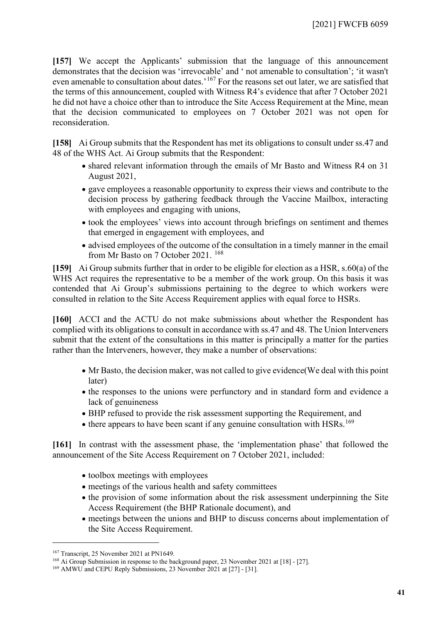**[157]** We accept the Applicants' submission that the language of this announcement demonstrates that the decision was 'irrevocable' and ' not amenable to consultation'; 'it wasn't even amenable to consultation about dates.<sup>'[167](#page-40-0)</sup> For the reasons set out later, we are satisfied that the terms of this announcement, coupled with Witness R4's evidence that after 7 October 2021 he did not have a choice other than to introduce the Site Access Requirement at the Mine, mean that the decision communicated to employees on 7 October 2021 was not open for reconsideration.

**[158]** Ai Group submits that the Respondent has met its obligations to consult under ss.47 and 48 of the WHS Act. Ai Group submits that the Respondent:

- shared relevant information through the emails of Mr Basto and Witness R4 on 31 August 2021,
- gave employees a reasonable opportunity to express their views and contribute to the decision process by gathering feedback through the Vaccine Mailbox, interacting with employees and engaging with unions,
- took the employees' views into account through briefings on sentiment and themes that emerged in engagement with employees, and
- advised employees of the outcome of the consultation in a timely manner in the email from Mr Basto on 7 October 2021. [168](#page-40-1)

**[159]** Ai Group submits further that in order to be eligible for election as a HSR, s.60(a) of the WHS Act requires the representative to be a member of the work group. On this basis it was contended that Ai Group's submissions pertaining to the degree to which workers were consulted in relation to the Site Access Requirement applies with equal force to HSRs.

**[160]** ACCI and the ACTU do not make submissions about whether the Respondent has complied with its obligations to consult in accordance with ss.47 and 48. The Union Interveners submit that the extent of the consultations in this matter is principally a matter for the parties rather than the Interveners, however, they make a number of observations:

- Mr Basto, the decision maker, was not called to give evidence(We deal with this point later)
- the responses to the unions were perfunctory and in standard form and evidence a lack of genuineness
- BHP refused to provide the risk assessment supporting the Requirement, and
- there appears to have been scant if any genuine consultation with HSRs.<sup>[169](#page-40-2)</sup>

**[161]** In contrast with the assessment phase, the 'implementation phase' that followed the announcement of the Site Access Requirement on 7 October 2021, included:

- toolbox meetings with employees
- meetings of the various health and safety committees
- the provision of some information about the risk assessment underpinning the Site Access Requirement (the BHP Rationale document), and
- meetings between the unions and BHP to discuss concerns about implementation of the Site Access Requirement.

<span id="page-40-0"></span><sup>&</sup>lt;sup>167</sup> Transcript, 25 November 2021 at PN1649.

<span id="page-40-1"></span><sup>&</sup>lt;sup>168</sup> Ai Group Submission in response to the background paper, 23 November 2021 at [18] - [27].

<span id="page-40-2"></span><sup>&</sup>lt;sup>169</sup> AMWU and CEPU Reply Submissions, 23 November 2021 at [27] - [31].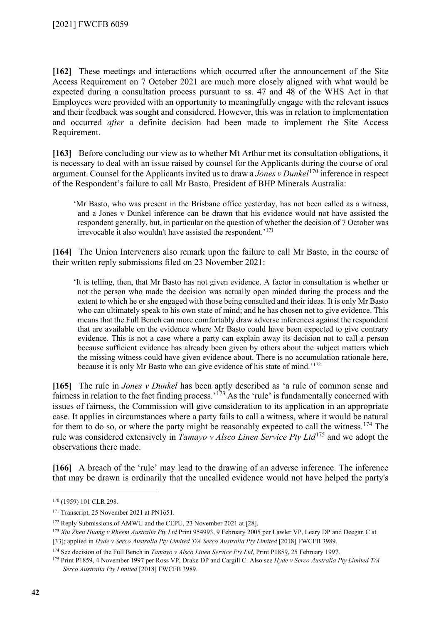**[162]** These meetings and interactions which occurred after the announcement of the Site Access Requirement on 7 October 2021 are much more closely aligned with what would be expected during a consultation process pursuant to ss. 47 and 48 of the WHS Act in that Employees were provided with an opportunity to meaningfully engage with the relevant issues and their feedback was sought and considered. However, this was in relation to implementation and occurred *after* a definite decision had been made to implement the Site Access Requirement.

**[163]** Before concluding our view as to whether Mt Arthur met its consultation obligations, it is necessary to deal with an issue raised by counsel for the Applicants during the course of oral argument. Counsel for the Applicants invited us to draw a *Jones v Dunkel*[170](#page-41-0) inference in respect of the Respondent's failure to call Mr Basto, President of BHP Minerals Australia:

'Mr Basto, who was present in the Brisbane office yesterday, has not been called as a witness, and a Jones v Dunkel inference can be drawn that his evidence would not have assisted the respondent generally, but, in particular on the question of whether the decision of 7 October was irrevocable it also wouldn't have assisted the respondent.'[171](#page-41-1)

**[164]** The Union Interveners also remark upon the failure to call Mr Basto, in the course of their written reply submissions filed on 23 November 2021:

'It is telling, then, that Mr Basto has not given evidence. A factor in consultation is whether or not the person who made the decision was actually open minded during the process and the extent to which he or she engaged with those being consulted and their ideas. It is only Mr Basto who can ultimately speak to his own state of mind; and he has chosen not to give evidence. This means that the Full Bench can more comfortably draw adverse inferences against the respondent that are available on the evidence where Mr Basto could have been expected to give contrary evidence. This is not a case where a party can explain away its decision not to call a person because sufficient evidence has already been given by others about the subject matters which the missing witness could have given evidence about. There is no accumulation rationale here, because it is only Mr Basto who can give evidence of his state of mind.'[172](#page-41-2)

**[165]** The rule in *Jones v Dunkel* has been aptly described as 'a rule of common sense and fairness in relation to the fact finding process.<sup> $173$ </sup> As the 'rule' is fundamentally concerned with issues of fairness, the Commission will give consideration to its application in an appropriate case. It applies in circumstances where a party fails to call a witness, where it would be natural for them to do so, or where the party might be reasonably expected to call the witness.<sup>[174](#page-41-4)</sup> The rule was considered extensively in *Tamayo v Alsco Linen Service Pty Ltd*[175](#page-41-5) and we adopt the observations there made.

**[166]** A breach of the 'rule' may lead to the drawing of an adverse inference. The inference that may be drawn is ordinarily that the uncalled evidence would not have helped the party's

<span id="page-41-0"></span><sup>170</sup> (1959) 101 CLR 298.

<span id="page-41-1"></span><sup>&</sup>lt;sup>171</sup> Transcript, 25 November 2021 at PN1651.

<span id="page-41-2"></span><sup>&</sup>lt;sup>172</sup> Reply Submissions of AMWU and the CEPU, 23 November 2021 at [28].

<span id="page-41-3"></span><sup>173</sup> *Xiu Zhen Huang v Rheem Australia Pty Ltd* Print 954993, 9 February 2005 per Lawler VP, Leary DP and Deegan C at [33]; applied in *Hyde v Serco Australia Pty Limited T/A Serco Australia Pty Limited* [2018] FWCFB 3989.

<span id="page-41-4"></span><sup>174</sup> See decision of the Full Bench in *Tamayo v Alsco Linen Service Pty Ltd*, Print P1859, 25 February 1997.

<span id="page-41-5"></span><sup>175</sup> Print P1859, 4 November 1997 per Ross VP, Drake DP and Cargill C. Also see *Hyde v Serco Australia Pty Limited T/A Serco Australia Pty Limited* [2018] FWCFB 3989.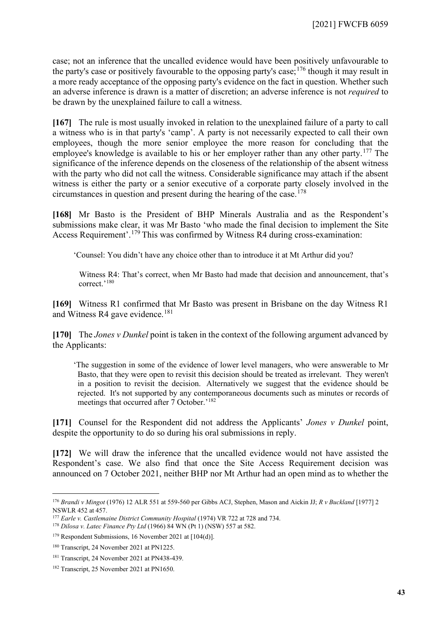case; not an inference that the uncalled evidence would have been positively unfavourable to the party's case or positively favourable to the opposing party's case;  $176$  though it may result in a more ready acceptance of the opposing party's evidence on the fact in question. Whether such an adverse inference is drawn is a matter of discretion; an adverse inference is not *required* to be drawn by the unexplained failure to call a witness.

**[167]** The rule is most usually invoked in relation to the unexplained failure of a party to call a witness who is in that party's 'camp'. A party is not necessarily expected to call their own employees, though the more senior employee the more reason for concluding that the employee's knowledge is available to his or her employer rather than any other party.<sup>[177](#page-42-1)</sup> The significance of the inference depends on the closeness of the relationship of the absent witness with the party who did not call the witness. Considerable significance may attach if the absent witness is either the party or a senior executive of a corporate party closely involved in the circumstances in question and present during the hearing of the case.<sup>[178](#page-42-2)</sup>

**[168]** Mr Basto is the President of BHP Minerals Australia and as the Respondent's submissions make clear, it was Mr Basto 'who made the final decision to implement the Site Access Requirement'.[179](#page-42-3) This was confirmed by Witness R4 during cross-examination:

'Counsel: You didn't have any choice other than to introduce it at Mt Arthur did you?

Witness R4: That's correct, when Mr Basto had made that decision and announcement, that's correct.'<sup>[180](#page-42-4)</sup>

**[169]** Witness R1 confirmed that Mr Basto was present in Brisbane on the day Witness R1 and Witness R4 gave evidence.<sup>[181](#page-42-5)</sup>

**[170]** The *Jones v Dunkel* point is taken in the context of the following argument advanced by the Applicants:

'The suggestion in some of the evidence of lower level managers, who were answerable to Mr Basto, that they were open to revisit this decision should be treated as irrelevant. They weren't in a position to revisit the decision. Alternatively we suggest that the evidence should be rejected. It's not supported by any contemporaneous documents such as minutes or records of meetings that occurred after 7 October.<sup>'[182](#page-42-6)</sup>

**[171]** Counsel for the Respondent did not address the Applicants' *Jones v Dunkel* point, despite the opportunity to do so during his oral submissions in reply.

**[172]** We will draw the inference that the uncalled evidence would not have assisted the Respondent's case. We also find that once the Site Access Requirement decision was announced on 7 October 2021, neither BHP nor Mt Arthur had an open mind as to whether the

<span id="page-42-0"></span><sup>176</sup> *Brandi v Mingot* (1976) 12 ALR 551 at 559-560 per Gibbs ACJ, Stephen, Mason and Aickin JJ; *R v Buckland* [1977] 2 NSWLR 452 at 457.

<span id="page-42-1"></span><sup>177</sup> *Earle v. Castlemaine District Community Hospital* (1974) VR 722 at 728 and 734.

<span id="page-42-2"></span><sup>178</sup> *Dilosa v. Latec Finance Pty Ltd* (1966) 84 WN (Pt 1) (NSW) 557 at 582.

<span id="page-42-3"></span><sup>179</sup> Respondent Submissions, 16 November 2021 at [104(d)].

<span id="page-42-4"></span><sup>180</sup> Transcript, 24 November 2021 at PN1225.

<span id="page-42-5"></span><sup>181</sup> Transcript, 24 November 2021 at PN438-439.

<span id="page-42-6"></span><sup>182</sup> Transcript, 25 November 2021 at PN1650.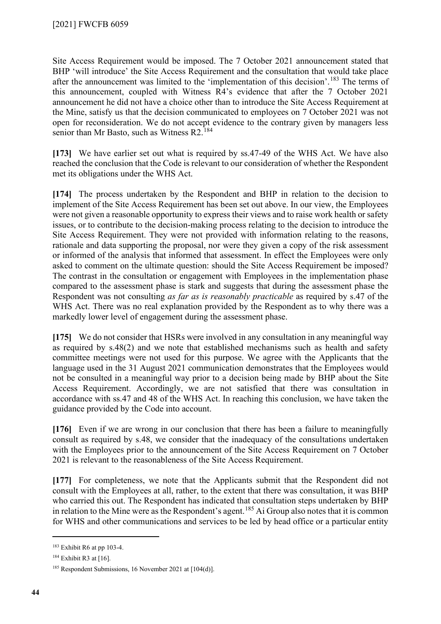Site Access Requirement would be imposed. The 7 October 2021 announcement stated that BHP 'will introduce' the Site Access Requirement and the consultation that would take place after the announcement was limited to the 'implementation of this decision'.<sup>[183](#page-43-0)</sup> The terms of this announcement, coupled with Witness R4's evidence that after the 7 October 2021 announcement he did not have a choice other than to introduce the Site Access Requirement at the Mine, satisfy us that the decision communicated to employees on 7 October 2021 was not open for reconsideration. We do not accept evidence to the contrary given by managers less senior than Mr Basto, such as Witness R2.<sup>[184](#page-43-1)</sup>

**[173]** We have earlier set out what is required by ss.47-49 of the WHS Act. We have also reached the conclusion that the Code is relevant to our consideration of whether the Respondent met its obligations under the WHS Act.

**[174]** The process undertaken by the Respondent and BHP in relation to the decision to implement of the Site Access Requirement has been set out above. In our view, the Employees were not given a reasonable opportunity to express their views and to raise work health or safety issues, or to contribute to the decision-making process relating to the decision to introduce the Site Access Requirement. They were not provided with information relating to the reasons, rationale and data supporting the proposal, nor were they given a copy of the risk assessment or informed of the analysis that informed that assessment. In effect the Employees were only asked to comment on the ultimate question: should the Site Access Requirement be imposed? The contrast in the consultation or engagement with Employees in the implementation phase compared to the assessment phase is stark and suggests that during the assessment phase the Respondent was not consulting *as far as is reasonably practicable* as required by s.47 of the WHS Act. There was no real explanation provided by the Respondent as to why there was a markedly lower level of engagement during the assessment phase.

**[175]** We do not consider that HSRs were involved in any consultation in any meaningful way as required by s.48(2) and we note that established mechanisms such as health and safety committee meetings were not used for this purpose. We agree with the Applicants that the language used in the 31 August 2021 communication demonstrates that the Employees would not be consulted in a meaningful way prior to a decision being made by BHP about the Site Access Requirement. Accordingly, we are not satisfied that there was consultation in accordance with ss.47 and 48 of the WHS Act. In reaching this conclusion, we have taken the guidance provided by the Code into account.

**[176]** Even if we are wrong in our conclusion that there has been a failure to meaningfully consult as required by s.48, we consider that the inadequacy of the consultations undertaken with the Employees prior to the announcement of the Site Access Requirement on 7 October 2021 is relevant to the reasonableness of the Site Access Requirement.

**[177]** For completeness, we note that the Applicants submit that the Respondent did not consult with the Employees at all, rather, to the extent that there was consultation, it was BHP who carried this out. The Respondent has indicated that consultation steps undertaken by BHP in relation to the Mine were as the Respondent's agent.<sup>[185](#page-43-2)</sup> Ai Group also notes that it is common for WHS and other communications and services to be led by head office or a particular entity

<span id="page-43-0"></span><sup>183</sup> Exhibit R6 at pp 103-4.

<span id="page-43-1"></span><sup>184</sup> Exhibit R3 at [16].

<span id="page-43-2"></span><sup>&</sup>lt;sup>185</sup> Respondent Submissions, 16 November 2021 at [104(d)].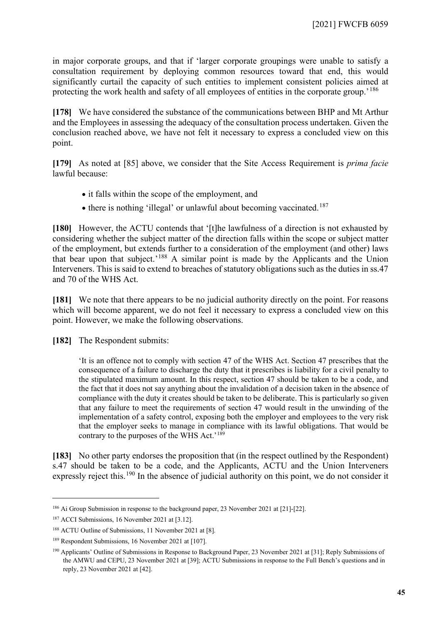in major corporate groups, and that if 'larger corporate groupings were unable to satisfy a consultation requirement by deploying common resources toward that end, this would significantly curtail the capacity of such entities to implement consistent policies aimed at protecting the work health and safety of all employees of entities in the corporate group.<sup>[186](#page-44-0)</sup>

**[178]** We have considered the substance of the communications between BHP and Mt Arthur and the Employees in assessing the adequacy of the consultation process undertaken. Given the conclusion reached above, we have not felt it necessary to express a concluded view on this point.

**[179]** As noted at [\[85\]](#page-22-7) above, we consider that the Site Access Requirement is *prima facie*  lawful because:

- it falls within the scope of the employment, and
- there is nothing 'illegal' or unlawful about becoming vaccinated.<sup>[187](#page-44-1)</sup>

**[180]** However, the ACTU contends that '[t]he lawfulness of a direction is not exhausted by considering whether the subject matter of the direction falls within the scope or subject matter of the employment, but extends further to a consideration of the employment (and other) laws that bear upon that subject.'[188](#page-44-2) A similar point is made by the Applicants and the Union Interveners. This is said to extend to breaches of statutory obligations such as the duties in ss.47 and 70 of the WHS Act.

**[181]** We note that there appears to be no judicial authority directly on the point. For reasons which will become apparent, we do not feel it necessary to express a concluded view on this point. However, we make the following observations.

**[182]** The Respondent submits:

'It is an offence not to comply with section 47 of the WHS Act. Section 47 prescribes that the consequence of a failure to discharge the duty that it prescribes is liability for a civil penalty to the stipulated maximum amount. In this respect, section 47 should be taken to be a code, and the fact that it does not say anything about the invalidation of a decision taken in the absence of compliance with the duty it creates should be taken to be deliberate. This is particularly so given that any failure to meet the requirements of section 47 would result in the unwinding of the implementation of a safety control, exposing both the employer and employees to the very risk that the employer seeks to manage in compliance with its lawful obligations. That would be contrary to the purposes of the WHS Act.'<sup>[189](#page-44-3)</sup>

**[183]** No other party endorses the proposition that (in the respect outlined by the Respondent) s.47 should be taken to be a code, and the Applicants, ACTU and the Union Interveners expressly reject this.<sup>[190](#page-44-4)</sup> In the absence of judicial authority on this point, we do not consider it

<span id="page-44-0"></span><sup>186</sup> Ai Group Submission in response to the background paper, 23 November 2021 at [21]-[22].

<span id="page-44-1"></span><sup>187</sup> ACCI Submissions, 16 November 2021 at [3.12].

<span id="page-44-2"></span><sup>188</sup> ACTU Outline of Submissions, 11 November 2021 at [8].

<span id="page-44-3"></span><sup>189</sup> Respondent Submissions, 16 November 2021 at [107].

<span id="page-44-4"></span><sup>190</sup> Applicants' Outline of Submissions in Response to Background Paper, 23 November 2021 at [31]; Reply Submissions of the AMWU and CEPU, 23 November 2021 at [39]; ACTU Submissions in response to the Full Bench's questions and in reply, 23 November 2021 at [42].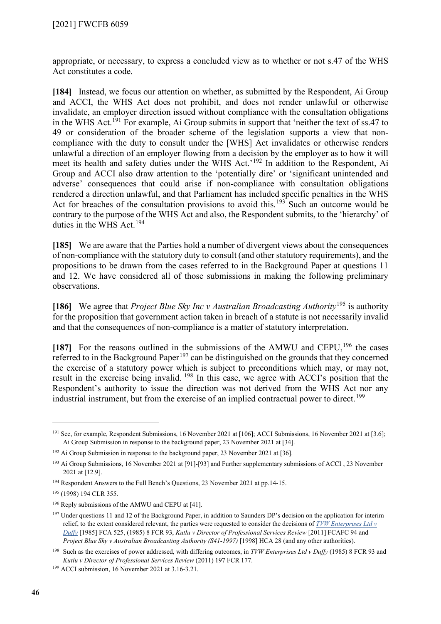appropriate, or necessary, to express a concluded view as to whether or not s.47 of the WHS Act constitutes a code.

**[184]** Instead, we focus our attention on whether, as submitted by the Respondent, Ai Group and ACCI, the WHS Act does not prohibit, and does not render unlawful or otherwise invalidate, an employer direction issued without compliance with the consultation obligations in the WHS Act.<sup>[191](#page-45-0)</sup> For example, Ai Group submits in support that 'neither the text of  $\overline{\text{ss}}$ .47 to 49 or consideration of the broader scheme of the legislation supports a view that noncompliance with the duty to consult under the [WHS] Act invalidates or otherwise renders unlawful a direction of an employer flowing from a decision by the employer as to how it will meet its health and safety duties under the WHS Act.'[192](#page-45-1) In addition to the Respondent, Ai Group and ACCI also draw attention to the 'potentially dire' or 'significant unintended and adverse' consequences that could arise if non-compliance with consultation obligations rendered a direction unlawful, and that Parliament has included specific penalties in the WHS Act for breaches of the consultation provisions to avoid this.<sup>[193](#page-45-2)</sup> Such an outcome would be contrary to the purpose of the WHS Act and also, the Respondent submits, to the 'hierarchy' of duties in the WHS Act.<sup>[194](#page-45-3)</sup>

**[185]** We are aware that the Parties hold a number of divergent views about the consequences of non-compliance with the statutory duty to consult (and other statutory requirements), and the propositions to be drawn from the cases referred to in the Background Paper at questions 11 and 12. We have considered all of those submissions in making the following preliminary observations.

**[186]** We agree that *Project Blue Sky Inc v Australian Broadcasting Authority*[195](#page-45-4) is authority for the proposition that government action taken in breach of a statute is not necessarily invalid and that the consequences of non-compliance is a matter of statutory interpretation.

[187] For the reasons outlined in the submissions of the AMWU and CEPU,<sup>[196](#page-45-5)</sup> the cases referred to in the Background Paper<sup>[197](#page-45-6)</sup> can be distinguished on the grounds that they concerned the exercise of a statutory power which is subject to preconditions which may, or may not, result in the exercise being invalid. [198](#page-45-7) In this case, we agree with ACCI's position that the Respondent's authority to issue the direction was not derived from the WHS Act nor any industrial instrument, but from the exercise of an implied contractual power to direct. [199](#page-45-8)

<span id="page-45-0"></span><sup>&</sup>lt;sup>191</sup> See, for example, Respondent Submissions, 16 November 2021 at [106]; ACCI Submissions, 16 November 2021 at [3.6]; Ai Group Submission in response to the background paper, 23 November 2021 at [34].

<span id="page-45-1"></span><sup>&</sup>lt;sup>192</sup> Ai Group Submission in response to the background paper, 23 November 2021 at [36].

<span id="page-45-2"></span><sup>193</sup> Ai Group Submissions, 16 November 2021 at [91]-[93] and Further supplementary submissions of ACCI , 23 November 2021 at [12.9].

<span id="page-45-3"></span><sup>194</sup> Respondent Answers to the Full Bench's Questions, 23 November 2021 at pp.14-15.

<span id="page-45-4"></span><sup>195</sup> (1998) 194 CLR 355.

<span id="page-45-5"></span><sup>&</sup>lt;sup>196</sup> Reply submissions of the AMWU and CEPU at [41].

<span id="page-45-6"></span><sup>&</sup>lt;sup>197</sup> Under questions 11 and 12 of the Background Paper, in addition to Saunders DP's decision on the application for interim relief, to the extent considered relevant, the parties were requested to consider the decisions of *[TVW Enterprises Ltd v](http://www8.austlii.edu.au/cgi-bin/viewdoc/au/cases/cth/FCA/1985/382.html?query=)  [Duffy](http://www8.austlii.edu.au/cgi-bin/viewdoc/au/cases/cth/FCA/1985/382.html?query=)* [1985] FCA 525, (1985) 8 FCR 93, *Kutlu v Director of Professional Services Review* [2011] FCAFC 94 and *Project Blue Sky v Australian Broadcasting Authority (S41-1997)* [1998] HCA 28 (and any other authorities).

<span id="page-45-7"></span><sup>198</sup> Such as the exercises of power addressed, with differing outcomes, in *TVW Enterprises Ltd v Duffy* (1985) 8 FCR 93 and *Kutlu v Director of Professional Services Review* (2011) 197 FCR 177. 199 ACCI submission, 16 November 2021 at 3.16-3.21.

<span id="page-45-8"></span>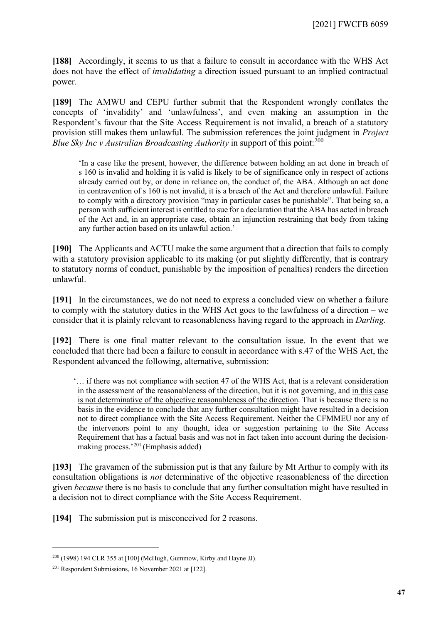**[188]** Accordingly, it seems to us that a failure to consult in accordance with the WHS Act does not have the effect of *invalidating* a direction issued pursuant to an implied contractual power.

**[189]** The AMWU and CEPU further submit that the Respondent wrongly conflates the concepts of 'invalidity' and 'unlawfulness', and even making an assumption in the Respondent's favour that the Site Access Requirement is not invalid, a breach of a statutory provision still makes them unlawful. The submission references the joint judgment in *Project Blue Sky Inc v Australian Broadcasting Authority* in support of this point:<sup>[200](#page-46-0)</sup>

'In a case like the present, however, the difference between holding an act done in breach of s 160 is invalid and holding it is valid is likely to be of significance only in respect of actions already carried out by, or done in reliance on, the conduct of, the ABA. Although an act done in contravention of s 160 is not invalid, it is a breach of the Act and therefore unlawful. Failure to comply with a directory provision "may in particular cases be punishable". That being so, a person with sufficient interest is entitled to sue for a declaration that the ABA has acted in breach of the Act and, in an appropriate case, obtain an injunction restraining that body from taking any further action based on its unlawful action.'

**[190]** The Applicants and ACTU make the same argument that a direction that fails to comply with a statutory provision applicable to its making (or put slightly differently, that is contrary to statutory norms of conduct, punishable by the imposition of penalties) renders the direction unlawful.

**[191]** In the circumstances, we do not need to express a concluded view on whether a failure to comply with the statutory duties in the WHS Act goes to the lawfulness of a direction – we consider that it is plainly relevant to reasonableness having regard to the approach in *Darling*.

**[192]** There is one final matter relevant to the consultation issue. In the event that we concluded that there had been a failure to consult in accordance with s.47 of the WHS Act, the Respondent advanced the following, alternative, submission:

'… if there was not compliance with section 47 of the WHS Act, that is a relevant consideration in the assessment of the reasonableness of the direction, but it is not governing, and in this case is not determinative of the objective reasonableness of the direction. That is because there is no basis in the evidence to conclude that any further consultation might have resulted in a decision not to direct compliance with the Site Access Requirement. Neither the CFMMEU nor any of the intervenors point to any thought, idea or suggestion pertaining to the Site Access Requirement that has a factual basis and was not in fact taken into account during the decisionmaking process.'[201](#page-46-1) (Emphasis added)

**[193]** The gravamen of the submission put is that any failure by Mt Arthur to comply with its consultation obligations is *not* determinative of the objective reasonableness of the direction given *because* there is no basis to conclude that any further consultation might have resulted in a decision not to direct compliance with the Site Access Requirement.

**[194]** The submission put is misconceived for 2 reasons.

<span id="page-46-0"></span><sup>200</sup> (1998) 194 CLR 355 at [100] (McHugh, Gummow, Kirby and Hayne JJ).

<span id="page-46-1"></span><sup>201</sup> Respondent Submissions, 16 November 2021 at [122].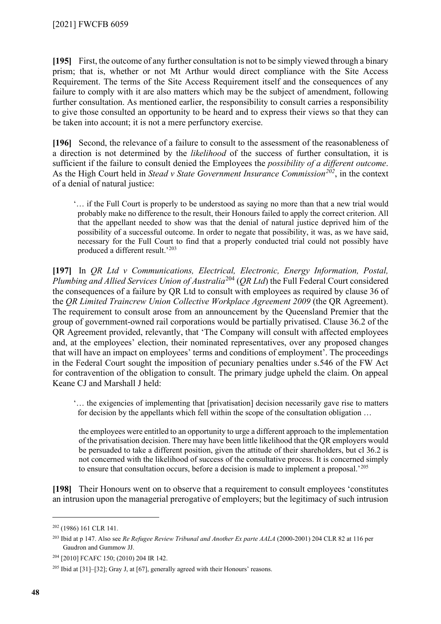**[195]** First, the outcome of any further consultation is not to be simply viewed through a binary prism; that is, whether or not Mt Arthur would direct compliance with the Site Access Requirement. The terms of the Site Access Requirement itself and the consequences of any failure to comply with it are also matters which may be the subject of amendment, following further consultation. As mentioned earlier, the responsibility to consult carries a responsibility to give those consulted an opportunity to be heard and to express their views so that they can be taken into account; it is not a mere perfunctory exercise.

**[196]** Second, the relevance of a failure to consult to the assessment of the reasonableness of a direction is not determined by the *likelihood* of the success of further consultation, it is sufficient if the failure to consult denied the Employees the *possibility of a different outcome*. As the High Court held in *Stead v State Government Insurance Commission[202](#page-47-0)*, in the context of a denial of natural justice:

'… if the Full Court is properly to be understood as saying no more than that a new trial would probably make no difference to the result, their Honours failed to apply the correct criterion. All that the appellant needed to show was that the denial of natural justice deprived him of the possibility of a successful outcome. In order to negate that possibility, it was, as we have said, necessary for the Full Court to find that a properly conducted trial could not possibly have produced a different result.'[203](#page-47-1)

**[197]** In *QR Ltd v Communications, Electrical, Electronic, Energy Information, Postal, Plumbing and Allied Services Union of Australia*[204](#page-47-2) (*QR Ltd*) the Full Federal Court considered the consequences of a failure by QR Ltd to consult with employees as required by clause 36 of the *QR Limited Traincrew Union Collective Workplace Agreement 2009* (the QR Agreement). The requirement to consult arose from an announcement by the Queensland Premier that the group of government-owned rail corporations would be partially privatised. Clause 36.2 of the QR Agreement provided, relevantly, that 'The Company will consult with affected employees and, at the employees' election, their nominated representatives, over any proposed changes that will have an impact on employees' terms and conditions of employment'. The proceedings in the Federal Court sought the imposition of pecuniary penalties under s.546 of the FW Act for contravention of the obligation to consult. The primary judge upheld the claim. On appeal Keane CJ and Marshall J held:

'… the exigencies of implementing that [privatisation] decision necessarily gave rise to matters for decision by the appellants which fell within the scope of the consultation obligation …

the employees were entitled to an opportunity to urge a different approach to the implementation of the privatisation decision. There may have been little likelihood that the QR employers would be persuaded to take a different position, given the attitude of their shareholders, but cl 36.2 is not concerned with the likelihood of success of the consultative process. It is concerned simply to ensure that consultation occurs, before a decision is made to implement a proposal.'[205](#page-47-3)

**[198]** Their Honours went on to observe that a requirement to consult employees 'constitutes an intrusion upon the managerial prerogative of employers; but the legitimacy of such intrusion

<span id="page-47-0"></span><sup>202</sup> (1986) 161 CLR 141.

<span id="page-47-1"></span><sup>203</sup> Ibid at p 147. Also see *Re Refugee Review Tribunal and Another Ex parte AALA* (2000-2001) 204 CLR 82 at 116 per Gaudron and Gummow JJ.

<span id="page-47-2"></span><sup>204</sup> [2010] FCAFC 150; (2010) 204 IR 142.

<span id="page-47-3"></span><sup>205</sup> Ibid at [31]–[32]; Gray J, at [67], generally agreed with their Honours' reasons.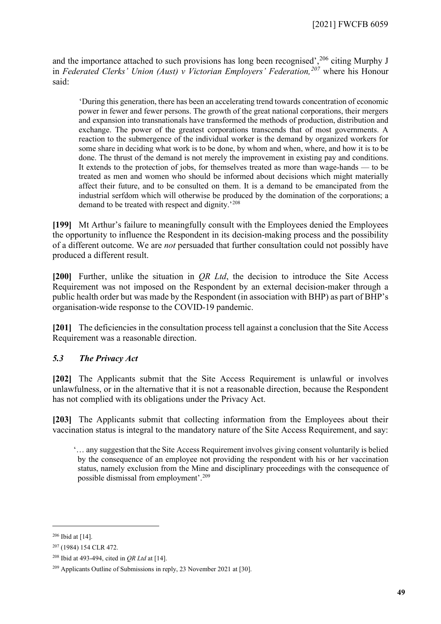and the importance attached to such provisions has long been recognised',<sup>[206](#page-48-1)</sup> citing Murphy J in *Federated Clerks' Union (Aust) v Victorian Employers' Federation,[207](#page-48-2)* where his Honour said:

'During this generation, there has been an accelerating trend towards concentration of economic power in fewer and fewer persons. The growth of the great national corporations, their mergers and expansion into transnationals have transformed the methods of production, distribution and exchange. The power of the greatest corporations transcends that of most governments. A reaction to the submergence of the individual worker is the demand by organized workers for some share in deciding what work is to be done, by whom and when, where, and how it is to be done. The thrust of the demand is not merely the improvement in existing pay and conditions. It extends to the protection of jobs, for themselves treated as more than wage-hands — to be treated as men and women who should be informed about decisions which might materially affect their future, and to be consulted on them. It is a demand to be emancipated from the industrial serfdom which will otherwise be produced by the domination of the corporations; a demand to be treated with respect and dignity.'[208](#page-48-3)

**[199]** Mt Arthur's failure to meaningfully consult with the Employees denied the Employees the opportunity to influence the Respondent in its decision-making process and the possibility of a different outcome. We are *not* persuaded that further consultation could not possibly have produced a different result.

**[200]** Further, unlike the situation in *QR Ltd*, the decision to introduce the Site Access Requirement was not imposed on the Respondent by an external decision-maker through a public health order but was made by the Respondent (in association with BHP) as part of BHP's organisation-wide response to the COVID-19 pandemic.

[201] The deficiencies in the consultation process tell against a conclusion that the Site Access Requirement was a reasonable direction.

# *5.3 The Privacy Act*

<span id="page-48-0"></span>**[202]** The Applicants submit that the Site Access Requirement is unlawful or involves unlawfulness, or in the alternative that it is not a reasonable direction, because the Respondent has not complied with its obligations under the Privacy Act.

**[203]** The Applicants submit that collecting information from the Employees about their vaccination status is integral to the mandatory nature of the Site Access Requirement, and say:

'… any suggestion that the Site Access Requirement involves giving consent voluntarily is belied by the consequence of an employee not providing the respondent with his or her vaccination status, namely exclusion from the Mine and disciplinary proceedings with the consequence of possible dismissal from employment'[.209](#page-48-4)

<span id="page-48-1"></span> $206$  Ibid at [14].

<span id="page-48-2"></span><sup>207</sup> (1984) 154 CLR 472.

<span id="page-48-3"></span><sup>208</sup> Ibid at 493-494, cited in *QR Ltd* at [14].

<span id="page-48-4"></span><sup>209</sup> Applicants Outline of Submissions in reply, 23 November 2021 at [30].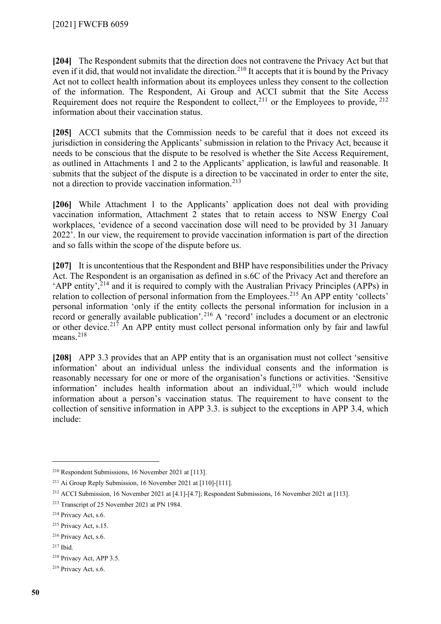**[204]** The Respondent submits that the direction does not contravene the Privacy Act but that even if it did, that would not invalidate the direction.<sup>[210](#page-49-0)</sup> It accepts that it is bound by the Privacy Act not to collect health information about its employees unless they consent to the collection of the information. The Respondent, Ai Group and ACCI submit that the Site Access Requirement does not require the Respondent to collect,  $^{211}$  $^{211}$  $^{211}$  or the Employees to provide,  $^{212}$  $^{212}$  $^{212}$ information about their vaccination status.

**[205]** ACCI submits that the Commission needs to be careful that it does not exceed its jurisdiction in considering the Applicants' submission in relation to the Privacy Act, because it needs to be conscious that the dispute to be resolved is whether the Site Access Requirement, as outlined in Attachments 1 and 2 to the Applicants' application, is lawful and reasonable. It submits that the subject of the dispute is a direction to be vaccinated in order to enter the site, not a direction to provide vaccination information.<sup>[213](#page-49-3)</sup>

**[206]** While Attachment 1 to the Applicants' application does not deal with providing vaccination information, Attachment 2 states that to retain access to NSW Energy Coal workplaces, 'evidence of a second vaccination dose will need to be provided by 31 January 2022'. In our view, the requirement to provide vaccination information is part of the direction and so falls within the scope of the dispute before us.

<span id="page-49-10"></span>**[207]** It is uncontentious that the Respondent and BHP have responsibilities under the Privacy Act. The Respondent is an organisation as defined in s.6C of the Privacy Act and therefore an 'APP entity',  $2^{14}$  and it is required to comply with the Australian Privacy Principles (APPs) in relation to collection of personal information from the Employees.<sup>[215](#page-49-5)</sup> An APP entity 'collects' personal information 'only if the entity collects the personal information for inclusion in a record or generally available publication'.[216](#page-49-6) A 'record' includes a document or an electronic or other device.<sup>[217](#page-49-7)</sup> An APP entity must collect personal information only by fair and lawful means.<sup>[218](#page-49-8)</sup>

**[208]** APP 3.3 provides that an APP entity that is an organisation must not collect 'sensitive information' about an individual unless the individual consents and the information is reasonably necessary for one or more of the organisation's functions or activities. 'Sensitive information' includes health information about an individual, $2^{19}$  which would include information about a person's vaccination status. The requirement to have consent to the collection of sensitive information in APP 3.3. is subject to the exceptions in APP 3.4, which include:

<span id="page-49-0"></span><sup>210</sup> Respondent Submissions, 16 November 2021 at [113].

<span id="page-49-1"></span><sup>211</sup> Ai Group Reply Submission, 16 November 2021 at [110]-[111].

<span id="page-49-2"></span><sup>&</sup>lt;sup>212</sup> ACCI Submission, 16 November 2021 at [4.1]-[4.7]; Respondent Submissions, 16 November 2021 at [113].

<span id="page-49-3"></span><sup>213</sup> Transcript of 25 November 2021 at PN 1984.

<span id="page-49-4"></span><sup>214</sup> Privacy Act, s.6.

<span id="page-49-5"></span><sup>215</sup> Privacy Act, s.15.

<span id="page-49-6"></span><sup>216</sup> Privacy Act, s.6.

<span id="page-49-7"></span><sup>217</sup> Ibid.

<span id="page-49-8"></span><sup>218</sup> Privacy Act, APP 3.5.

<span id="page-49-9"></span><sup>219</sup> Privacy Act, s.6.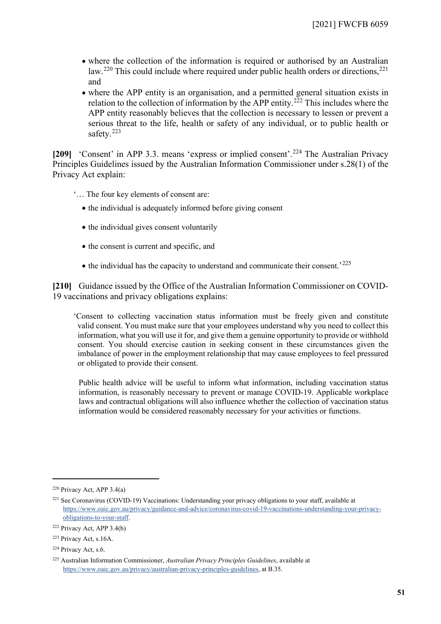- where the collection of the information is required or authorised by an Australian law.<sup>[220](#page-50-0)</sup> This could include where required under public health orders or directions,<sup>[221](#page-50-1)</sup> and
- where the APP entity is an organisation, and a permitted general situation exists in relation to the collection of information by the APP entity.<sup>[222](#page-50-2)</sup> This includes where the APP entity reasonably believes that the collection is necessary to lessen or prevent a serious threat to the life, health or safety of any individual, or to public health or safety.<sup>[223](#page-50-3)</sup>

[209] 'Consent' in APP 3.3. means 'express or implied consent'.<sup>[224](#page-50-4)</sup> The Australian Privacy Principles Guidelines issued by the Australian Information Commissioner under s.28(1) of the Privacy Act explain:

- '… The four key elements of consent are:
	- the individual is adequately informed before giving consent
	- the individual gives consent voluntarily
	- the consent is current and specific, and
	- $\bullet$  the individual has the capacity to understand and communicate their consent.<sup>[225](#page-50-5)</sup>

**[210]** Guidance issued by the Office of the Australian Information Commissioner on COVID-19 vaccinations and privacy obligations explains:

'Consent to collecting vaccination status information must be freely given and constitute valid consent. You must make sure that your employees understand why you need to collect this information, what you will use it for, and give them a genuine opportunity to provide or withhold consent. You should exercise caution in seeking consent in these circumstances given the imbalance of power in the employment relationship that may cause employees to feel pressured or obligated to provide their consent.

Public health advice will be useful to inform what information, including vaccination status information, is reasonably necessary to prevent or manage COVID-19. Applicable workplace laws and contractual obligations will also influence whether the collection of vaccination status information would be considered reasonably necessary for your activities or functions.

<span id="page-50-0"></span> $220$  Privacy Act, APP 3.4(a)

<span id="page-50-1"></span><sup>&</sup>lt;sup>221</sup> See Coronavirus (COVID-19) Vaccinations: Understanding your privacy obligations to your staff, available at [https://www.oaic.gov.au/privacy/guidance-and-advice/coronavirus-covid-19-vaccinations-understanding-your-privacy](https://www.oaic.gov.au/privacy/guidance-and-advice/coronavirus-covid-19-vaccinations-understanding-your-privacy-obligations-to-your-staff)[obligations-to-your-staff.](https://www.oaic.gov.au/privacy/guidance-and-advice/coronavirus-covid-19-vaccinations-understanding-your-privacy-obligations-to-your-staff) 

<span id="page-50-2"></span><sup>222</sup> Privacy Act, APP 3.4(b)

<span id="page-50-3"></span><sup>223</sup> Privacy Act, s.16A.

<span id="page-50-4"></span><sup>224</sup> Privacy Act, s.6.

<span id="page-50-5"></span><sup>225</sup> Australian Information Commissioner, *Australian Privacy Principles Guidelines*, available at [https://www.oaic.gov.au/privacy/australian-privacy-principles-guidelines,](https://www.oaic.gov.au/privacy/australian-privacy-principles-guidelines) at B.35.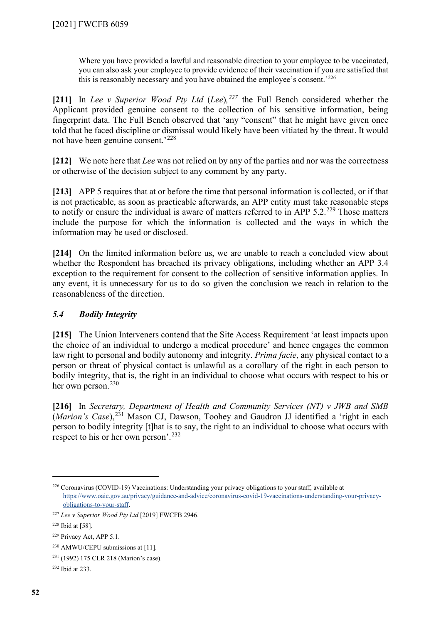Where you have provided a lawful and reasonable direction to your employee to be vaccinated, you can also ask your employee to provide evidence of their vaccination if you are satisfied that this is reasonably necessary and you have obtained the employee's consent.'[226](#page-51-1)

**[211]** In *Lee v Superior Wood Pty Ltd* (*Lee*)*, [227](#page-51-2)* the Full Bench considered whether the Applicant provided genuine consent to the collection of his sensitive information, being fingerprint data. The Full Bench observed that 'any "consent" that he might have given once told that he faced discipline or dismissal would likely have been vitiated by the threat. It would not have been genuine consent.'[228](#page-51-3)

**[212]** We note here that *Lee* was not relied on by any of the parties and nor was the correctness or otherwise of the decision subject to any comment by any party.

**[213]** APP 5 requires that at or before the time that personal information is collected, or if that is not practicable, as soon as practicable afterwards, an APP entity must take reasonable steps to notify or ensure the individual is aware of matters referred to in APP  $5.2^{229}$  $5.2^{229}$  $5.2^{229}$  Those matters include the purpose for which the information is collected and the ways in which the information may be used or disclosed.

**[214]** On the limited information before us, we are unable to reach a concluded view about whether the Respondent has breached its privacy obligations, including whether an APP 3.4 exception to the requirement for consent to the collection of sensitive information applies. In any event, it is unnecessary for us to do so given the conclusion we reach in relation to the reasonableness of the direction.

# *5.4 Bodily Integrity*

<span id="page-51-0"></span>**[215]** The Union Interveners contend that the Site Access Requirement 'at least impacts upon the choice of an individual to undergo a medical procedure' and hence engages the common law right to personal and bodily autonomy and integrity. *Prima facie*, any physical contact to a person or threat of physical contact is unlawful as a corollary of the right in each person to bodily integrity, that is, the right in an individual to choose what occurs with respect to his or her own person. $230$ 

**[216]** In *Secretary, Department of Health and Community Services (NT) v JWB and SMB*  (*Marion's Case*),[231](#page-51-6) Mason CJ, Dawson, Toohey and Gaudron JJ identified a 'right in each person to bodily integrity [t]hat is to say, the right to an individual to choose what occurs with respect to his or her own person'. [232](#page-51-7)

<span id="page-51-1"></span><sup>226</sup> Coronavirus (COVID-19) Vaccinations: Understanding your privacy obligations to your staff, available at [https://www.oaic.gov.au/privacy/guidance-and-advice/coronavirus-covid-19-vaccinations-understanding-your-privacy](https://www.oaic.gov.au/privacy/guidance-and-advice/coronavirus-covid-19-vaccinations-understanding-your-privacy-obligations-to-your-staff)[obligations-to-your-staff.](https://www.oaic.gov.au/privacy/guidance-and-advice/coronavirus-covid-19-vaccinations-understanding-your-privacy-obligations-to-your-staff) 

<span id="page-51-2"></span><sup>227</sup> *Lee v Superior Wood Pty Ltd* [2019] FWCFB 2946.

<span id="page-51-3"></span><sup>228</sup> Ibid at [58].

<span id="page-51-4"></span><sup>229</sup> Privacy Act, APP 5.1.

<span id="page-51-5"></span><sup>230</sup> AMWU/CEPU submissions at [11].

<span id="page-51-6"></span><sup>231</sup> (1992) 175 CLR 218 (Marion's case).

<span id="page-51-7"></span><sup>232</sup> Ibid at 233.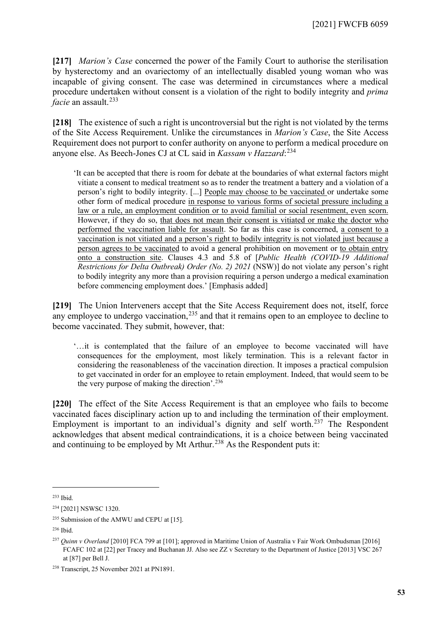**[217]** *Marion's Case* concerned the power of the Family Court to authorise the sterilisation by hysterectomy and an ovariectomy of an intellectually disabled young woman who was incapable of giving consent. The case was determined in circumstances where a medical procedure undertaken without consent is a violation of the right to bodily integrity and *prima facie* an assault.<sup>[233](#page-52-0)</sup>

**[218]** The existence of such a right is uncontroversial but the right is not violated by the terms of the Site Access Requirement. Unlike the circumstances in *Marion's Case*, the Site Access Requirement does not purport to confer authority on anyone to perform a medical procedure on anyone else. As Beech-Jones CJ at CL said in *Kassam v Hazzard*: [234](#page-52-1)

'It can be accepted that there is room for debate at the boundaries of what external factors might vitiate a consent to medical treatment so as to render the treatment a battery and a violation of a person's right to bodily integrity. [...] People may choose to be vaccinated or undertake some other form of medical procedure in response to various forms of societal pressure including a law or a rule, an employment condition or to avoid familial or social resentment, even scorn. However, if they do so, that does not mean their consent is vitiated or make the doctor who performed the vaccination liable for assault. So far as this case is concerned, a consent to a vaccination is not vitiated and a person's right to bodily integrity is not violated just because a person agrees to be vaccinated to avoid a general prohibition on movement or to obtain entry onto a construction site. Clauses 4.3 and 5.8 of [*Public Health (COVID-19 Additional Restrictions for Delta Outbreak) Order (No. 2) 2021* (NSW)] do not violate any person's right to bodily integrity any more than a provision requiring a person undergo a medical examination before commencing employment does.' [Emphasis added]

**[219]** The Union Interveners accept that the Site Access Requirement does not, itself, force any employee to undergo vaccination,<sup>[235](#page-52-2)</sup> and that it remains open to an employee to decline to become vaccinated. They submit, however, that:

'…it is contemplated that the failure of an employee to become vaccinated will have consequences for the employment, most likely termination. This is a relevant factor in considering the reasonableness of the vaccination direction. It imposes a practical compulsion to get vaccinated in order for an employee to retain employment. Indeed, that would seem to be the very purpose of making the direction'.[236](#page-52-3)

**[220]** The effect of the Site Access Requirement is that an employee who fails to become vaccinated faces disciplinary action up to and including the termination of their employment. Employment is important to an individual's dignity and self worth.[237](#page-52-4) The Respondent acknowledges that absent medical contraindications, it is a choice between being vaccinated and continuing to be employed by Mt Arthur.<sup>[238](#page-52-5)</sup> As the Respondent puts it:

<span id="page-52-0"></span><sup>233</sup> Ibid.

<span id="page-52-1"></span><sup>234</sup> [2021] NSWSC 1320.

<span id="page-52-2"></span><sup>&</sup>lt;sup>235</sup> Submission of the AMWU and CEPU at [15].

<span id="page-52-3"></span><sup>236</sup> Ibid.

<span id="page-52-4"></span><sup>&</sup>lt;sup>237</sup> *Quinn v Overland* [2010] FCA 799 at [101]; approved in Maritime Union of Australia v Fair Work Ombudsman [2016] FCAFC 102 at [22] per Tracey and Buchanan JJ. Also see ZZ v Secretary to the Department of Justice [2013] VSC 267 at [87] per Bell J.

<span id="page-52-5"></span><sup>238</sup> Transcript, 25 November 2021 at PN1891.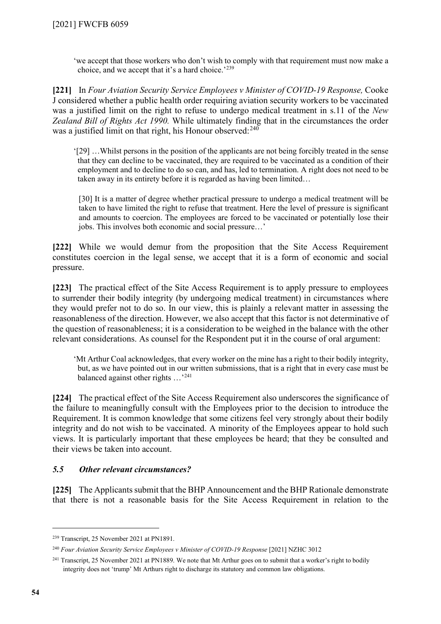'we accept that those workers who don't wish to comply with that requirement must now make a choice, and we accept that it's a hard choice.'[239](#page-53-1)

**[221]** In *Four Aviation Security Service Employees v Minister of COVID-19 Response,* Cooke J considered whether a public health order requiring aviation security workers to be vaccinated was a justified limit on the right to refuse to undergo medical treatment in s.11 of the *New Zealand Bill of Rights Act 1990.* While ultimately finding that in the circumstances the order was a justified limit on that right, his Honour observed:<sup>[240](#page-53-2)</sup>

'[29] …Whilst persons in the position of the applicants are not being forcibly treated in the sense that they can decline to be vaccinated, they are required to be vaccinated as a condition of their employment and to decline to do so can, and has, led to termination. A right does not need to be taken away in its entirety before it is regarded as having been limited…

[30] It is a matter of degree whether practical pressure to undergo a medical treatment will be taken to have limited the right to refuse that treatment. Here the level of pressure is significant and amounts to coercion. The employees are forced to be vaccinated or potentially lose their jobs. This involves both economic and social pressure…'

**[222]** While we would demur from the proposition that the Site Access Requirement constitutes coercion in the legal sense, we accept that it is a form of economic and social pressure.

**[223]** The practical effect of the Site Access Requirement is to apply pressure to employees to surrender their bodily integrity (by undergoing medical treatment) in circumstances where they would prefer not to do so. In our view, this is plainly a relevant matter in assessing the reasonableness of the direction. However, we also accept that this factor is not determinative of the question of reasonableness; it is a consideration to be weighed in the balance with the other relevant considerations. As counsel for the Respondent put it in the course of oral argument:

'Mt Arthur Coal acknowledges, that every worker on the mine has a right to their bodily integrity, but, as we have pointed out in our written submissions, that is a right that in every case must be balanced against other rights …'[241](#page-53-3)

**[224]** The practical effect of the Site Access Requirement also underscores the significance of the failure to meaningfully consult with the Employees prior to the decision to introduce the Requirement. It is common knowledge that some citizens feel very strongly about their bodily integrity and do not wish to be vaccinated. A minority of the Employees appear to hold such views. It is particularly important that these employees be heard; that they be consulted and their views be taken into account.

# *5.5 Other relevant circumstances?*

<span id="page-53-0"></span>**[225]** The Applicants submit that the BHP Announcement and the BHP Rationale demonstrate that there is not a reasonable basis for the Site Access Requirement in relation to the

<span id="page-53-1"></span><sup>239</sup> Transcript, 25 November 2021 at PN1891.

<span id="page-53-2"></span><sup>&</sup>lt;sup>240</sup> Four Aviation Security Service Employees v Minister of COVID-19 Response [2021] NZHC 3012

<span id="page-53-3"></span><sup>&</sup>lt;sup>241</sup> Transcript, 25 November 2021 at PN1889. We note that Mt Arthur goes on to submit that a worker's right to bodily integrity does not 'trump' Mt Arthurs right to discharge its statutory and common law obligations.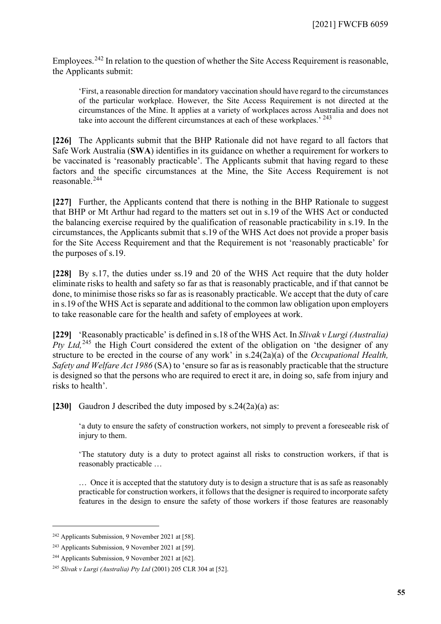Employees.<sup>[242](#page-54-0)</sup> In relation to the question of whether the Site Access Requirement is reasonable, the Applicants submit:

'First, a reasonable direction for mandatory vaccination should have regard to the circumstances of the particular workplace. However, the Site Access Requirement is not directed at the circumstances of the Mine. It applies at a variety of workplaces across Australia and does not take into account the different circumstances at each of these workplaces.<sup>' [243](#page-54-1)</sup>

**[226]** The Applicants submit that the BHP Rationale did not have regard to all factors that Safe Work Australia (**SWA**) identifies in its guidance on whether a requirement for workers to be vaccinated is 'reasonably practicable'. The Applicants submit that having regard to these factors and the specific circumstances at the Mine, the Site Access Requirement is not reasonable.[244](#page-54-2)

**[227]** Further, the Applicants contend that there is nothing in the BHP Rationale to suggest that BHP or Mt Arthur had regard to the matters set out in s.19 of the WHS Act or conducted the balancing exercise required by the qualification of reasonable practicability in s.19. In the circumstances, the Applicants submit that s.19 of the WHS Act does not provide a proper basis for the Site Access Requirement and that the Requirement is not 'reasonably practicable' for the purposes of s.19.

**[228]** By s.17, the duties under ss.19 and 20 of the WHS Act require that the duty holder eliminate risks to health and safety so far as that is reasonably practicable, and if that cannot be done, to minimise those risks so far as is reasonably practicable. We accept that the duty of care in s.19 of the WHS Act is separate and additional to the common law obligation upon employers to take reasonable care for the health and safety of employees at work.

**[229]** 'Reasonably practicable' is defined in s.18 of the WHS Act. In *Slivak v Lurgi (Australia) Pty Ltd*,<sup>[245](#page-54-3)</sup> the High Court considered the extent of the obligation on 'the designer of any structure to be erected in the course of any work' in s.24(2a)(a) of the *Occupational Health, Safety and Welfare Act 1986* (SA) to 'ensure so far as is reasonably practicable that the structure is designed so that the persons who are required to erect it are, in doing so, safe from injury and risks to health'.

**[230]** Gaudron J described the duty imposed by s.24(2a)(a) as:

'a duty to ensure the safety of construction workers, not simply to prevent a foreseeable risk of injury to them.

'The statutory duty is a duty to protect against all risks to construction workers, if that is reasonably practicable …

… Once it is accepted that the statutory duty is to design a structure that is as safe as reasonably practicable for construction workers, it follows that the designer is required to incorporate safety features in the design to ensure the safety of those workers if those features are reasonably

<span id="page-54-0"></span><sup>242</sup> Applicants Submission, 9 November 2021 at [58].

<span id="page-54-1"></span><sup>243</sup> Applicants Submission, 9 November 2021 at [59].

<span id="page-54-2"></span><sup>244</sup> Applicants Submission, 9 November 2021 at [62].

<span id="page-54-3"></span><sup>245</sup> *Slivak v Lurgi (Australia) Pty Ltd* (2001) 205 CLR 304 at [52].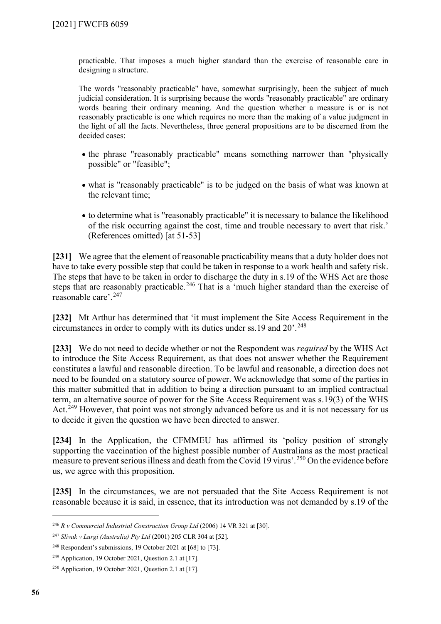practicable. That imposes a much higher standard than the exercise of reasonable care in designing a structure.

The words "reasonably practicable" have, somewhat surprisingly, been the subject of much judicial consideration. It is surprising because the words "reasonably practicable" are ordinary words bearing their ordinary meaning. And the question whether a measure is or is not reasonably practicable is one which requires no more than the making of a value judgment in the light of all the facts. Nevertheless, three general propositions are to be discerned from the decided cases:

- the phrase "reasonably practicable" means something narrower than "physically possible" or "feasible";
- what is "reasonably practicable" is to be judged on the basis of what was known at the relevant time;
- to determine what is "reasonably practicable" it is necessary to balance the likelihood of the risk occurring against the cost, time and trouble necessary to avert that risk.' (References omitted) [at 51-53]

**[231]** We agree that the element of reasonable practicability means that a duty holder does not have to take every possible step that could be taken in response to a work health and safety risk. The steps that have to be taken in order to discharge the duty in s.19 of the WHS Act are those steps that are reasonably practicable.<sup>[246](#page-55-0)</sup> That is a 'much higher standard than the exercise of reasonable care'.<sup>[247](#page-55-1)</sup>

**[232]** Mt Arthur has determined that 'it must implement the Site Access Requirement in the circumstances in order to comply with its duties under ss.19 and  $20^{\circ}$ .<sup>[248](#page-55-2)</sup>

**[233]** We do not need to decide whether or not the Respondent was *required* by the WHS Act to introduce the Site Access Requirement, as that does not answer whether the Requirement constitutes a lawful and reasonable direction. To be lawful and reasonable, a direction does not need to be founded on a statutory source of power. We acknowledge that some of the parties in this matter submitted that in addition to being a direction pursuant to an implied contractual term, an alternative source of power for the Site Access Requirement was s.19(3) of the WHS Act.<sup>[249](#page-55-3)</sup> However, that point was not strongly advanced before us and it is not necessary for us to decide it given the question we have been directed to answer.

**[234]** In the Application, the CFMMEU has affirmed its 'policy position of strongly supporting the vaccination of the highest possible number of Australians as the most practical measure to prevent serious illness and death from the Covid 19 virus'.[250](#page-55-4) On the evidence before us, we agree with this proposition.

**[235]** In the circumstances, we are not persuaded that the Site Access Requirement is not reasonable because it is said, in essence, that its introduction was not demanded by s.19 of the

<span id="page-55-0"></span><sup>246</sup> *R v Commercial Industrial Construction Group Ltd* (2006) 14 VR 321 at [30].

<span id="page-55-1"></span><sup>247</sup> *Slivak v Lurgi (Australia) Pty Ltd* (2001) 205 CLR 304 at [52].

<span id="page-55-2"></span><sup>248</sup> Respondent's submissions, 19 October 2021 at [68] to [73].

<span id="page-55-3"></span><sup>249</sup> Application, 19 October 2021, Question 2.1 at [17].

<span id="page-55-4"></span><sup>250</sup> Application, 19 October 2021, Question 2.1 at [17].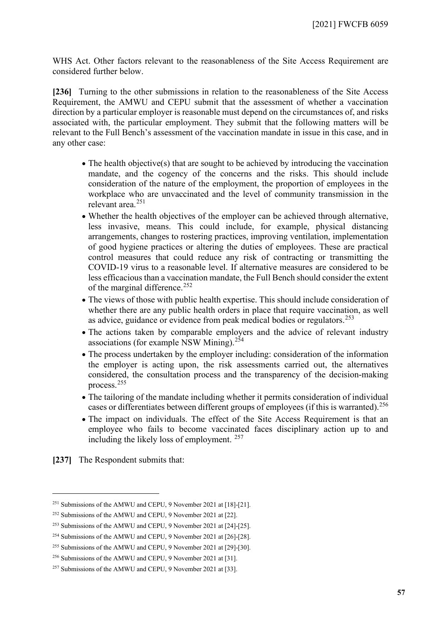WHS Act. Other factors relevant to the reasonableness of the Site Access Requirement are considered further below.

**[236]** Turning to the other submissions in relation to the reasonableness of the Site Access Requirement, the AMWU and CEPU submit that the assessment of whether a vaccination direction by a particular employer is reasonable must depend on the circumstances of, and risks associated with, the particular employment. They submit that the following matters will be relevant to the Full Bench's assessment of the vaccination mandate in issue in this case, and in any other case:

- The health objective(s) that are sought to be achieved by introducing the vaccination mandate, and the cogency of the concerns and the risks. This should include consideration of the nature of the employment, the proportion of employees in the workplace who are unvaccinated and the level of community transmission in the relevant area.[251](#page-56-0)
- Whether the health objectives of the employer can be achieved through alternative, less invasive, means. This could include, for example, physical distancing arrangements, changes to rostering practices, improving ventilation, implementation of good hygiene practices or altering the duties of employees. These are practical control measures that could reduce any risk of contracting or transmitting the COVID-19 virus to a reasonable level. If alternative measures are considered to be less efficacious than a vaccination mandate, the Full Bench should consider the extent of the marginal difference.<sup>[252](#page-56-1)</sup>
- The views of those with public health expertise. This should include consideration of whether there are any public health orders in place that require vaccination, as well as advice, guidance or evidence from peak medical bodies or regulators.<sup>[253](#page-56-2)</sup>
- The actions taken by comparable employers and the advice of relevant industry associations (for example NSW Mining).[254](#page-56-3)
- The process undertaken by the employer including: consideration of the information the employer is acting upon, the risk assessments carried out, the alternatives considered, the consultation process and the transparency of the decision-making process.[255](#page-56-4)
- The tailoring of the mandate including whether it permits consideration of individual cases or differentiates between different groups of employees (if this is warranted).<sup>[256](#page-56-5)</sup>
- The impact on individuals. The effect of the Site Access Requirement is that an employee who fails to become vaccinated faces disciplinary action up to and including the likely loss of employment. [257](#page-56-6)

**[237]** The Respondent submits that:

<span id="page-56-0"></span><sup>251</sup> Submissions of the AMWU and CEPU, 9 November 2021 at [18]-[21].

<span id="page-56-1"></span><sup>252</sup> Submissions of the AMWU and CEPU, 9 November 2021 at [22].

<span id="page-56-2"></span><sup>253</sup> Submissions of the AMWU and CEPU, 9 November 2021 at [24]-[25].

<span id="page-56-3"></span><sup>254</sup> Submissions of the AMWU and CEPU, 9 November 2021 at [26]-[28].

<span id="page-56-4"></span><sup>255</sup> Submissions of the AMWU and CEPU, 9 November 2021 at [29]-[30].

<span id="page-56-5"></span><sup>256</sup> Submissions of the AMWU and CEPU, 9 November 2021 at [31].

<span id="page-56-6"></span><sup>&</sup>lt;sup>257</sup> Submissions of the AMWU and CEPU, 9 November 2021 at [33].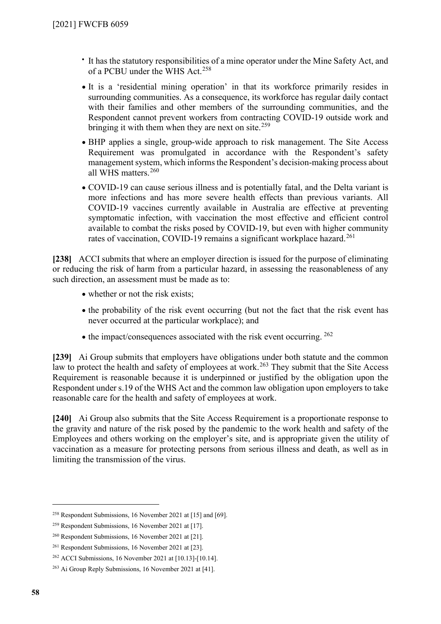- It has the statutory responsibilities of a mine operator under the Mine Safety Act, and of a PCBU under the WHS Act.<sup>[258](#page-57-0)</sup>
- It is a 'residential mining operation' in that its workforce primarily resides in surrounding communities. As a consequence, its workforce has regular daily contact with their families and other members of the surrounding communities, and the Respondent cannot prevent workers from contracting COVID-19 outside work and bringing it with them when they are next on site.<sup>[259](#page-57-1)</sup>
- BHP applies a single, group-wide approach to risk management. The Site Access Requirement was promulgated in accordance with the Respondent's safety management system, which informs the Respondent's decision-making process about all WHS matters.<sup>[260](#page-57-2)</sup>
- COVID-19 can cause serious illness and is potentially fatal, and the Delta variant is more infections and has more severe health effects than previous variants. All COVID-19 vaccines currently available in Australia are effective at preventing symptomatic infection, with vaccination the most effective and efficient control available to combat the risks posed by COVID-19, but even with higher community rates of vaccination, COVID-19 remains a significant workplace hazard.<sup>261</sup>

**[238]** ACCI submits that where an employer direction is issued for the purpose of eliminating or reducing the risk of harm from a particular hazard, in assessing the reasonableness of any such direction, an assessment must be made as to:

- whether or not the risk exists:
- the probability of the risk event occurring (but not the fact that the risk event has never occurred at the particular workplace); and
- the impact/consequences associated with the risk event occurring.  $262$

**[239]** Ai Group submits that employers have obligations under both statute and the common law to protect the health and safety of employees at work.<sup>[263](#page-57-5)</sup> They submit that the Site Access Requirement is reasonable because it is underpinned or justified by the obligation upon the Respondent under s.19 of the WHS Act and the common law obligation upon employers to take reasonable care for the health and safety of employees at work.

**[240]** Ai Group also submits that the Site Access Requirement is a proportionate response to the gravity and nature of the risk posed by the pandemic to the work health and safety of the Employees and others working on the employer's site, and is appropriate given the utility of vaccination as a measure for protecting persons from serious illness and death, as well as in limiting the transmission of the virus.

<span id="page-57-0"></span><sup>&</sup>lt;sup>258</sup> Respondent Submissions, 16 November 2021 at [15] and [69].

<span id="page-57-1"></span><sup>259</sup> Respondent Submissions, 16 November 2021 at [17].

<span id="page-57-2"></span><sup>260</sup> Respondent Submissions, 16 November 2021 at [21].

<span id="page-57-3"></span><sup>261</sup> Respondent Submissions, 16 November 2021 at [23].

<span id="page-57-4"></span><sup>262</sup> ACCI Submissions, 16 November 2021 at [10.13]-[10.14].

<span id="page-57-5"></span><sup>263</sup> Ai Group Reply Submissions, 16 November 2021 at [41].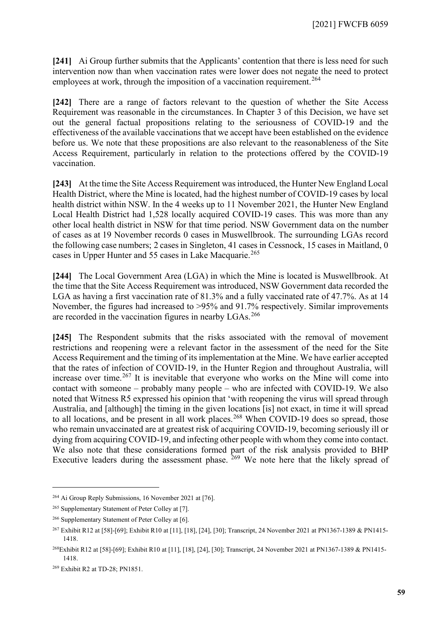**[241]** Ai Group further submits that the Applicants' contention that there is less need for such intervention now than when vaccination rates were lower does not negate the need to protect employees at work, through the imposition of a vaccination requirement.<sup>[264](#page-58-0)</sup>

**[242]** There are a range of factors relevant to the question of whether the Site Access Requirement was reasonable in the circumstances. In Chapter 3 of this Decision, we have set out the general factual propositions relating to the seriousness of COVID-19 and the effectiveness of the available vaccinations that we accept have been established on the evidence before us. We note that these propositions are also relevant to the reasonableness of the Site Access Requirement, particularly in relation to the protections offered by the COVID-19 vaccination.

**[243]** At the time the Site Access Requirement was introduced, the Hunter New England Local Health District, where the Mine is located, had the highest number of COVID-19 cases by local health district within NSW. In the 4 weeks up to 11 November 2021, the Hunter New England Local Health District had 1,528 locally acquired COVID-19 cases. This was more than any other local health district in NSW for that time period. NSW Government data on the number of cases as at 19 November records 0 cases in Muswellbrook. The surrounding LGAs record the following case numbers; 2 cases in Singleton, 41 cases in Cessnock, 15 cases in Maitland, 0 cases in Upper Hunter and 55 cases in Lake Macquarie.<sup>[265](#page-58-1)</sup>

**[244]** The Local Government Area (LGA) in which the Mine is located is Muswellbrook. At the time that the Site Access Requirement was introduced, NSW Government data recorded the LGA as having a first vaccination rate of 81.3% and a fully vaccinated rate of 47.7%. As at 14 November, the figures had increased to >95% and 91.7% respectively. Similar improvements are recorded in the vaccination figures in nearby LGAs.<sup>[266](#page-58-2)</sup>

**[245]** The Respondent submits that the risks associated with the removal of movement restrictions and reopening were a relevant factor in the assessment of the need for the Site Access Requirement and the timing of its implementation at the Mine. We have earlier accepted that the rates of infection of COVID-19, in the Hunter Region and throughout Australia, will increase over time.<sup>[267](#page-58-3)</sup> It is inevitable that everyone who works on the Mine will come into contact with someone – probably many people – who are infected with COVID-19. We also noted that Witness R5 expressed his opinion that 'with reopening the virus will spread through Australia, and [although] the timing in the given locations [is] not exact, in time it will spread to all locations, and be present in all work places.<sup>[268](#page-58-4)</sup> When COVID-19 does so spread, those who remain unvaccinated are at greatest risk of acquiring COVID-19, becoming seriously ill or dying from acquiring COVID-19, and infecting other people with whom they come into contact. We also note that these considerations formed part of the risk analysis provided to BHP Executive leaders during the assessment phase.  $269$  We note here that the likely spread of

<span id="page-58-0"></span><sup>264</sup> Ai Group Reply Submissions, 16 November 2021 at [76].

<span id="page-58-1"></span><sup>&</sup>lt;sup>265</sup> Supplementary Statement of Peter Colley at [7].

<span id="page-58-2"></span><sup>266</sup> Supplementary Statement of Peter Colley at [6].

<span id="page-58-3"></span><sup>267</sup> Exhibit R12 at [58]-[69]; Exhibit R10 at [11], [18], [24], [30]; Transcript, 24 November 2021 at PN1367-1389 & PN1415- 1418.

<span id="page-58-4"></span><sup>268</sup>Exhibit R12 at [58]-[69]; Exhibit R10 at [11], [18], [24], [30]; Transcript, 24 November 2021 at PN1367-1389 & PN1415- 1418.

<span id="page-58-5"></span><sup>269</sup> Exhibit R2 at TD-28; PN1851.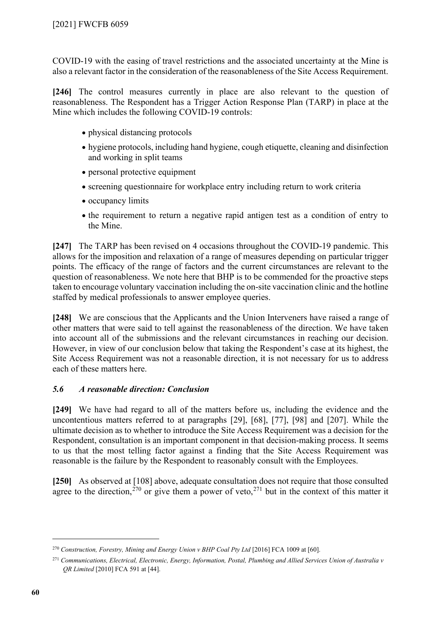COVID-19 with the easing of travel restrictions and the associated uncertainty at the Mine is also a relevant factor in the consideration of the reasonableness of the Site Access Requirement.

**[246]** The control measures currently in place are also relevant to the question of reasonableness. The Respondent has a Trigger Action Response Plan (TARP) in place at the Mine which includes the following COVID-19 controls:

- physical distancing protocols
- hygiene protocols, including hand hygiene, cough etiquette, cleaning and disinfection and working in split teams
- personal protective equipment
- screening questionnaire for workplace entry including return to work criteria
- occupancy limits
- the requirement to return a negative rapid antigen test as a condition of entry to the Mine.

**[247]** The TARP has been revised on 4 occasions throughout the COVID-19 pandemic. This allows for the imposition and relaxation of a range of measures depending on particular trigger points. The efficacy of the range of factors and the current circumstances are relevant to the question of reasonableness. We note here that BHP is to be commended for the proactive steps taken to encourage voluntary vaccination including the on-site vaccination clinic and the hotline staffed by medical professionals to answer employee queries.

**[248]** We are conscious that the Applicants and the Union Interveners have raised a range of other matters that were said to tell against the reasonableness of the direction. We have taken into account all of the submissions and the relevant circumstances in reaching our decision. However, in view of our conclusion below that taking the Respondent's case at its highest, the Site Access Requirement was not a reasonable direction, it is not necessary for us to address each of these matters here.

# *5.6 A reasonable direction: Conclusion*

**[249]** We have had regard to all of the matters before us, including the evidence and the uncontentious matters referred to at paragraphs [\[29\],](#page-6-0) [\[68\],](#page-17-0) [\[77\],](#page-19-4) [\[98\]](#page-24-0) and [\[207\].](#page-49-10) While the ultimate decision as to whether to introduce the Site Access Requirement was a decision for the Respondent, consultation is an important component in that decision-making process. It seems to us that the most telling factor against a finding that the Site Access Requirement was reasonable is the failure by the Respondent to reasonably consult with the Employees.

**[250]** As observed at [\[108\]](#page-27-7) above, adequate consultation does not require that those consulted agree to the direction,<sup>[270](#page-59-0)</sup> or give them a power of veto,<sup>[271](#page-59-1)</sup> but in the context of this matter it

<span id="page-59-0"></span><sup>270</sup> *Construction, Forestry, Mining and Energy Union v BHP Coal Pty Ltd* [2016] FCA 1009 at [60].

<span id="page-59-1"></span><sup>271</sup> *Communications, Electrical, Electronic, Energy, Information, Postal, Plumbing and Allied Services Union of Australia v QR Limited* [2010] FCA 591 at [44].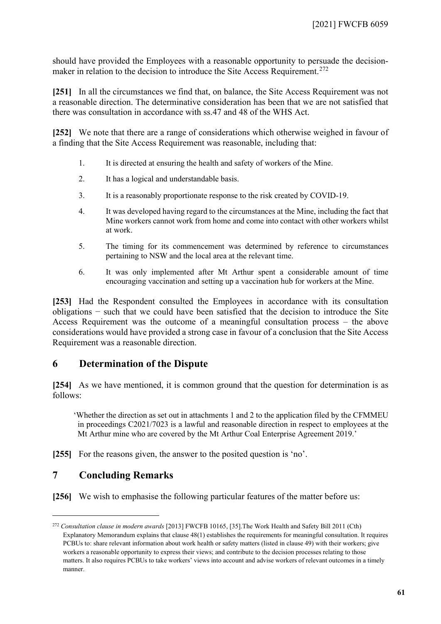should have provided the Employees with a reasonable opportunity to persuade the decision-maker in relation to the decision to introduce the Site Access Requirement.<sup>[272](#page-60-2)</sup>

**[251]** In all the circumstances we find that, on balance, the Site Access Requirement was not a reasonable direction. The determinative consideration has been that we are not satisfied that there was consultation in accordance with ss.47 and 48 of the WHS Act.

**[252]** We note that there are a range of considerations which otherwise weighed in favour of a finding that the Site Access Requirement was reasonable, including that:

- 1. It is directed at ensuring the health and safety of workers of the Mine.
- 2. It has a logical and understandable basis.
- 3. It is a reasonably proportionate response to the risk created by COVID-19.
- 4. It was developed having regard to the circumstances at the Mine, including the fact that Mine workers cannot work from home and come into contact with other workers whilst at work.
- 5. The timing for its commencement was determined by reference to circumstances pertaining to NSW and the local area at the relevant time.
- 6. It was only implemented after Mt Arthur spent a considerable amount of time encouraging vaccination and setting up a vaccination hub for workers at the Mine.

**[253]** Had the Respondent consulted the Employees in accordance with its consultation obligations − such that we could have been satisfied that the decision to introduce the Site Access Requirement was the outcome of a meaningful consultation process – the above considerations would have provided a strong case in favour of a conclusion that the Site Access Requirement was a reasonable direction.

# **6 Determination of the Dispute**

<span id="page-60-0"></span>**[254]** As we have mentioned, it is common ground that the question for determination is as follows:

'Whether the direction as set out in attachments 1 and 2 to the application filed by the CFMMEU in proceedings C2021/7023 is a lawful and reasonable direction in respect to employees at the Mt Arthur mine who are covered by the Mt Arthur Coal Enterprise Agreement 2019.'

**[255]** For the reasons given, the answer to the posited question is 'no'.

# **7 Concluding Remarks**

<span id="page-60-1"></span>**[256]** We wish to emphasise the following particular features of the matter before us:

<span id="page-60-2"></span><sup>272</sup> *Consultation clause in modern awards* [2013] FWCFB 10165, [35].The Work Health and Safety Bill 2011 (Cth) Explanatory Memorandum explains that clause 48(1) establishes the requirements for meaningful consultation. It requires PCBUs to: share relevant information about work health or safety matters (listed in clause 49) with their workers; give workers a reasonable opportunity to express their views; and contribute to the decision processes relating to those matters. It also requires PCBUs to take workers' views into account and advise workers of relevant outcomes in a timely manner.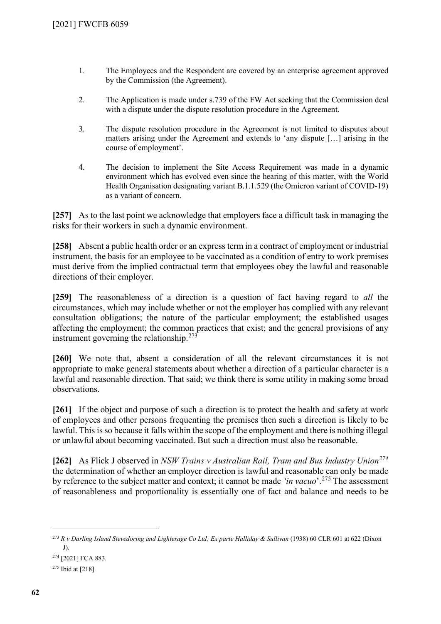- 1. The Employees and the Respondent are covered by an enterprise agreement approved by the Commission (the Agreement).
- 2. The Application is made under s.739 of the FW Act seeking that the Commission deal with a dispute under the dispute resolution procedure in the Agreement.
- 3. The dispute resolution procedure in the Agreement is not limited to disputes about matters arising under the Agreement and extends to 'any dispute […] arising in the course of employment'.
- 4. The decision to implement the Site Access Requirement was made in a dynamic environment which has evolved even since the hearing of this matter, with the World Health Organisation designating variant B.1.1.529 (the Omicron variant of COVID-19) as a variant of concern.

**[257]** As to the last point we acknowledge that employers face a difficult task in managing the risks for their workers in such a dynamic environment.

**[258]** Absent a public health order or an express term in a contract of employment or industrial instrument, the basis for an employee to be vaccinated as a condition of entry to work premises must derive from the implied contractual term that employees obey the lawful and reasonable directions of their employer.

**[259]** The reasonableness of a direction is a question of fact having regard to *all* the circumstances, which may include whether or not the employer has complied with any relevant consultation obligations; the nature of the particular employment; the established usages affecting the employment; the common practices that exist; and the general provisions of any instrument governing the relationship.<sup>[273](#page-61-0)</sup>

**[260]** We note that, absent a consideration of all the relevant circumstances it is not appropriate to make general statements about whether a direction of a particular character is a lawful and reasonable direction. That said; we think there is some utility in making some broad observations.

**[261]** If the object and purpose of such a direction is to protect the health and safety at work of employees and other persons frequenting the premises then such a direction is likely to be lawful. This is so because it falls within the scope of the employment and there is nothing illegal or unlawful about becoming vaccinated. But such a direction must also be reasonable.

**[262]** As Flick J observed in *NSW Trains v Australian Rail, Tram and Bus Industry Union[274](#page-61-1)* the determination of whether an employer direction is lawful and reasonable can only be made by reference to the subject matter and context; it cannot be made *'in vacuo*'.[275](#page-61-2) The assessment of reasonableness and proportionality is essentially one of fact and balance and needs to be

<span id="page-61-0"></span><sup>273</sup> *R v Darling Island Stevedoring and Lighterage Co Ltd; Ex parte Halliday & Sullivan* (1938) 60 CLR 601 at 622 (Dixon J).

<span id="page-61-1"></span><sup>274</sup> [2021] FCA 883.

<span id="page-61-2"></span><sup>275</sup> Ibid at [218].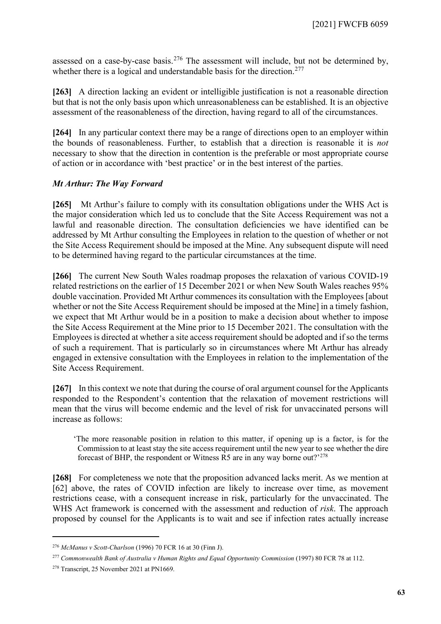assessed on a case-by-case basis.<sup>[276](#page-62-0)</sup> The assessment will include, but not be determined by, whether there is a logical and understandable basis for the direction.<sup>[277](#page-62-1)</sup>

**[263]** A direction lacking an evident or intelligible justification is not a reasonable direction but that is not the only basis upon which unreasonableness can be established. It is an objective assessment of the reasonableness of the direction, having regard to all of the circumstances.

**[264]** In any particular context there may be a range of directions open to an employer within the bounds of reasonableness. Further, to establish that a direction is reasonable it is *not* necessary to show that the direction in contention is the preferable or most appropriate course of action or in accordance with 'best practice' or in the best interest of the parties.

### *Mt Arthur: The Way Forward*

**[265]** Mt Arthur's failure to comply with its consultation obligations under the WHS Act is the major consideration which led us to conclude that the Site Access Requirement was not a lawful and reasonable direction. The consultation deficiencies we have identified can be addressed by Mt Arthur consulting the Employees in relation to the question of whether or not the Site Access Requirement should be imposed at the Mine. Any subsequent dispute will need to be determined having regard to the particular circumstances at the time.

**[266]** The current New South Wales roadmap proposes the relaxation of various COVID-19 related restrictions on the earlier of 15 December 2021 or when New South Wales reaches 95% double vaccination. Provided Mt Arthur commences its consultation with the Employees [about whether or not the Site Access Requirement should be imposed at the Mine] in a timely fashion, we expect that Mt Arthur would be in a position to make a decision about whether to impose the Site Access Requirement at the Mine prior to 15 December 2021. The consultation with the Employees is directed at whether a site access requirement should be adopted and if so the terms of such a requirement. That is particularly so in circumstances where Mt Arthur has already engaged in extensive consultation with the Employees in relation to the implementation of the Site Access Requirement.

**[267]** In this context we note that during the course of oral argument counsel for the Applicants responded to the Respondent's contention that the relaxation of movement restrictions will mean that the virus will become endemic and the level of risk for unvaccinated persons will increase as follows:

'The more reasonable position in relation to this matter, if opening up is a factor, is for the Commission to at least stay the site access requirement until the new year to see whether the dire forecast of BHP, the respondent or Witness R5 are in any way borne out?'[278](#page-62-2)

**[268]** For completeness we note that the proposition advanced lacks merit. As we mention at [\[62\]](#page-15-2) above, the rates of COVID infection are likely to increase over time, as movement restrictions cease, with a consequent increase in risk, particularly for the unvaccinated. The WHS Act framework is concerned with the assessment and reduction of *risk*. The approach proposed by counsel for the Applicants is to wait and see if infection rates actually increase

<span id="page-62-0"></span><sup>276</sup> *McManus v Scott-Charlson* (1996) 70 FCR 16 at 30 (Finn J).

<span id="page-62-1"></span><sup>&</sup>lt;sup>277</sup> Commonwealth Bank of Australia v Human Rights and Equal Opportunity Commission (1997) 80 FCR 78 at 112.

<span id="page-62-2"></span><sup>278</sup> Transcript, 25 November 2021 at PN1669.